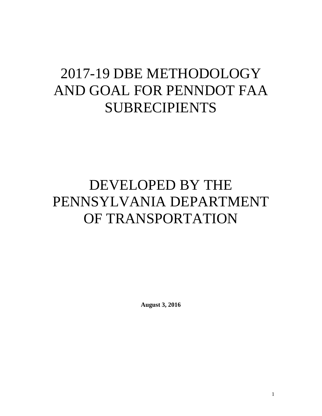# 2017-19 DBE METHODOLOGY AND GOAL FOR PENNDOT FAA SUBRECIPIENTS

# DEVELOPED BY THE PENNSYLVANIA DEPARTMENT OF TRANSPORTATION

**August 3, 2016**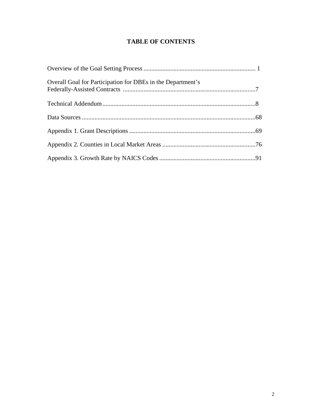## **TABLE OF CONTENTS**

| Overall Goal for Participation for DBEs in the Department's |  |
|-------------------------------------------------------------|--|
|                                                             |  |
|                                                             |  |
|                                                             |  |
|                                                             |  |
|                                                             |  |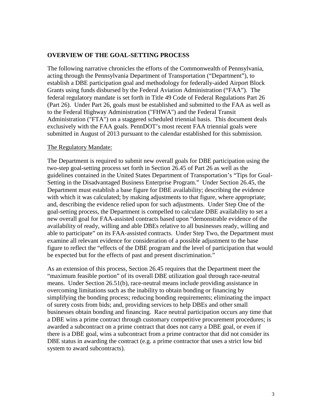#### **OVERVIEW OF THE GOAL-SETTING PROCESS**

The following narrative chronicles the efforts of the Commonwealth of Pennsylvania, acting through the Pennsylvania Department of Transportation ("Department"), to establish a DBE participation goal and methodology for federally-aided Airport Block Grants using funds disbursed by the Federal Aviation Administration ("FAA"). The federal regulatory mandate is set forth in Title 49 Code of Federal Regulations Part 26 (Part 26). Under Part 26, goals must be established and submitted to the FAA as well as to the Federal Highway Administration ("FHWA") and the Federal Transit Administration ("FTA") on a staggered scheduled triennial basis. This document deals exclusively with the FAA goals. PennDOT's most recent FAA triennial goals were submitted in August of 2013 pursuant to the calendar established for this submission.

#### The Regulatory Mandate:

The Department is required to submit new overall goals for DBE participation using the two-step goal-setting process set forth in Section 26.45 of Part 26 as well as the guidelines contained in the United States Department of Transportation's "Tips for Goal-Setting in the Disadvantaged Business Enterprise Program." Under Section 26.45, the Department must establish a base figure for DBE availability; describing the evidence with which it was calculated; by making adjustments to that figure, where appropriate; and, describing the evidence relied upon for such adjustments. Under Step One of the goal-setting process, the Department is compelled to calculate DBE availability to set a new overall goal for FAA-assisted contracts based upon "demonstrable evidence of the availability of ready, willing and able DBEs relative to all businesses ready, willing and able to participate" on its FAA-assisted contracts. Under Step Two, the Department must examine all relevant evidence for consideration of a possible adjustment to the base figure to reflect the "effects of the DBE program and the level of participation that would be expected but for the effects of past and present discrimination."

As an extension of this process, Section 26.45 requires that the Department meet the "maximum feasible portion" of its overall DBE utilization goal through race-neutral means. Under Section 26.51(b), race-neutral means include providing assistance in overcoming limitations such as the inability to obtain bonding or financing by simplifying the bonding process; reducing bonding requirements; eliminating the impact of surety costs from bids; and, providing services to help DBEs and other small businesses obtain bonding and financing. Race neutral participation occurs any time that a DBE wins a prime contract through customary competitive procurement procedures; is awarded a subcontract on a prime contract that does not carry a DBE goal, or even if there is a DBE goal, wins a subcontract from a prime contractor that did not consider its DBE status in awarding the contract (e.g. a prime contractor that uses a strict low bid system to award subcontracts).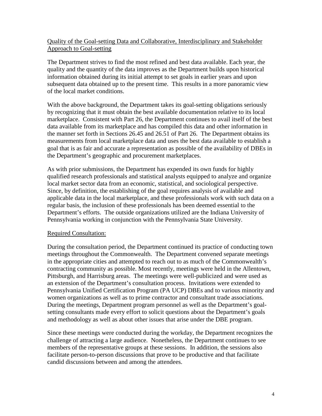## Quality of the Goal-setting Data and Collaborative, Interdisciplinary and Stakeholder Approach to Goal-setting

The Department strives to find the most refined and best data available. Each year, the quality and the quantity of the data improves as the Department builds upon historical information obtained during its initial attempt to set goals in earlier years and upon subsequent data obtained up to the present time. This results in a more panoramic view of the local market conditions.

With the above background, the Department takes its goal-setting obligations seriously by recognizing that it must obtain the best available documentation relative to its local marketplace. Consistent with Part 26, the Department continues to avail itself of the best data available from its marketplace and has compiled this data and other information in the manner set forth in Sections 26.45 and 26.51 of Part 26. The Department obtains its measurements from local marketplace data and uses the best data available to establish a goal that is as fair and accurate a representation as possible of the availability of DBEs in the Department's geographic and procurement marketplaces.

As with prior submissions, the Department has expended its own funds for highly qualified research professionals and statistical analysts equipped to analyze and organize local market sector data from an economic, statistical, and sociological perspective. Since, by definition, the establishing of the goal requires analysis of available and applicable data in the local marketplace, and these professionals work with such data on a regular basis, the inclusion of these professionals has been deemed essential to the Department's efforts. The outside organizations utilized are the Indiana University of Pennsylvania working in conjunction with the Pennsylvania State University.

## Required Consultation:

During the consultation period, the Department continued its practice of conducting town meetings throughout the Commonwealth. The Department convened separate meetings in the appropriate cities and attempted to reach out to as much of the Commonwealth's contracting community as possible. Most recently, meetings were held in the Allentown, Pittsburgh, and Harrisburg areas. The meetings were well-publicized and were used as an extension of the Department's consultation process. Invitations were extended to Pennsylvania Unified Certification Program (PA UCP) DBEs and to various minority and women organizations as well as to prime contractor and consultant trade associations. During the meetings, Department program personnel as well as the Department's goalsetting consultants made every effort to solicit questions about the Department's goals and methodology as well as about other issues that arise under the DBE program.

Since these meetings were conducted during the workday, the Department recognizes the challenge of attracting a large audience. Nonetheless, the Department continues to see members of the representative groups at these sessions. In addition, the sessions also facilitate person-to-person discussions that prove to be productive and that facilitate candid discussions between and among the attendees.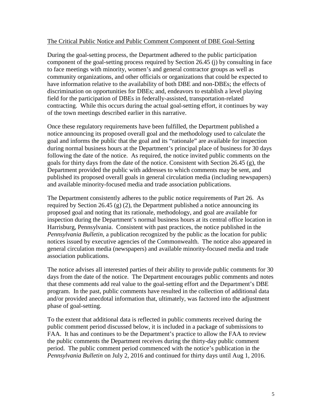#### The Critical Public Notice and Public Comment Component of DBE Goal-Setting

During the goal-setting process, the Department adhered to the public participation component of the goal-setting process required by Section 26.45 (j) by consulting in face to face meetings with minority, women's and general contractor groups as well as community organizations, and other officials or organizations that could be expected to have information relative to the availability of both DBE and non-DBEs; the effects of discrimination on opportunities for DBEs; and, endeavors to establish a level playing field for the participation of DBEs in federally-assisted, transportation-related contracting. While this occurs during the actual goal-setting effort, it continues by way of the town meetings described earlier in this narrative.

Once these regulatory requirements have been fulfilled, the Department published a notice announcing its proposed overall goal and the methodology used to calculate the goal and informs the public that the goal and its "rationale" are available for inspection during normal business hours at the Department's principal place of business for 30 days following the date of the notice. As required, the notice invited public comments on the goals for thirty days from the date of the notice. Consistent with Section 26.45 (g), the Department provided the public with addresses to which comments may be sent, and published its proposed overall goals in general circulation media (including newspapers) and available minority-focused media and trade association publications.

The Department consistently adheres to the public notice requirements of Part 26. As required by Section 26.45 (g) (2), the Department published a notice announcing its proposed goal and noting that its rationale, methodology, and goal are available for inspection during the Department's normal business hours at its central office location in Harrisburg, Pennsylvania. Consistent with past practices, the notice published in the *Pennsylvania Bulletin,* a publication recognized by the public as the location for public notices issued by executive agencies of the Commonwealth. The notice also appeared in general circulation media (newspapers) and available minority-focused media and trade association publications.

The notice advises all interested parties of their ability to provide public comments for 30 days from the date of the notice. The Department encourages public comments and notes that these comments add real value to the goal-setting effort and the Department's DBE program. In the past, public comments have resulted in the collection of additional data and/or provided anecdotal information that, ultimately, was factored into the adjustment phase of goal-setting.

To the extent that additional data is reflected in public comments received during the public comment period discussed below, it is included in a package of submissions to FAA. It has and continues to be the Department's practice to allow the FAA to review the public comments the Department receives during the thirty-day public comment period. The public comment period commenced with the notice's publication in the *Pennsylvania Bulletin* on July 2, 2016 and continued for thirty days until Aug 1, 2016.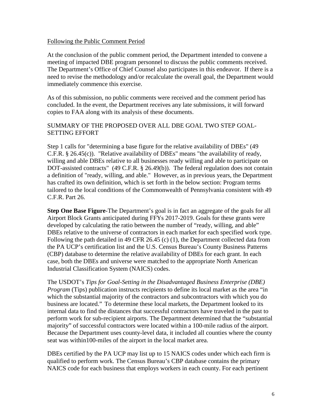#### Following the Public Comment Period

At the conclusion of the public comment period, the Department intended to convene a meeting of impacted DBE program personnel to discuss the public comments received. The Department's Office of Chief Counsel also participates in this endeavor. If there is a need to revise the methodology and/or recalculate the overall goal, the Department would immediately commence this exercise.

As of this submission, no public comments were received and the comment period has concluded. In the event, the Department receives any late submissions, it will forward copies to FAA along with its analysis of these documents.

#### SUMMARY OF THE PROPOSED OVER ALL DBE GOAL TWO STEP GOAL-SETTING EFFORT

Step 1 calls for "determining a base figure for the relative availability of DBEs" (49 C.F.R. § 26.45(c)). "Relative availability of DBEs" means "the availability of ready, willing and able DBEs relative to all businesses ready willing and able to participate on DOT-assisted contracts" (49 C.F.R. § 26.49(b)). The federal regulation does not contain a definition of "ready, willing, and able." However, as in previous years, the Department has crafted its own definition, which is set forth in the below section: Program terms tailored to the local conditions of the Commonwealth of Pennsylvania consistent with 49 C.F.R. Part 26.

**Step One Base Figure**-The Department's goal is in fact an aggregate of the goals for all Airport Block Grants anticipated during FFYs 2017-2019. Goals for these grants were developed by calculating the ratio between the number of "ready, willing, and able" DBEs relative to the universe of contractors in each market for each specified work type. Following the path detailed in 49 CFR 26.45 (c) (1), the Department collected data from the PA UCP's certification list and the U.S. Census Bureau's County Business Patterns (CBP) database to determine the relative availability of DBEs for each grant. In each case, both the DBEs and universe were matched to the appropriate North American Industrial Classification System (NAICS) codes.

The USDOT's *Tips for Goal-Setting in the Disadvantaged Business Enterprise (DBE) Program* (Tips) publication instructs recipients to define its local market as the area "in" which the substantial majority of the contractors and subcontractors with which you do business are located." To determine these local markets, the Department looked to its internal data to find the distances that successful contractors have traveled in the past to perform work for sub-recipient airports. The Department determined that the "substantial majority" of successful contractors were located within a 100-mile radius of the airport. Because the Department uses county-level data, it included all counties where the county seat was within100-miles of the airport in the local market area.

DBEs certified by the PA UCP may list up to 15 NAICS codes under which each firm is qualified to perform work. The Census Bureau's CBP database contains the primary NAICS code for each business that employs workers in each county. For each pertinent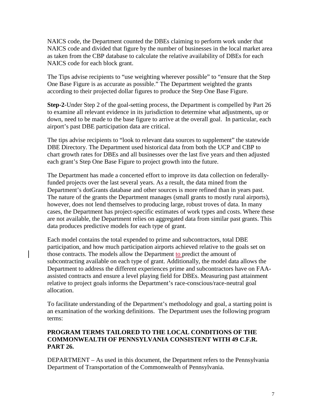NAICS code, the Department counted the DBEs claiming to perform work under that NAICS code and divided that figure by the number of businesses in the local market area as taken from the CBP database to calculate the relative availability of DBEs for each NAICS code for each block grant.

The Tips advise recipients to "use weighting wherever possible" to "ensure that the Step One Base Figure is as accurate as possible." The Department weighted the grants according to their projected dollar figures to produce the Step One Base Figure.

**Step-2**-Under Step 2 of the goal-setting process, the Department is compelled by Part 26 to examine all relevant evidence in its jurisdiction to determine what adjustments, up or down, need to be made to the base figure to arrive at the overall goal. In particular, each airport's past DBE participation data are critical.

The tips advise recipients to "look to relevant data sources to supplement" the statewide DBE Directory. The Department used historical data from both the UCP and CBP to chart growth rates for DBEs and all businesses over the last five years and then adjusted each grant's Step One Base Figure to project growth into the future.

The Department has made a concerted effort to improve its data collection on federallyfunded projects over the last several years. As a result, the data mined from the Department's dotGrants database and other sources is more refined than in years past. The nature of the grants the Department manages (small grants to mostly rural airports), however, does not lend themselves to producing large, robust troves of data. In many cases, the Department has project-specific estimates of work types and costs. Where these are not available, the Department relies on aggregated data from similar past grants. This data produces predictive models for each type of grant.

Each model contains the total expended to prime and subcontractors, total DBE participation, and how much participation airports achieved relative to the goals set on those contracts. The models allow the Department to predict the amount of subcontracting available on each type of grant. Additionally, the model data allows the Department to address the different experiences prime and subcontractors have on FAAassisted contracts and ensure a level playing field for DBEs. Measuring past attainment relative to project goals informs the Department's race-conscious/race-neutral goal allocation.

To facilitate understanding of the Department's methodology and goal, a starting point is an examination of the working definitions. The Department uses the following program terms:

## **PROGRAM TERMS TAILORED TO THE LOCAL CONDITIONS OF THE COMMONWEALTH OF PENNSYLVANIA CONSISTENT WITH 49 C.F.R. PART 26.**

DEPARTMENT – As used in this document, the Department refers to the Pennsylvania Department of Transportation of the Commonwealth of Pennsylvania.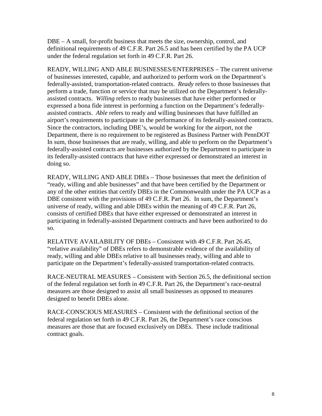DBE – A small, for-profit business that meets the size, ownership, control, and definitional requirements of 49 C.F.R. Part 26.5 and has been certified by the PA UCP under the federal regulation set forth in 49 C.F.R. Part 26.

READY, WILLING AND ABLE BUSINESSES/ENTERPRISES – The current universe of businesses interested, capable, and authorized to perform work on the Department's federally-assisted, transportation-related contracts. *Ready* refers to those businesses that perform a trade, function or service that may be utilized on the Department's federallyassisted contracts. *Willing* refers to ready businesses that have either performed or expressed a bona fide interest in performing a function on the Department's federallyassisted contracts. *Able* refers to ready and willing businesses that have fulfilled an airport's requirements to participate in the performance of its federally-assisted contracts. Since the contractors, including DBE's, would be working for the airport, not the Department, there is no requirement to be registered as Business Partner with PennDOT In sum, those businesses that are ready, willing, and able to perform on the Department's federally-assisted contracts are businesses authorized by the Department to participate in its federally-assisted contracts that have either expressed or demonstrated an interest in doing so.

READY, WILLING AND ABLE DBEs – Those businesses that meet the definition of "ready, willing and able businesses" and that have been certified by the Department or any of the other entities that certify DBEs in the Commonwealth under the PA UCP as a DBE consistent with the provisions of 49 C.F.R. Part 26. In sum, the Department's universe of ready, willing and able DBEs within the meaning of 49 C.F.R. Part 26, consists of certified DBEs that have either expressed or demonstrated an interest in participating in federally-assisted Department contracts and have been authorized to do so.

RELATIVE AVAILABILITY OF DBEs – Consistent with 49 C.F.R. Part 26.45, "relative availability" of DBEs refers to demonstrable evidence of the availability of ready, willing and able DBEs relative to all businesses ready, willing and able to participate on the Department's federally-assisted transportation-related contracts.

RACE-NEUTRAL MEASURES – Consistent with Section 26.5, the definitional section of the federal regulation set forth in 49 C.F.R. Part 26, the Department's race-neutral measures are those designed to assist all small businesses as opposed to measures designed to benefit DBEs alone.

RACE-CONSCIOUS MEASURES – Consistent with the definitional section of the federal regulation set forth in 49 C.F.R. Part 26, the Department's race conscious measures are those that are focused exclusively on DBEs. These include traditional contract goals.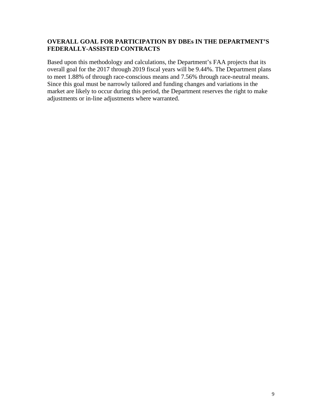## **OVERALL GOAL FOR PARTICIPATION BY DBEs IN THE DEPARTMENT'S FEDERALLY-ASSISTED CONTRACTS**

Based upon this methodology and calculations, the Department's FAA projects that its overall goal for the 2017 through 2019 fiscal years will be 9.44%. The Department plans to meet 1.88% of through race-conscious means and 7.56% through race-neutral means. Since this goal must be narrowly tailored and funding changes and variations in the market are likely to occur during this period, the Department reserves the right to make adjustments or in-line adjustments where warranted.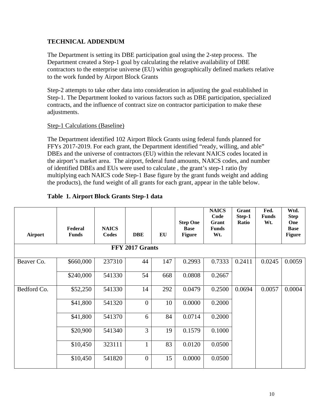## **TECHNICAL ADDENDUM**

The Department is setting its DBE participation goal using the 2-step process. The Department created a Step-1 goal by calculating the relative availability of DBE contractors to the enterprise universe (EU) within geographically defined markets relative to the work funded by Airport Block Grants

Step-2 attempts to take other data into consideration in adjusting the goal established in Step-1. The Department looked to various factors such as DBE participation, specialized contracts, and the influence of contract size on contractor participation to make these adjustments.

#### Step-1 Calculations (Baseline)

The Department identified 102 Airport Block Grants using federal funds planned for FFYs 2017-2019. For each grant, the Department identified "ready, willing, and able" DBEs and the universe of contractors (EU) within the relevant NAICS codes located in the airport's market area. The airport, federal fund amounts, NAICS codes, and number of identified DBEs and EUs were used to calculate , the grant's step-1 ratio (by multiplying each NAICS code Step-1 Base figure by the grant funds weight and adding the products), the fund weight of all grants for each grant, appear in the table below.

|  | Table 1. Airport Block Grants Step-1 data |  |  |  |  |
|--|-------------------------------------------|--|--|--|--|
|--|-------------------------------------------|--|--|--|--|

| Airport     | Federal<br><b>Funds</b> | <b>NAICS</b><br>Codes | <b>DBE</b>       | EU  | <b>Step One</b><br><b>Base</b><br><b>Figure</b> | <b>NAICS</b><br>Code<br>Grant<br><b>Funds</b><br>Wt. | Grant<br>Step-1<br>Ratio | Fed.<br><b>Funds</b><br>Wt. | Wtd.<br><b>Step</b><br>One<br><b>Base</b><br><b>Figure</b> |
|-------------|-------------------------|-----------------------|------------------|-----|-------------------------------------------------|------------------------------------------------------|--------------------------|-----------------------------|------------------------------------------------------------|
|             |                         |                       |                  |     |                                                 |                                                      |                          |                             |                                                            |
| Beaver Co.  | \$660,000               | 237310                | 44               | 147 | 0.2993                                          | 0.7333                                               | 0.2411                   | 0.0245                      | 0.0059                                                     |
|             | \$240,000               | 541330                | 54               | 668 | 0.0808                                          | 0.2667                                               |                          |                             |                                                            |
| Bedford Co. | \$52,250                | 541330                | 14               | 292 | 0.0479                                          | 0.2500                                               | 0.0694                   | 0.0057                      | 0.0004                                                     |
|             | \$41,800                | 541320                | $\boldsymbol{0}$ | 10  | 0.0000                                          | 0.2000                                               |                          |                             |                                                            |
|             | \$41,800                | 541370                | 6                | 84  | 0.0714                                          | 0.2000                                               |                          |                             |                                                            |
|             | \$20,900                | 541340                | 3                | 19  | 0.1579                                          | 0.1000                                               |                          |                             |                                                            |
|             | \$10,450                | 323111                | $\mathbf{1}$     | 83  | 0.0120                                          | 0.0500                                               |                          |                             |                                                            |
|             | \$10,450                | 541820                | $\overline{0}$   | 15  | 0.0000                                          | 0.0500                                               |                          |                             |                                                            |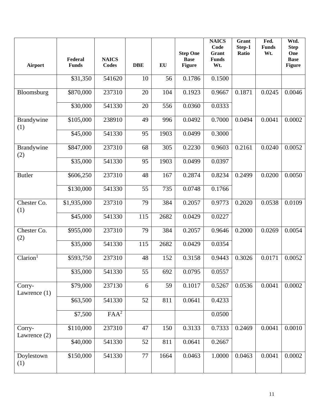| <b>Airport</b>           | Federal<br><b>Funds</b> | <b>NAICS</b><br><b>Codes</b> | <b>DBE</b> | EU   | <b>Step One</b><br><b>Base</b><br><b>Figure</b> | <b>NAICS</b><br>Code<br>Grant<br><b>Funds</b><br>Wt. | Grant<br>Step-1<br>Ratio | Fed.<br><b>Funds</b><br>Wt. | Wtd.<br><b>Step</b><br>One<br><b>Base</b><br><b>Figure</b> |
|--------------------------|-------------------------|------------------------------|------------|------|-------------------------------------------------|------------------------------------------------------|--------------------------|-----------------------------|------------------------------------------------------------|
|                          | \$31,350                | 541620                       | 10         | 56   | 0.1786                                          | 0.1500                                               |                          |                             |                                                            |
| Bloomsburg               | \$870,000               | 237310                       | 20         | 104  | 0.1923                                          | 0.9667                                               | 0.1871                   | 0.0245                      | 0.0046                                                     |
|                          | \$30,000                | 541330                       | 20         | 556  | 0.0360                                          | 0.0333                                               |                          |                             |                                                            |
| Brandywine<br>(1)        | \$105,000               | 238910                       | 49         | 996  | 0.0492                                          | 0.7000                                               | 0.0494                   | 0.0041                      | 0.0002                                                     |
|                          | \$45,000                | 541330                       | 95         | 1903 | 0.0499                                          | 0.3000                                               |                          |                             |                                                            |
| Brandywine<br>(2)        | \$847,000               | 237310                       | 68         | 305  | 0.2230                                          | 0.9603                                               | 0.2161                   | 0.0240                      | 0.0052                                                     |
|                          | \$35,000                | 541330                       | 95         | 1903 | 0.0499                                          | 0.0397                                               |                          |                             |                                                            |
| <b>Butler</b>            | \$606,250               | 237310                       | 48         | 167  | 0.2874                                          | 0.8234                                               | 0.2499                   | 0.0200                      | 0.0050                                                     |
|                          | \$130,000               | 541330                       | 55         | 735  | 0.0748                                          | 0.1766                                               |                          |                             |                                                            |
| Chester Co.<br>(1)       | \$1,935,000             | 237310                       | 79         | 384  | 0.2057                                          | 0.9773                                               | 0.2020                   | 0.0538                      | 0.0109                                                     |
|                          | \$45,000                | 541330                       | 115        | 2682 | 0.0429                                          | 0.0227                                               |                          |                             |                                                            |
| Chester Co.<br>(2)       | \$955,000               | 237310                       | 79         | 384  | 0.2057                                          | 0.9646                                               | 0.2000                   | 0.0269                      | 0.0054                                                     |
|                          | \$35,000                | 541330                       | 115        | 2682 | 0.0429                                          | 0.0354                                               |                          |                             |                                                            |
| Clarion <sup>1</sup>     | \$593,750               | 237310                       | 48         | 152  | 0.3158                                          | 0.9443                                               | 0.3026                   | 0.0171                      | 0.0052                                                     |
|                          | \$35,000                | 541330                       | 55         | 692  | 0.0795                                          | 0.0557                                               |                          |                             |                                                            |
| Corry-<br>Lawrence $(1)$ | \$79,000                | 237130                       | 6          | 59   | 0.1017                                          | 0.5267                                               | 0.0536                   | 0.0041                      | 0.0002                                                     |
|                          | \$63,500                | 541330                       | 52         | 811  | 0.0641                                          | 0.4233                                               |                          |                             |                                                            |
|                          | \$7,500                 | FAA <sup>2</sup>             |            |      |                                                 | 0.0500                                               |                          |                             |                                                            |
| Corry-<br>Lawrence $(2)$ | \$110,000               | 237310                       | 47         | 150  | 0.3133                                          | 0.7333                                               | 0.2469                   | 0.0041                      | 0.0010                                                     |
|                          | \$40,000                | 541330                       | 52         | 811  | 0.0641                                          | 0.2667                                               |                          |                             |                                                            |
| Doylestown<br>(1)        | \$150,000               | 541330                       | 77         | 1664 | 0.0463                                          | 1.0000                                               | 0.0463                   | 0.0041                      | 0.0002                                                     |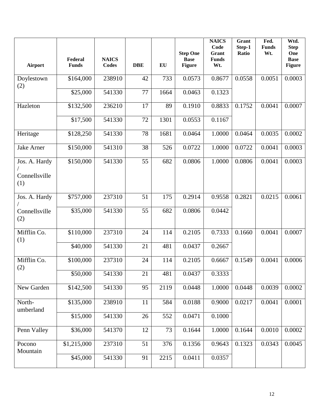| Airport                               | Federal<br><b>Funds</b> | <b>NAICS</b><br>Codes | <b>DBE</b> | EU   | <b>Step One</b><br><b>Base</b><br><b>Figure</b> | <b>NAICS</b><br>Code<br>Grant<br><b>Funds</b><br>Wt. | Grant<br>Step-1<br>Ratio | Fed.<br><b>Funds</b><br>Wt. | Wtd.<br><b>Step</b><br>One<br><b>Base</b><br><b>Figure</b> |
|---------------------------------------|-------------------------|-----------------------|------------|------|-------------------------------------------------|------------------------------------------------------|--------------------------|-----------------------------|------------------------------------------------------------|
| Doylestown<br>(2)                     | \$164,000               | 238910                | 42         | 733  | 0.0573                                          | 0.8677                                               | 0.0558                   | 0.0051                      | 0.0003                                                     |
|                                       | \$25,000                | 541330                | 77         | 1664 | 0.0463                                          | 0.1323                                               |                          |                             |                                                            |
| Hazleton                              | \$132,500               | 236210                | 17         | 89   | 0.1910                                          | 0.8833                                               | 0.1752                   | 0.0041                      | 0.0007                                                     |
|                                       | \$17,500                | 541330                | 72         | 1301 | 0.0553                                          | 0.1167                                               |                          |                             |                                                            |
| Heritage                              | \$128,250               | 541330                | 78         | 1681 | 0.0464                                          | 1.0000                                               | 0.0464                   | 0.0035                      | 0.0002                                                     |
| <b>Jake Arner</b>                     | \$150,000               | 541310                | 38         | 526  | 0.0722                                          | 1.0000                                               | 0.0722                   | 0.0041                      | 0.0003                                                     |
| Jos. A. Hardy<br>Connellsville<br>(1) | \$150,000               | 541330                | 55         | 682  | 0.0806                                          | 1.0000                                               | 0.0806                   | 0.0041                      | 0.0003                                                     |
| Jos. A. Hardy                         | \$757,000               | 237310                | 51         | 175  | 0.2914                                          | 0.9558                                               | 0.2821                   | 0.0215                      | 0.0061                                                     |
| Connellsville<br>(2)                  | \$35,000                | 541330                | 55         | 682  | 0.0806                                          | 0.0442                                               |                          |                             |                                                            |
| Mifflin Co.<br>(1)                    | \$110,000               | 237310                | 24         | 114  | 0.2105                                          | 0.7333                                               | 0.1660                   | 0.0041                      | 0.0007                                                     |
|                                       | \$40,000                | 541330                | 21         | 481  | 0.0437                                          | 0.2667                                               |                          |                             |                                                            |
| Mifflin Co.<br>(2)                    | \$100,000               | 237310                | 24         | 114  | 0.2105                                          | 0.6667                                               | 0.1549                   | 0.0041                      | 0.0006                                                     |
|                                       | \$50,000                | 541330                | 21         | 481  | 0.0437                                          | 0.3333                                               |                          |                             |                                                            |
| New Garden                            | \$142,500               | 541330                | 95         | 2119 | 0.0448                                          | 1.0000                                               | 0.0448                   | 0.0039                      | 0.0002                                                     |
| North-<br>umberland                   | \$135,000               | 238910                | 11         | 584  | 0.0188                                          | 0.9000                                               | 0.0217                   | 0.0041                      | 0.0001                                                     |
|                                       | \$15,000                | 541330                | 26         | 552  | 0.0471                                          | 0.1000                                               |                          |                             |                                                            |
| Penn Valley                           | \$36,000                | 541370                | 12         | 73   | 0.1644                                          | 1.0000                                               | 0.1644                   | 0.0010                      | 0.0002                                                     |
| Pocono<br>Mountain                    | \$1,215,000             | 237310                | 51         | 376  | 0.1356                                          | 0.9643                                               | 0.1323                   | 0.0343                      | 0.0045                                                     |
|                                       | \$45,000                | 541330                | 91         | 2215 | 0.0411                                          | 0.0357                                               |                          |                             |                                                            |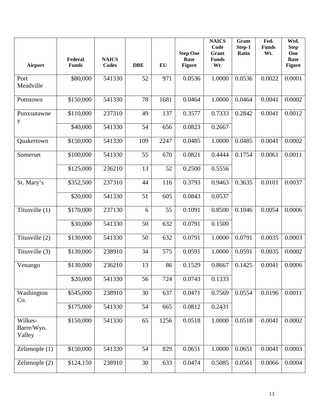| Airport                         | Federal<br><b>Funds</b> | <b>NAICS</b><br><b>Codes</b> | <b>DBE</b> | EU   | <b>Step One</b><br><b>Base</b><br><b>Figure</b> | <b>NAICS</b><br>Code<br>Grant<br><b>Funds</b><br>Wt. | Grant<br>Step-1<br>Ratio | Fed.<br><b>Funds</b><br>Wt. | Wtd.<br><b>Step</b><br>One<br><b>Base</b><br><b>Figure</b> |
|---------------------------------|-------------------------|------------------------------|------------|------|-------------------------------------------------|------------------------------------------------------|--------------------------|-----------------------------|------------------------------------------------------------|
| Port<br>Meadville               | \$80,000                | 541330                       | 52         | 971  | 0.0536                                          | 1.0000                                               | 0.0536                   | 0.0022                      | 0.0001                                                     |
| Pottstown                       | \$150,000               | 541330                       | 78         | 1681 | 0.0464                                          | 1.0000                                               | 0.0464                   | 0.0041                      | 0.0002                                                     |
| Punxsutawne<br>y                | \$110,000               | 237310                       | 49         | 137  | 0.3577                                          | 0.7333                                               | 0.2842                   | 0.0041                      | 0.0012                                                     |
|                                 | \$40,000                | 541330                       | 54         | 656  | 0.0823                                          | 0.2667                                               |                          |                             |                                                            |
| Quakertown                      | \$150,000               | 541330                       | 109        | 2247 | 0.0485                                          | 1.0000                                               | 0.0485                   | 0.0041                      | 0.0002                                                     |
| Somerset                        | \$100,000               | 541330                       | 55         | 670  | 0.0821                                          | 0.4444                                               | 0.1754                   | 0.0061                      | 0.0011                                                     |
|                                 | \$125,000               | 236210                       | 13         | 52   | 0.2500                                          | 0.5556                                               |                          |                             |                                                            |
| St. Mary's                      | \$352,500               | 237310                       | 44         | 116  | 0.3793                                          | 0.9463                                               | 0.3635                   | 0.0101                      | 0.0037                                                     |
|                                 | \$20,000                | 541330                       | 51         | 605  | 0.0843                                          | 0.0537                                               |                          |                             |                                                            |
| Titusville (1)                  | \$170,000               | 237130                       | 6          | 55   | 0.1091                                          | 0.8500                                               | 0.1046                   | 0.0054                      | 0.0006                                                     |
|                                 | \$30,000                | 541330                       | 50         | 632  | 0.0791                                          | 0.1500                                               |                          |                             |                                                            |
| Titusville (2)                  | \$130,000               | 541330                       | 50         | 632  | 0.0791                                          | 1.0000                                               | 0.0791                   | 0.0035                      | 0.0003                                                     |
| Titusville (3)                  | \$130,000               | 238910                       | 34         | 575  | 0.0591                                          | 1.0000                                               | 0.0591                   | 0.0035                      | 0.0002                                                     |
| Venango                         | \$130,000               | 236210                       | 13         | 86   | 0.1529                                          | 0.8667                                               | 0.1425                   | 0.0041                      | 0.0006                                                     |
|                                 | \$20,000                | 541330                       | 56         | 724  | 0.0743                                          | 0.1333                                               |                          |                             |                                                            |
| Washington<br>Co.               | \$545,000               | 238910                       | 30         | 637  | 0.0471                                          | 0.7569                                               | 0.0554                   | 0.0196                      | 0.0011                                                     |
|                                 | \$175,000               | 541330                       | 54         | 665  | 0.0812                                          | 0.2431                                               |                          |                             |                                                            |
| Wilkes-<br>Barre/Wyo.<br>Valley | \$150,000               | 541330                       | 65         | 1256 | 0.0518                                          | 1.0000                                               | 0.0518                   | 0.0041                      | 0.0002                                                     |
| Zelienople (1)                  | \$150,000               | 541330                       | 54         | 829  | 0.0651                                          | 1.0000                                               | 0.0651                   | 0.0041                      | 0.0003                                                     |
| Zelienople (2)                  | \$124,150               | 238910                       | 30         | 633  | 0.0474                                          | 0.5085                                               | 0.0561                   | 0.0066                      | 0.0004                                                     |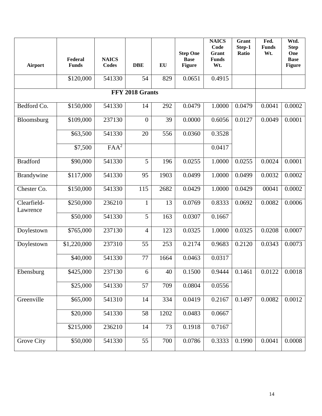| Airport                 | Federal<br><b>Funds</b> | <b>NAICS</b><br><b>Codes</b> | <b>DBE</b>       | EU   | <b>Step One</b><br><b>Base</b><br><b>Figure</b> | <b>NAICS</b><br>Code<br>Grant<br><b>Funds</b><br>Wt. | Grant<br>Step-1<br>Ratio | Fed.<br><b>Funds</b><br>Wt. | Wtd.<br><b>Step</b><br>One<br><b>Base</b><br><b>Figure</b> |
|-------------------------|-------------------------|------------------------------|------------------|------|-------------------------------------------------|------------------------------------------------------|--------------------------|-----------------------------|------------------------------------------------------------|
|                         | \$120,000               | 541330                       | 54               | 829  | 0.0651                                          | 0.4915                                               |                          |                             |                                                            |
|                         |                         |                              | FFY 2018 Grants  |      |                                                 |                                                      |                          |                             |                                                            |
| Bedford Co.             | \$150,000               | 541330                       | 14               | 292  | 0.0479                                          | 1.0000                                               | 0.0479                   | 0.0041                      | 0.0002                                                     |
| Bloomsburg              | \$109,000               | 237130                       | $\boldsymbol{0}$ | 39   | 0.0000                                          | 0.6056                                               | 0.0127                   | 0.0049                      | 0.0001                                                     |
|                         | \$63,500                | 541330                       | 20               | 556  | 0.0360                                          | 0.3528                                               |                          |                             |                                                            |
|                         | $\overline{$}7,500$     | FAA <sup>2</sup>             |                  |      |                                                 | 0.0417                                               |                          |                             |                                                            |
| <b>Bradford</b>         | \$90,000                | 541330                       | 5                | 196  | 0.0255                                          | 1.0000                                               | 0.0255                   | 0.0024                      | 0.0001                                                     |
| <b>Brandywine</b>       | \$117,000               | 541330                       | 95               | 1903 | 0.0499                                          | 1.0000                                               | 0.0499                   | 0.0032                      | 0.0002                                                     |
| Chester Co.             | \$150,000               | 541330                       | 115              | 2682 | 0.0429                                          | 1.0000                                               | 0.0429                   | 00041                       | 0.0002                                                     |
| Clearfield-<br>Lawrence | \$250,000               | 236210                       | 1                | 13   | 0.0769                                          | 0.8333                                               | 0.0692                   | 0.0082                      | 0.0006                                                     |
|                         | \$50,000                | 541330                       | 5                | 163  | 0.0307                                          | 0.1667                                               |                          |                             |                                                            |
| Doylestown              | \$765,000               | 237130                       | $\overline{4}$   | 123  | 0.0325                                          | 1.0000                                               | 0.0325                   | 0.0208                      | 0.0007                                                     |
| Doylestown              | \$1,220,000             | 237310                       | 55               | 253  | 0.2174                                          | 0.9683                                               | 0.2120                   | 0.0343                      | 0.0073                                                     |
|                         | \$40,000                | 541330                       | 77               | 1664 | 0.0463                                          | 0.0317                                               |                          |                             |                                                            |
| Ebensburg               | \$425,000               | 237130                       | 6                | 40   | 0.1500                                          |                                                      | $0.9444 \mid 0.1461$     | 0.0122                      | 0.0018                                                     |
|                         | \$25,000                | 541330                       | 57               | 709  | 0.0804                                          | 0.0556                                               |                          |                             |                                                            |
| Greenville              | \$65,000                | 541310                       | 14               | 334  | 0.0419                                          | 0.2167                                               | 0.1497                   | 0.0082                      | 0.0012                                                     |
|                         | \$20,000                | 541330                       | 58               | 1202 | 0.0483                                          | 0.0667                                               |                          |                             |                                                            |
|                         | \$215,000               | 236210                       | 14               | 73   | 0.1918                                          | 0.7167                                               |                          |                             |                                                            |
| Grove City              | \$50,000                | 541330                       | 55               | 700  | 0.0786                                          | 0.3333                                               | 0.1990                   | 0.0041                      | 0.0008                                                     |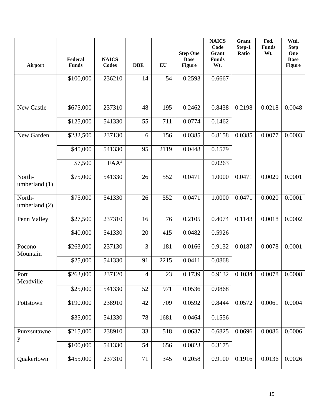| <b>Airport</b>            | Federal<br><b>Funds</b> | <b>NAICS</b><br><b>Codes</b> | <b>DBE</b>     | EU   | <b>Step One</b><br><b>Base</b><br><b>Figure</b> | <b>NAICS</b><br>Code<br>Grant<br><b>Funds</b><br>Wt. | Grant<br>Step-1<br>Ratio | Fed.<br><b>Funds</b><br>Wt. | Wtd.<br><b>Step</b><br>One<br><b>Base</b><br><b>Figure</b> |
|---------------------------|-------------------------|------------------------------|----------------|------|-------------------------------------------------|------------------------------------------------------|--------------------------|-----------------------------|------------------------------------------------------------|
|                           | \$100,000               | 236210                       | 14             | 54   | 0.2593                                          | 0.6667                                               |                          |                             |                                                            |
| <b>New Castle</b>         | \$675,000               | 237310                       | 48             | 195  | 0.2462                                          | 0.8438                                               | 0.2198                   | 0.0218                      | 0.0048                                                     |
|                           | \$125,000               | 541330                       | 55             | 711  | 0.0774                                          | 0.1462                                               |                          |                             |                                                            |
| New Garden                | \$232,500               | 237130                       | 6              | 156  | 0.0385                                          | 0.8158                                               | 0.0385                   | 0.0077                      | 0.0003                                                     |
|                           | \$45,000                | 541330                       | 95             | 2119 | 0.0448                                          | 0.1579                                               |                          |                             |                                                            |
|                           | \$7,500                 | FAA <sup>2</sup>             |                |      |                                                 | 0.0263                                               |                          |                             |                                                            |
| North-<br>umberland $(1)$ | \$75,000                | 541330                       | 26             | 552  | 0.0471                                          | 1.0000                                               | 0.0471                   | 0.0020                      | 0.0001                                                     |
| North-<br>umberland (2)   | \$75,000                | 541330                       | 26             | 552  | 0.0471                                          | 1.0000                                               | 0.0471                   | 0.0020                      | 0.0001                                                     |
| Penn Valley               | \$27,500                | 237310                       | 16             | 76   | 0.2105                                          | 0.4074                                               | 0.1143                   | 0.0018                      | 0.0002                                                     |
|                           | \$40,000                | 541330                       | 20             | 415  | 0.0482                                          | 0.5926                                               |                          |                             |                                                            |
| Pocono<br>Mountain        | \$263,000               | 237130                       | $\overline{3}$ | 181  | 0.0166                                          | 0.9132                                               | 0.0187                   | 0.0078                      | 0.0001                                                     |
|                           | \$25,000                | 541330                       | 91             | 2215 | 0.0411                                          | 0.0868                                               |                          |                             |                                                            |
| Port<br>Meadville         | \$263,000               | 237120                       | $\overline{4}$ | 23   | 0.1739                                          | 0.9132                                               | 0.1034                   | 0.0078                      | 0.0008                                                     |
|                           | \$25,000                | 541330                       | 52             | 971  | 0.0536                                          | 0.0868                                               |                          |                             |                                                            |
| Pottstown                 | \$190,000               | 238910                       | 42             | 709  | 0.0592                                          | 0.8444                                               | 0.0572                   | 0.0061                      | 0.0004                                                     |
|                           | \$35,000                | 541330                       | 78             | 1681 | 0.0464                                          | 0.1556                                               |                          |                             |                                                            |
| Punxsutawne<br>y          | \$215,000               | 238910                       | 33             | 518  | 0.0637                                          | 0.6825                                               | 0.0696                   | 0.0086                      | 0.0006                                                     |
|                           | \$100,000               | 541330                       | 54             | 656  | 0.0823                                          | 0.3175                                               |                          |                             |                                                            |
| Quakertown                | \$455,000               | 237310                       | 71             | 345  | 0.2058                                          | 0.9100                                               | 0.1916                   | 0.0136                      | 0.0026                                                     |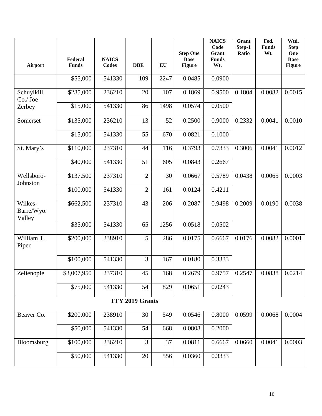| <b>Airport</b>                  | Federal<br><b>Funds</b> | <b>NAICS</b><br><b>Codes</b> | <b>DBE</b>      | EU   | <b>Step One</b><br><b>Base</b><br><b>Figure</b> | <b>NAICS</b><br>Code<br>Grant<br><b>Funds</b><br>Wt. | Grant<br>Step-1<br>Ratio | Fed.<br><b>Funds</b><br>Wt. | Wtd.<br><b>Step</b><br>One<br><b>Base</b><br><b>Figure</b> |
|---------------------------------|-------------------------|------------------------------|-----------------|------|-------------------------------------------------|------------------------------------------------------|--------------------------|-----------------------------|------------------------------------------------------------|
|                                 | \$55,000                | 541330                       | 109             | 2247 | 0.0485                                          | 0.0900                                               |                          |                             |                                                            |
| Schuylkill<br>$Co./$ Joe        | \$285,000               | 236210                       | 20              | 107  | 0.1869                                          | 0.9500                                               | 0.1804                   | 0.0082                      | 0.0015                                                     |
| Zerbey                          | \$15,000                | 541330                       | 86              | 1498 | 0.0574                                          | 0.0500                                               |                          |                             |                                                            |
| Somerset                        | \$135,000               | 236210                       | 13              | 52   | 0.2500                                          | 0.9000                                               | 0.2332                   | 0.0041                      | 0.0010                                                     |
|                                 | \$15,000                | 541330                       | 55              | 670  | 0.0821                                          | 0.1000                                               |                          |                             |                                                            |
| St. Mary's                      | \$110,000               | 237310                       | 44              | 116  | 0.3793                                          | 0.7333                                               | 0.3006                   | 0.0041                      | 0.0012                                                     |
|                                 | \$40,000                | 541330                       | 51              | 605  | 0.0843                                          | 0.2667                                               |                          |                             |                                                            |
| Wellsboro-<br>Johnston          | \$137,500               | 237310                       | $\overline{2}$  | 30   | 0.0667                                          | 0.5789                                               | 0.0438                   | 0.0065                      | 0.0003                                                     |
|                                 | \$100,000               | 541330                       | $\overline{2}$  | 161  | 0.0124                                          | 0.4211                                               |                          |                             |                                                            |
| Wilkes-<br>Barre/Wyo.<br>Valley | \$662,500               | 237310                       | 43              | 206  | 0.2087                                          | 0.9498                                               | 0.2009                   | 0.0190                      | 0.0038                                                     |
|                                 | \$35,000                | 541330                       | 65              | 1256 | 0.0518                                          | 0.0502                                               |                          |                             |                                                            |
| William T.<br>Piper             | \$200,000               | 238910                       | 5               | 286  | 0.0175                                          | 0.6667                                               | 0.0176                   | 0.0082                      | 0.0001                                                     |
|                                 | \$100,000               | 541330                       | $\overline{3}$  | 167  | 0.0180                                          | 0.3333                                               |                          |                             |                                                            |
| Zelienople                      | \$3,007,950             | 237310                       | 45              | 168  | 0.2679                                          | 0.9757                                               | 0.2547                   | 0.0838                      | 0.0214                                                     |
|                                 | \$75,000                | 541330                       | 54              | 829  | 0.0651                                          | 0.0243                                               |                          |                             |                                                            |
|                                 |                         |                              | FFY 2019 Grants |      |                                                 |                                                      |                          |                             |                                                            |
| Beaver Co.                      | \$200,000               | 238910                       | 30              | 549  | 0.0546                                          | 0.8000                                               | 0.0599                   | 0.0068                      | 0.0004                                                     |
|                                 | \$50,000                | 541330                       | 54              | 668  | 0.0808                                          | 0.2000                                               |                          |                             |                                                            |
| Bloomsburg                      | \$100,000               | 236210                       | 3               | 37   | 0.0811                                          | 0.6667                                               | 0.0660                   | 0.0041                      | 0.0003                                                     |
|                                 | \$50,000                | 541330                       | 20              | 556  | 0.0360                                          | 0.3333                                               |                          |                             |                                                            |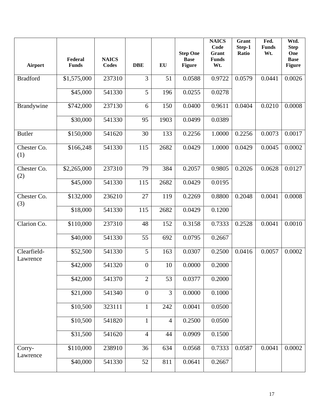| Airport                 | Federal<br><b>Funds</b> | <b>NAICS</b><br><b>Codes</b> | <b>DBE</b>       | EU             | <b>Step One</b><br><b>Base</b><br><b>Figure</b> | <b>NAICS</b><br>Code<br><b>Grant</b><br><b>Funds</b><br>Wt. | Grant<br>Step-1<br>Ratio | Fed.<br><b>Funds</b><br>Wt. | Wtd.<br><b>Step</b><br>One<br><b>Base</b><br>Figure |
|-------------------------|-------------------------|------------------------------|------------------|----------------|-------------------------------------------------|-------------------------------------------------------------|--------------------------|-----------------------------|-----------------------------------------------------|
| <b>Bradford</b>         | \$1,575,000             | 237310                       | $\overline{3}$   | 51             | 0.0588                                          | 0.9722                                                      | 0.0579                   | 0.0441                      | 0.0026                                              |
|                         | \$45,000                | 541330                       | 5                | 196            | 0.0255                                          | 0.0278                                                      |                          |                             |                                                     |
| Brandywine              | \$742,000               | 237130                       | 6                | 150            | 0.0400                                          | 0.9611                                                      | 0.0404                   | 0.0210                      | 0.0008                                              |
|                         | \$30,000                | 541330                       | 95               | 1903           | 0.0499                                          | 0.0389                                                      |                          |                             |                                                     |
| <b>Butler</b>           | \$150,000               | 541620                       | 30               | 133            | 0.2256                                          | 1.0000                                                      | 0.2256                   | 0.0073                      | 0.0017                                              |
| Chester Co.<br>(1)      | \$166,248               | 541330                       | 115              | 2682           | 0.0429                                          | 1.0000                                                      | 0.0429                   | 0.0045                      | 0.0002                                              |
| Chester Co.<br>(2)      | \$2,265,000             | 237310                       | 79               | 384            | 0.2057                                          | 0.9805                                                      | 0.2026                   | 0.0628                      | 0.0127                                              |
|                         | \$45,000                | 541330                       | 115              | 2682           | 0.0429                                          | 0.0195                                                      |                          |                             |                                                     |
| Chester Co.<br>(3)      | \$132,000               | 236210                       | 27               | 119            | 0.2269                                          | 0.8800                                                      | 0.2048                   | 0.0041                      | 0.0008                                              |
|                         | \$18,000                | 541330                       | 115              | 2682           | 0.0429                                          | 0.1200                                                      |                          |                             |                                                     |
| Clarion Co.             | \$110,000               | 237310                       | 48               | 152            | 0.3158                                          | 0.7333                                                      | 0.2528                   | 0.0041                      | 0.0010                                              |
|                         | \$40,000                | 541330                       | 55               | 692            | 0.0795                                          | 0.2667                                                      |                          |                             |                                                     |
| Clearfield-<br>Lawrence | \$52,500                | 541330                       | 5                | 163            | 0.0307                                          | 0.2500                                                      | 0.0416                   | 0.0057                      | 0.0002                                              |
|                         | \$42,000                | 541320                       | $\boldsymbol{0}$ | 10             | 0.0000                                          | 0.2000                                                      |                          |                             |                                                     |
|                         | \$42,000                | 541370                       | $\mathbf{2}$     | 53             | 0.0377                                          | 0.2000                                                      |                          |                             |                                                     |
|                         | \$21,000                | 541340                       | $\boldsymbol{0}$ | 3              | 0.0000                                          | 0.1000                                                      |                          |                             |                                                     |
|                         | \$10,500                | 323111                       | $\mathbf{1}$     | 242            | 0.0041                                          | 0.0500                                                      |                          |                             |                                                     |
|                         | \$10,500                | 541820                       | $\mathbf 1$      | $\overline{4}$ | 0.2500                                          | 0.0500                                                      |                          |                             |                                                     |
|                         | \$31,500                | 541620                       | $\overline{4}$   | 44             | 0.0909                                          | 0.1500                                                      |                          |                             |                                                     |
| Corry-<br>Lawrence      | \$110,000               | 238910                       | 36               | 634            | 0.0568                                          | 0.7333                                                      | 0.0587                   | 0.0041                      | 0.0002                                              |
|                         | \$40,000                | 541330                       | 52               | 811            | 0.0641                                          | 0.2667                                                      |                          |                             |                                                     |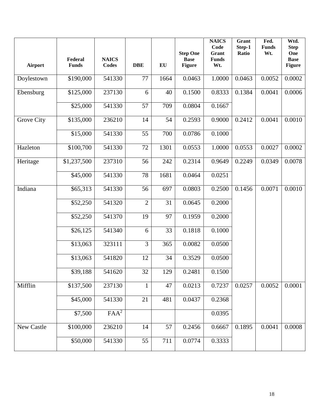| <b>Airport</b> | Federal<br><b>Funds</b> | <b>NAICS</b><br><b>Codes</b> | <b>DBE</b>     | EU   | <b>Step One</b><br><b>Base</b><br><b>Figure</b> | <b>NAICS</b><br>Code<br>Grant<br><b>Funds</b><br>Wt. | Grant<br>Step-1<br>Ratio | Fed.<br><b>Funds</b><br>Wt. | Wtd.<br><b>Step</b><br>One<br><b>Base</b><br><b>Figure</b> |
|----------------|-------------------------|------------------------------|----------------|------|-------------------------------------------------|------------------------------------------------------|--------------------------|-----------------------------|------------------------------------------------------------|
| Doylestown     | \$190,000               | 541330                       | 77             | 1664 | 0.0463                                          | 1.0000                                               | 0.0463                   | 0.0052                      | 0.0002                                                     |
| Ebensburg      | \$125,000               | 237130                       | 6              | 40   | 0.1500                                          | 0.8333                                               | 0.1384                   | 0.0041                      | 0.0006                                                     |
|                | \$25,000                | 541330                       | 57             | 709  | 0.0804                                          | 0.1667                                               |                          |                             |                                                            |
| Grove City     | \$135,000               | 236210                       | 14             | 54   | 0.2593                                          | 0.9000                                               | 0.2412                   | 0.0041                      | 0.0010                                                     |
|                | \$15,000                | 541330                       | 55             | 700  | 0.0786                                          | 0.1000                                               |                          |                             |                                                            |
| Hazleton       | \$100,700               | 541330                       | 72             | 1301 | 0.0553                                          | 1.0000                                               | 0.0553                   | 0.0027                      | 0.0002                                                     |
| Heritage       | \$1,237,500             | 237310                       | 56             | 242  | 0.2314                                          | 0.9649                                               | 0.2249                   | 0.0349                      | 0.0078                                                     |
|                | \$45,000                | 541330                       | 78             | 1681 | 0.0464                                          | 0.0251                                               |                          |                             |                                                            |
| Indiana        | \$65,313                | 541330                       | 56             | 697  | 0.0803                                          | 0.2500                                               | 0.1456                   | 0.0071                      | 0.0010                                                     |
|                | \$52,250                | 541320                       | $\overline{2}$ | 31   | 0.0645                                          | 0.2000                                               |                          |                             |                                                            |
|                | \$52,250                | 541370                       | 19             | 97   | 0.1959                                          | 0.2000                                               |                          |                             |                                                            |
|                | \$26,125                | 541340                       | 6              | 33   | 0.1818                                          | 0.1000                                               |                          |                             |                                                            |
|                | \$13,063                | 323111                       | $\overline{3}$ | 365  | 0.0082                                          | 0.0500                                               |                          |                             |                                                            |
|                | \$13,063                | 541820                       | 12             | 34   | 0.3529                                          | 0.0500                                               |                          |                             |                                                            |
|                | \$39,188                | 541620                       | 32             | 129  | 0.2481                                          | 0.1500                                               |                          |                             |                                                            |
| Mifflin        | \$137,500               | 237130                       | $\mathbf{1}$   | 47   | 0.0213                                          | 0.7237                                               | 0.0257                   | 0.0052                      | 0.0001                                                     |
|                | \$45,000                | 541330                       | 21             | 481  | 0.0437                                          | 0.2368                                               |                          |                             |                                                            |
|                | \$7,500                 | FAA <sup>2</sup>             |                |      |                                                 | 0.0395                                               |                          |                             |                                                            |
| New Castle     | \$100,000               | 236210                       | 14             | 57   | 0.2456                                          | 0.6667                                               | 0.1895                   | 0.0041                      | 0.0008                                                     |
|                | \$50,000                | 541330                       | 55             | 711  | 0.0774                                          | 0.3333                                               |                          |                             |                                                            |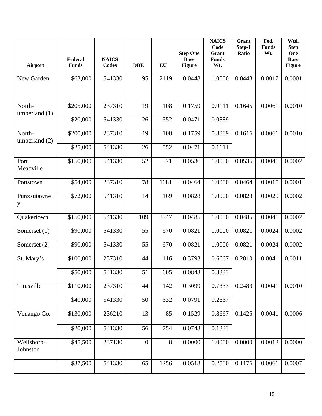| Airport                 | Federal<br><b>Funds</b> | <b>NAICS</b><br><b>Codes</b> | <b>DBE</b>       | $\mathbf{E}\mathbf{U}$ | <b>Step One</b><br><b>Base</b><br><b>Figure</b> | <b>NAICS</b><br>Code<br>Grant<br><b>Funds</b><br>Wt. | Grant<br>Step-1<br>Ratio | Fed.<br><b>Funds</b><br>Wt. | Wtd.<br><b>Step</b><br>One<br><b>Base</b><br><b>Figure</b> |
|-------------------------|-------------------------|------------------------------|------------------|------------------------|-------------------------------------------------|------------------------------------------------------|--------------------------|-----------------------------|------------------------------------------------------------|
| New Garden              | \$63,000                | 541330                       | 95               | 2119                   | 0.0448                                          | 1.0000                                               | 0.0448                   | 0.0017                      | 0.0001                                                     |
| North-<br>umberland (1) | \$205,000               | 237310                       | 19               | 108                    | 0.1759                                          | 0.9111                                               | 0.1645                   | 0.0061                      | 0.0010                                                     |
|                         | \$20,000                | 541330                       | 26               | 552                    | 0.0471                                          | 0.0889                                               |                          |                             |                                                            |
| North-<br>umberland (2) | \$200,000               | 237310                       | 19               | 108                    | 0.1759                                          | 0.8889                                               | 0.1616                   | 0.0061                      | 0.0010                                                     |
|                         | \$25,000                | 541330                       | 26               | 552                    | 0.0471                                          | 0.1111                                               |                          |                             |                                                            |
| Port<br>Meadville       | \$150,000               | 541330                       | 52               | 971                    | 0.0536                                          | 1.0000                                               | 0.0536                   | 0.0041                      | 0.0002                                                     |
| Pottstown               | \$54,000                | 237310                       | 78               | 1681                   | 0.0464                                          | 1.0000                                               | 0.0464                   | 0.0015                      | 0.0001                                                     |
| Punxsutawne<br>y        | \$72,000                | 541310                       | 14               | 169                    | 0.0828                                          | 1.0000                                               | 0.0828                   | 0.0020                      | 0.0002                                                     |
| Quakertown              | \$150,000               | 541330                       | 109              | 2247                   | 0.0485                                          | 1.0000                                               | 0.0485                   | 0.0041                      | 0.0002                                                     |
| Somerset $(1)$          | \$90,000                | 541330                       | 55               | 670                    | 0.0821                                          | 1.0000                                               | 0.0821                   | 0.0024                      | 0.0002                                                     |
| Somerset (2)            | \$90,000                | 541330                       | 55               | 670                    | 0.0821                                          | 1.0000                                               | 0.0821                   | 0.0024                      | 0.0002                                                     |
| St. Mary's              | \$100,000               | 237310                       | 44               | 116                    | 0.3793                                          | 0.6667                                               | 0.2810                   | 0.0041                      | 0.0011                                                     |
|                         | \$50,000                | 541330                       | 51               | 605                    | 0.0843                                          | 0.3333                                               |                          |                             |                                                            |
| Titusville              | \$110,000               | 237310                       | 44               | 142                    | 0.3099                                          | 0.7333                                               | 0.2483                   | 0.0041                      | 0.0010                                                     |
|                         | \$40,000                | 541330                       | 50               | 632                    | 0.0791                                          | 0.2667                                               |                          |                             |                                                            |
| Venango Co.             | \$130,000               | 236210                       | 13               | 85                     | 0.1529                                          | 0.8667                                               | 0.1425                   | 0.0041                      | 0.0006                                                     |
|                         | \$20,000                | 541330                       | 56               | 754                    | 0.0743                                          | 0.1333                                               |                          |                             |                                                            |
| Wellsboro-<br>Johnston  | \$45,500                | 237130                       | $\boldsymbol{0}$ | 8                      | 0.0000                                          | 1.0000                                               | 0.0000                   | 0.0012                      | 0.0000                                                     |
|                         | \$37,500                | 541330                       | 65               | 1256                   | 0.0518                                          | 0.2500                                               | 0.1176                   | 0.0061                      | 0.0007                                                     |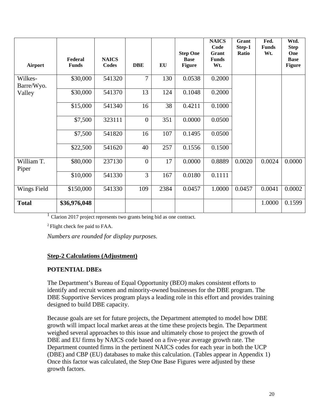| Airport               | Federal<br><b>Funds</b> | <b>NAICS</b><br>Codes | <b>DBE</b>       | EU   | <b>Step One</b><br><b>Base</b><br><b>Figure</b> | <b>NAICS</b><br>Code<br>Grant<br><b>Funds</b><br>Wt. | Grant<br>Step-1<br>Ratio | Fed.<br><b>Funds</b><br>Wt. | Wtd.<br><b>Step</b><br>One<br><b>Base</b><br><b>Figure</b> |
|-----------------------|-------------------------|-----------------------|------------------|------|-------------------------------------------------|------------------------------------------------------|--------------------------|-----------------------------|------------------------------------------------------------|
| Wilkes-<br>Barre/Wyo. | \$30,000                | 541320                | $\overline{7}$   | 130  | 0.0538                                          | 0.2000                                               |                          |                             |                                                            |
| Valley                | \$30,000                | 541370                | 13               | 124  | 0.1048                                          | 0.2000                                               |                          |                             |                                                            |
|                       | \$15,000                | 541340                | 16               | 38   | 0.4211                                          | 0.1000                                               |                          |                             |                                                            |
|                       | \$7,500                 | 323111                | $\boldsymbol{0}$ | 351  | 0.0000                                          | 0.0500                                               |                          |                             |                                                            |
|                       | \$7,500                 | 541820                | 16               | 107  | 0.1495                                          | 0.0500                                               |                          |                             |                                                            |
|                       | \$22,500                | 541620                | 40               | 257  | 0.1556                                          | 0.1500                                               |                          |                             |                                                            |
| William T.<br>Piper   | \$80,000                | 237130                | $\overline{0}$   | 17   | 0.0000                                          | 0.8889                                               | 0.0020                   | 0.0024                      | 0.0000                                                     |
|                       | \$10,000                | 541330                | 3                | 167  | 0.0180                                          | 0.1111                                               |                          |                             |                                                            |
| Wings Field           | \$150,000               | 541330                | 109              | 2384 | 0.0457                                          | 1.0000                                               | 0.0457                   | 0.0041                      | 0.0002                                                     |
| <b>Total</b>          | \$36,976,048            |                       |                  |      |                                                 |                                                      |                          | 1.0000                      | 0.1599                                                     |

<sup>1</sup> Clarion 2017 project represents two grants being bid as one contract.

2 Flight check fee paid to FAA.

*Numbers are rounded for display purposes.*

#### **Step-2 Calculations (Adjustment)**

#### **POTENTIAL DBEs**

The Department's Bureau of Equal Opportunity (BEO) makes consistent efforts to identify and recruit women and minority-owned businesses for the DBE program. The DBE Supportive Services program plays a leading role in this effort and provides training designed to build DBE capacity.

Because goals are set for future projects, the Department attempted to model how DBE growth will impact local market areas at the time these projects begin. The Department weighed several approaches to this issue and ultimately chose to project the growth of DBE and EU firms by NAICS code based on a five-year average growth rate. The Department counted firms in the pertinent NAICS codes for each year in both the UCP (DBE) and CBP (EU) databases to make this calculation. (Tables appear in Appendix 1) Once this factor was calculated, the Step One Base Figures were adjusted by these growth factors.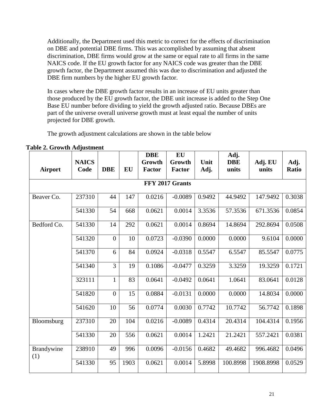Additionally, the Department used this metric to correct for the effects of discrimination on DBE and potential DBE firms. This was accomplished by assuming that absent discrimination, DBE firms would grow at the same or equal rate to all firms in the same NAICS code. If the EU growth factor for any NAICS code was greater than the DBE growth factor, the Department assumed this was due to discrimination and adjusted the DBE firm numbers by the higher EU growth factor.

In cases where the DBE growth factor results in an increase of EU units greater than those produced by the EU growth factor, the DBE unit increase is added to the Step One Base EU number before dividing to yield the growth adjusted ratio. Because DBEs are part of the universe overall universe growth must at least equal the number of units projected for DBE growth.

The growth adjustment calculations are shown in the table below

|                   | <b>NAICS</b> |                  |           | <b>DBE</b><br>Growth | <b>EU</b><br>Growth | Unit   | Adj.<br><b>DBE</b> | Adj. EU   | Adj.         |
|-------------------|--------------|------------------|-----------|----------------------|---------------------|--------|--------------------|-----------|--------------|
| <b>Airport</b>    | Code         | <b>DBE</b>       | <b>EU</b> | <b>Factor</b>        | <b>Factor</b>       | Adj.   | units              | units     | <b>Ratio</b> |
|                   |              |                  |           |                      | FFY 2017 Grants     |        |                    |           |              |
| Beaver Co.        | 237310       | 44               | 147       | 0.0216               | $-0.0089$           | 0.9492 | 44.9492            | 147.9492  | 0.3038       |
|                   | 541330       | 54               | 668       | 0.0621               | 0.0014              | 3.3536 | 57.3536            | 671.3536  | 0.0854       |
| Bedford Co.       | 541330       | 14               | 292       | 0.0621               | 0.0014              | 0.8694 | 14.8694            | 292.8694  | 0.0508       |
|                   | 541320       | $\boldsymbol{0}$ | 10        | 0.0723               | $-0.0390$           | 0.0000 | 0.0000             | 9.6104    | 0.0000       |
|                   | 541370       | 6                | 84        | 0.0924               | $-0.0318$           | 0.5547 | 6.5547             | 85.5547   | 0.0775       |
|                   | 541340       | $\overline{3}$   | 19        | 0.1086               | $-0.0477$           | 0.3259 | 3.3259             | 19.3259   | 0.1721       |
|                   | 323111       | $\mathbf{1}$     | 83        | 0.0641               | $-0.0492$           | 0.0641 | 1.0641             | 83.0641   | 0.0128       |
|                   | 541820       | $\mathbf{0}$     | 15        | 0.0884               | $-0.0131$           | 0.0000 | 0.0000             | 14.8034   | 0.0000       |
|                   | 541620       | 10               | 56        | 0.0774               | 0.0030              | 0.7742 | 10.7742            | 56.7742   | 0.1898       |
| Bloomsburg        | 237310       | 20               | 104       | 0.0216               | $-0.0089$           | 0.4314 | 20.4314            | 104.4314  | 0.1956       |
|                   | 541330       | 20               | 556       | 0.0621               | 0.0014              | 1.2421 | 21.2421            | 557.2421  | 0.0381       |
| Brandywine<br>(1) | 238910       | 49               | 996       | 0.0096               | $-0.0156$           | 0.4682 | 49.4682            | 996.4682  | 0.0496       |
|                   | 541330       | 95               | 1903      | 0.0621               | 0.0014              | 5.8998 | 100.8998           | 1908.8998 | 0.0529       |

**Table 2. Growth Adjustment**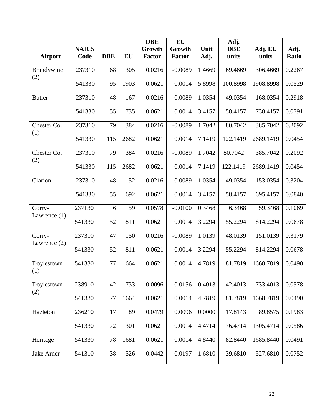|                          |              |            |      | <b>DBE</b>    | EU        |        | Adj.       |           |        |
|--------------------------|--------------|------------|------|---------------|-----------|--------|------------|-----------|--------|
|                          | <b>NAICS</b> |            |      | Growth        | Growth    | Unit   | <b>DBE</b> | Adj. EU   | Adj.   |
| <b>Airport</b>           | Code         | <b>DBE</b> | EU   | <b>Factor</b> | Factor    | Adj.   | units      | units     | Ratio  |
| Brandywine<br>(2)        | 237310       | 68         | 305  | 0.0216        | $-0.0089$ | 1.4669 | 69.4669    | 306.4669  | 0.2267 |
|                          | 541330       | 95         | 1903 | 0.0621        | 0.0014    | 5.8998 | 100.8998   | 1908.8998 | 0.0529 |
| <b>Butler</b>            | 237310       | 48         | 167  | 0.0216        | $-0.0089$ | 1.0354 | 49.0354    | 168.0354  | 0.2918 |
|                          | 541330       | 55         | 735  | 0.0621        | 0.0014    | 3.4157 | 58.4157    | 738.4157  | 0.0791 |
| Chester Co.<br>(1)       | 237310       | 79         | 384  | 0.0216        | $-0.0089$ | 1.7042 | 80.7042    | 385.7042  | 0.2092 |
|                          | 541330       | 115        | 2682 | 0.0621        | 0.0014    | 7.1419 | 122.1419   | 2689.1419 | 0.0454 |
| Chester Co.<br>(2)       | 237310       | 79         | 384  | 0.0216        | $-0.0089$ | 1.7042 | 80.7042    | 385.7042  | 0.2092 |
|                          | 541330       | 115        | 2682 | 0.0621        | 0.0014    | 7.1419 | 122.1419   | 2689.1419 | 0.0454 |
| Clarion                  | 237310       | 48         | 152  | 0.0216        | $-0.0089$ | 1.0354 | 49.0354    | 153.0354  | 0.3204 |
|                          | 541330       | 55         | 692  | 0.0621        | 0.0014    | 3.4157 | 58.4157    | 695.4157  | 0.0840 |
| Corry-<br>Lawrence $(1)$ | 237130       | 6          | 59   | 0.0578        | $-0.0100$ | 0.3468 | 6.3468     | 59.3468   | 0.1069 |
|                          | 541330       | 52         | 811  | 0.0621        | 0.0014    | 3.2294 | 55.2294    | 814.2294  | 0.0678 |
| Corry-<br>Lawrence $(2)$ | 237310       | 47         | 150  | 0.0216        | $-0.0089$ | 1.0139 | 48.0139    | 151.0139  | 0.3179 |
|                          | 541330       | 52         | 811  | 0.0621        | 0.0014    | 3.2294 | 55.2294    | 814.2294  | 0.0678 |
| Doylestown<br>(1)        | 541330       | 77         | 1664 | 0.0621        | 0.0014    | 4.7819 | 81.7819    | 1668.7819 | 0.0490 |
| Doylestown<br>(2)        | 238910       | 42         | 733  | 0.0096        | $-0.0156$ | 0.4013 | 42.4013    | 733.4013  | 0.0578 |
|                          | 541330       | 77         | 1664 | 0.0621        | 0.0014    | 4.7819 | 81.7819    | 1668.7819 | 0.0490 |
| Hazleton                 | 236210       | 17         | 89   | 0.0479        | 0.0096    | 0.0000 | 17.8143    | 89.8575   | 0.1983 |
|                          | 541330       | 72         | 1301 | 0.0621        | 0.0014    | 4.4714 | 76.4714    | 1305.4714 | 0.0586 |
| Heritage                 | 541330       | 78         | 1681 | 0.0621        | 0.0014    | 4.8440 | 82.8440    | 1685.8440 | 0.0491 |
| Jake Arner               | 541310       | 38         | 526  | 0.0442        | $-0.0197$ | 1.6810 | 39.6810    | 527.6810  | 0.0752 |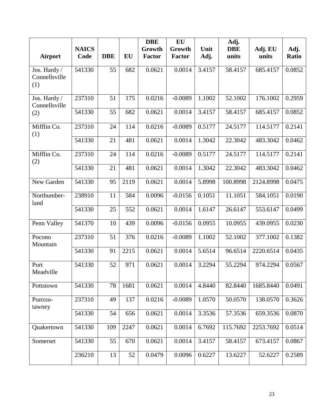|                                      |              |            |      | <b>DBE</b>    | <b>EU</b>     |        | Adj.       |           |              |
|--------------------------------------|--------------|------------|------|---------------|---------------|--------|------------|-----------|--------------|
|                                      | <b>NAICS</b> |            |      | Growth        | Growth        | Unit   | <b>DBE</b> | Adj. EU   | Adj.         |
| <b>Airport</b>                       | Code         | <b>DBE</b> | EU   | <b>Factor</b> | <b>Factor</b> | Adj.   | units      | units     | <b>Ratio</b> |
| Jos. Hardy /<br>Connellsville<br>(1) | 541330       | 55         | 682  | 0.0621        | 0.0014        | 3.4157 | 58.4157    | 685.4157  | 0.0852       |
| Jos. Hardy /<br>Connellsville        | 237310       | 51         | 175  | 0.0216        | $-0.0089$     | 1.1002 | 52.1002    | 176.1002  | 0.2959       |
| (2)                                  | 541330       | 55         | 682  | 0.0621        | 0.0014        | 3.4157 | 58.4157    | 685.4157  | 0.0852       |
| Mifflin Co.<br>(1)                   | 237310       | 24         | 114  | 0.0216        | $-0.0089$     | 0.5177 | 24.5177    | 114.5177  | 0.2141       |
|                                      | 541330       | 21         | 481  | 0.0621        | 0.0014        | 1.3042 | 22.3042    | 483.3042  | 0.0462       |
| Mifflin Co.<br>(2)                   | 237310       | 24         | 114  | 0.0216        | $-0.0089$     | 0.5177 | 24.5177    | 114.5177  | 0.2141       |
|                                      | 541330       | 21         | 481  | 0.0621        | 0.0014        | 1.3042 | 22.3042    | 483.3042  | 0.0462       |
| New Garden                           | 541330       | 95         | 2119 | 0.0621        | 0.0014        | 5.8998 | 100.8998   | 2124.8998 | 0.0475       |
| Northumber-<br>land                  | 238910       | 11         | 584  | 0.0096        | $-0.0156$     | 0.1051 | 11.1051    | 584.1051  | 0.0190       |
|                                      | 541330       | 25         | 552  | 0.0621        | 0.0014        | 1.6147 | 26.6147    | 553.6147  | 0.0499       |
| Penn Valley                          | 541370       | 10         | 439  | 0.0096        | $-0.0156$     | 0.0955 | 10.0955    | 439.0955  | 0.0230       |
| Pocono<br>Mountain                   | 237310       | 51         | 376  | 0.0216        | $-0.0089$     | 1.1002 | 52.1002    | 377.1002  | 0.1382       |
|                                      | 541330       | 91         | 2215 | 0.0621        | 0.0014        | 5.6514 | 96.6514    | 2220.6514 | 0.0435       |
| Port<br>Meadville                    | 541330       | 52         | 971  | 0.0621        | 0.0014        | 3.2294 | 55.2294    | 974.2294  | 0.0567       |
| Pottstown                            | 541330       | 78         | 1681 | 0.0621        | 0.0014        | 4.8440 | 82.8440    | 1685.8440 | 0.0491       |
| Punxsu-<br>tawney                    | 237310       | 49         | 137  | 0.0216        | $-0.0089$     | 1.0570 | 50.0570    | 138.0570  | 0.3626       |
|                                      | 541330       | 54         | 656  | 0.0621        | 0.0014        | 3.3536 | 57.3536    | 659.3536  | 0.0870       |
| Quakertown                           | 541330       | 109        | 2247 | 0.0621        | 0.0014        | 6.7692 | 115.7692   | 2253.7692 | 0.0514       |
| Somerset                             | 541330       | 55         | 670  | 0.0621        | 0.0014        | 3.4157 | 58.4157    | 673.4157  | 0.0867       |
|                                      | 236210       | 13         | 52   | 0.0479        | 0.0096        | 0.6227 | 13.6227    | 52.6227   | 0.2589       |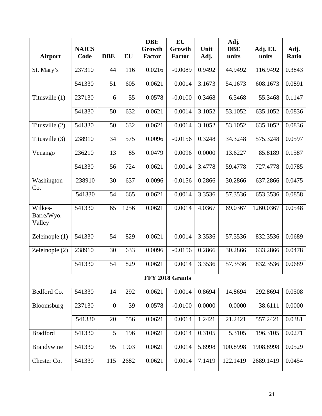|                                 |              |                  |      | <b>DBE</b>    | EU              |        | Adj.       |           |        |
|---------------------------------|--------------|------------------|------|---------------|-----------------|--------|------------|-----------|--------|
|                                 | <b>NAICS</b> |                  |      | Growth        | Growth          | Unit   | <b>DBE</b> | Adj. EU   | Adj.   |
| <b>Airport</b>                  | Code         | <b>DBE</b>       | EU   | <b>Factor</b> | <b>Factor</b>   | Adj.   | units      | units     | Ratio  |
| St. Mary's                      | 237310       | 44               | 116  | 0.0216        | $-0.0089$       | 0.9492 | 44.9492    | 116.9492  | 0.3843 |
|                                 | 541330       | 51               | 605  | 0.0621        | 0.0014          | 3.1673 | 54.1673    | 608.1673  | 0.0891 |
| Titusville (1)                  | 237130       | 6                | 55   | 0.0578        | $-0.0100$       | 0.3468 | 6.3468     | 55.3468   | 0.1147 |
|                                 | 541330       | 50               | 632  | 0.0621        | 0.0014          | 3.1052 | 53.1052    | 635.1052  | 0.0836 |
| Titusville (2)                  | 541330       | 50               | 632  | 0.0621        | 0.0014          | 3.1052 | 53.1052    | 635.1052  | 0.0836 |
| Titusville (3)                  | 238910       | 34               | 575  | 0.0096        | $-0.0156$       | 0.3248 | 34.3248    | 575.3248  | 0.0597 |
| Venango                         | 236210       | 13               | 85   | 0.0479        | 0.0096          | 0.0000 | 13.6227    | 85.8189   | 0.1587 |
|                                 | 541330       | 56               | 724  | 0.0621        | 0.0014          | 3.4778 | 59.4778    | 727.4778  | 0.0785 |
| Washington<br>Co.               | 238910       | 30               | 637  | 0.0096        | $-0.0156$       | 0.2866 | 30.2866    | 637.2866  | 0.0475 |
|                                 | 541330       | 54               | 665  | 0.0621        | 0.0014          | 3.3536 | 57.3536    | 653.3536  | 0.0858 |
| Wilkes-<br>Barre/Wyo.<br>Valley | 541330       | 65               | 1256 | 0.0621        | 0.0014          | 4.0367 | 69.0367    | 1260.0367 | 0.0548 |
| Zeleinople $(1)$                | 541330       | 54               | 829  | 0.0621        | 0.0014          | 3.3536 | 57.3536    | 832.3536  | 0.0689 |
| Zeleinople (2)                  | 238910       | 30               | 633  | 0.0096        | $-0.0156$       | 0.2866 | 30.2866    | 633.2866  | 0.0478 |
|                                 | 541330       | 54               | 829  | 0.0621        | 0.0014          | 3.3536 | 57.3536    | 832.3536  | 0.0689 |
|                                 |              |                  |      |               | FFY 2018 Grants |        |            |           |        |
| Bedford Co.                     | 541330       | 14               | 292  | 0.0621        | 0.0014          | 0.8694 | 14.8694    | 292.8694  | 0.0508 |
| Bloomsburg                      | 237130       | $\boldsymbol{0}$ | 39   | 0.0578        | $-0.0100$       | 0.0000 | 0.0000     | 38.6111   | 0.0000 |
|                                 | 541330       | 20               | 556  | 0.0621        | 0.0014          | 1.2421 | 21.2421    | 557.2421  | 0.0381 |
| <b>Bradford</b>                 | 541330       | 5                | 196  | 0.0621        | 0.0014          | 0.3105 | 5.3105     | 196.3105  | 0.0271 |
| Brandywine                      | 541330       | 95               | 1903 | 0.0621        | 0.0014          | 5.8998 | 100.8998   | 1908.8998 | 0.0529 |
| Chester Co.                     | 541330       | 115              | 2682 | 0.0621        | 0.0014          | 7.1419 | 122.1419   | 2689.1419 | 0.0454 |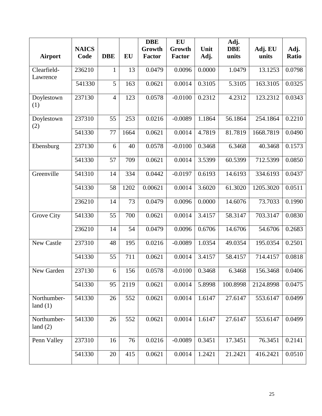|                           |                      |                |      | <b>DBE</b>              | EU                      |              | Adj.                |                  |               |
|---------------------------|----------------------|----------------|------|-------------------------|-------------------------|--------------|---------------------|------------------|---------------|
| <b>Airport</b>            | <b>NAICS</b><br>Code | <b>DBE</b>     | EU   | Growth<br><b>Factor</b> | Growth<br><b>Factor</b> | Unit<br>Adj. | <b>DBE</b><br>units | Adj. EU<br>units | Adj.<br>Ratio |
|                           |                      |                |      |                         |                         |              |                     |                  |               |
| Clearfield-               | 236210               | 1              | 13   | 0.0479                  | 0.0096                  | 0.0000       | 1.0479              | 13.1253          | 0.0798        |
| Lawrence                  | 541330               | 5              | 163  | 0.0621                  | 0.0014                  | 0.3105       | 5.3105              | 163.3105         | 0.0325        |
| Doylestown<br>(1)         | 237130               | $\overline{4}$ | 123  | 0.0578                  | $-0.0100$               | 0.2312       | 4.2312              | 123.2312         | 0.0343        |
| Doylestown<br>(2)         | 237310               | 55             | 253  | 0.0216                  | $-0.0089$               | 1.1864       | 56.1864             | 254.1864         | 0.2210        |
|                           | 541330               | 77             | 1664 | 0.0621                  | 0.0014                  | 4.7819       | 81.7819             | 1668.7819        | 0.0490        |
| Ebensburg                 | 237130               | 6              | 40   | 0.0578                  | $-0.0100$               | 0.3468       | 6.3468              | 40.3468          | 0.1573        |
|                           | 541330               | 57             | 709  | 0.0621                  | 0.0014                  | 3.5399       | 60.5399             | 712.5399         | 0.0850        |
| Greenville                | 541310               | 14             | 334  | 0.0442                  | $-0.0197$               | 0.6193       | 14.6193             | 334.6193         | 0.0437        |
|                           | 541330               | 58             | 1202 | 0.00621                 | 0.0014                  | 3.6020       | 61.3020             | 1205.3020        | 0.0511        |
|                           | 236210               | 14             | 73   | 0.0479                  | 0.0096                  | 0.0000       | 14.6076             | 73.7033          | 0.1990        |
| Grove City                | 541330               | 55             | 700  | 0.0621                  | 0.0014                  | 3.4157       | 58.3147             | 703.3147         | 0.0830        |
|                           | 236210               | 14             | 54   | 0.0479                  | 0.0096                  | 0.6706       | 14.6706             | 54.6706          | 0.2683        |
| New Castle                | 237310               | 48             | 195  | 0.0216                  | $-0.0089$               | 1.0354       | 49.0354             | 195.0354         | 0.2501        |
|                           | 541330               | 55             | 711  | 0.0621                  | 0.0014                  | 3.4157       | 58.4157             | 714.4157         | 0.0818        |
| New Garden                | 237130               | 6              | 156  | 0.0578                  | $-0.0100$               | 0.3468       | 6.3468              | 156.3468         | 0.0406        |
|                           | 541330               | 95             | 2119 | 0.0621                  | 0.0014                  | 5.8998       | 100.8998            | 2124.8998        | 0.0475        |
| Northumber-<br>land $(1)$ | 541330               | 26             | 552  | 0.0621                  | 0.0014                  | 1.6147       | 27.6147             | 553.6147         | 0.0499        |
| Northumber-<br>land $(2)$ | 541330               | 26             | 552  | 0.0621                  | 0.0014                  | 1.6147       | 27.6147             | 553.6147         | 0.0499        |
| Penn Valley               | 237310               | 16             | 76   | 0.0216                  | $-0.0089$               | 0.3451       | 17.3451             | 76.3451          | 0.2141        |
|                           | 541330               | 20             | 415  | 0.0621                  | 0.0014                  | 1.2421       | 21.2421             | 416.2421         | 0.0510        |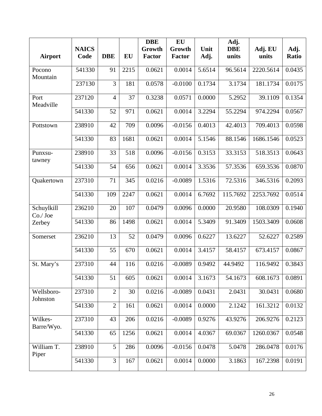|                        |              |                |      | <b>DBE</b>    | EU            |        | Adj.       |           |              |
|------------------------|--------------|----------------|------|---------------|---------------|--------|------------|-----------|--------------|
|                        | <b>NAICS</b> |                |      | Growth        | Growth        | Unit   | <b>DBE</b> | Adj. EU   | Adj.         |
| <b>Airport</b>         | Code         | <b>DBE</b>     | EU   | <b>Factor</b> | <b>Factor</b> | Adj.   | units      | units     | <b>Ratio</b> |
| Pocono<br>Mountain     | 541330       | 91             | 2215 | 0.0621        | 0.0014        | 5.6514 | 96.5614    | 2220.5614 | 0.0435       |
|                        | 237130       | $\overline{3}$ | 181  | 0.0578        | $-0.0100$     | 0.1734 | 3.1734     | 181.1734  | 0.0175       |
| Port<br>Meadville      | 237120       | $\overline{4}$ | 37   | 0.3238        | 0.0571        | 0.0000 | 5.2952     | 39.1109   | 0.1354       |
|                        | 541330       | 52             | 971  | 0.0621        | 0.0014        | 3.2294 | 55.2294    | 974.2294  | 0.0567       |
| Pottstown              | 238910       | 42             | 709  | 0.0096        | $-0.0156$     | 0.4013 | 42.4013    | 709.4013  | 0.0598       |
|                        | 541330       | 83             | 1681 | 0.0621        | 0.0014        | 5.1546 | 88.1546    | 1686.1546 | 0.0523       |
| Punxsu-<br>tawney      | 238910       | 33             | 518  | 0.0096        | $-0.0156$     | 0.3153 | 33.3153    | 518.3513  | 0.0643       |
|                        | 541330       | 54             | 656  | 0.0621        | 0.0014        | 3.3536 | 57.3536    | 659.3536  | 0.0870       |
| Quakertown             | 237310       | 71             | 345  | 0.0216        | $-0.0089$     | 1.5316 | 72.5316    | 346.5316  | 0.2093       |
|                        | 541330       | 109            | 2247 | 0.0621        | 0.0014        | 6.7692 | 115.7692   | 2253.7692 | 0.0514       |
| Schuylkill<br>Co./Joe  | 236210       | 20             | 107  | 0.0479        | 0.0096        | 0.0000 | 20.9580    | 108.0309  | 0.1940       |
| Zerbey                 | 541330       | 86             | 1498 | 0.0621        | 0.0014        | 5.3409 | 91.3409    | 1503.3409 | 0.0608       |
| Somerset               | 236210       | 13             | 52   | 0.0479        | 0.0096        | 0.6227 | 13.6227    | 52.6227   | 0.2589       |
|                        | 541330       | 55             | 670  | 0.0621        | 0.0014        | 3.4157 | 58.4157    | 673.4157  | 0.0867       |
| St. Mary's             | 237310       | 44             | 116  | 0.0216        | $-0.0089$     | 0.9492 | 44.9492    | 116.9492  | 0.3843       |
|                        | 541330       | 51             | 605  | 0.0621        | 0.0014        | 3.1673 | 54.1673    | 608.1673  | 0.0891       |
| Wellsboro-<br>Johnston | 237310       | $\overline{2}$ | 30   | 0.0216        | $-0.0089$     | 0.0431 | 2.0431     | 30.0431   | 0.0680       |
|                        | 541330       | $\overline{2}$ | 161  | 0.0621        | 0.0014        | 0.0000 | 2.1242     | 161.3212  | 0.0132       |
| Wilkes-<br>Barre/Wyo.  | 237310       | 43             | 206  | 0.0216        | $-0.0089$     | 0.9276 | 43.9276    | 206.9276  | 0.2123       |
|                        | 541330       | 65             | 1256 | 0.0621        | 0.0014        | 4.0367 | 69.0367    | 1260.0367 | 0.0548       |
| William T.<br>Piper    | 238910       | 5              | 286  | 0.0096        | $-0.0156$     | 0.0478 | 5.0478     | 286.0478  | 0.0176       |
|                        | 541330       | 3              | 167  | 0.0621        | 0.0014        | 0.0000 | 3.1863     | 167.2398  | 0.0191       |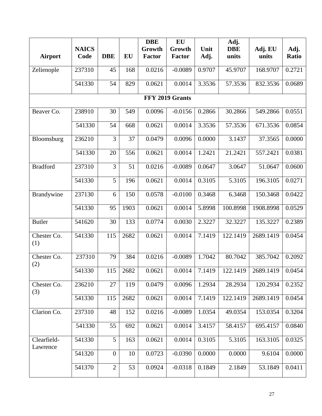|                         |              |                |      | <b>DBE</b>    | EU              |        | Adj.       |           |        |
|-------------------------|--------------|----------------|------|---------------|-----------------|--------|------------|-----------|--------|
|                         | <b>NAICS</b> |                |      | Growth        | Growth          | Unit   | <b>DBE</b> | Adj. EU   | Adj.   |
| <b>Airport</b>          | Code         | <b>DBE</b>     | EU   | <b>Factor</b> | <b>Factor</b>   | Adj.   | units      | units     | Ratio  |
| Zelienople              | 237310       | 45             | 168  | 0.0216        | $-0.0089$       | 0.9707 | 45.9707    | 168.9707  | 0.2721 |
|                         |              |                |      |               |                 |        |            |           |        |
|                         | 541330       | 54             | 829  | 0.0621        | 0.0014          | 3.3536 | 57.3536    | 832.3536  | 0.0689 |
|                         |              |                |      |               | FFY 2019 Grants |        |            |           |        |
| Beaver Co.              | 238910       | 30             | 549  | 0.0096        | $-0.0156$       | 0.2866 | 30.2866    | 549.2866  | 0.0551 |
|                         | 541330       | 54             | 668  | 0.0621        | 0.0014          | 3.3536 | 57.3536    | 671.3536  | 0.0854 |
| Bloomsburg              | 236210       | 3              | 37   | 0.0479        | 0.0096          | 0.0000 | 3.1437     | 37.3565   | 0.0000 |
|                         | 541330       | 20             | 556  | 0.0621        | 0.0014          | 1.2421 | 21.2421    | 557.2421  | 0.0381 |
| <b>Bradford</b>         | 237310       | 3              | 51   | 0.0216        | $-0.0089$       | 0.0647 | 3.0647     | 51.0647   | 0.0600 |
|                         | 541330       | 5              | 196  | 0.0621        | 0.0014          | 0.3105 | 5.3105     | 196.3105  | 0.0271 |
| Brandywine              | 237130       | 6              | 150  | 0.0578        | $-0.0100$       | 0.3468 | 6.3468     | 150.3468  | 0.0422 |
|                         | 541330       | 95             | 1903 | 0.0621        | 0.0014          | 5.8998 | 100.8998   | 1908.8998 | 0.0529 |
| <b>Butler</b>           | 541620       | 30             | 133  | 0.0774        | 0.0030          | 2.3227 | 32.3227    | 135.3227  | 0.2389 |
| Chester Co.<br>(1)      | 541330       | 115            | 2682 | 0.0621        | 0.0014          | 7.1419 | 122.1419   | 2689.1419 | 0.0454 |
| Chester Co.<br>(2)      | 237310       | 79             | 384  | 0.0216        | $-0.0089$       | 1.7042 | 80.7042    | 385.7042  | 0.2092 |
|                         | 541330       | 115            | 2682 | 0.0621        | 0.0014          | 7.1419 | 122.1419   | 2689.1419 | 0.0454 |
| Chester Co.<br>(3)      | 236210       | 27             | 119  | 0.0479        | 0.0096          | 1.2934 | 28.2934    | 120.2934  | 0.2352 |
|                         | 541330       | 115            | 2682 | 0.0621        | 0.0014          | 7.1419 | 122.1419   | 2689.1419 | 0.0454 |
| Clarion Co.             | 237310       | 48             | 152  | 0.0216        | $-0.0089$       | 1.0354 | 49.0354    | 153.0354  | 0.3204 |
|                         | 541330       | 55             | 692  | 0.0621        | 0.0014          | 3.4157 | 58.4157    | 695.4157  | 0.0840 |
| Clearfield-<br>Lawrence | 541330       | 5              | 163  | 0.0621        | 0.0014          | 0.3105 | 5.3105     | 163.3105  | 0.0325 |
|                         | 541320       | $\overline{0}$ | 10   | 0.0723        | $-0.0390$       | 0.0000 | 0.0000     | 9.6104    | 0.0000 |
|                         | 541370       | $\overline{2}$ | 53   | 0.0924        | $-0.0318$       | 0.1849 | 2.1849     | 53.1849   | 0.0411 |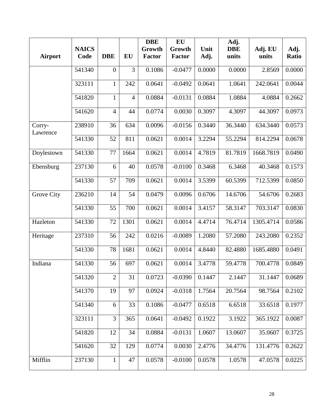|                    |              |                |                | <b>DBE</b>    | EU            |        | Adj.       |           |        |
|--------------------|--------------|----------------|----------------|---------------|---------------|--------|------------|-----------|--------|
|                    | <b>NAICS</b> |                |                | Growth        | Growth        | Unit   | <b>DBE</b> | Adj. EU   | Adj.   |
| <b>Airport</b>     | Code         | <b>DBE</b>     | EU             | <b>Factor</b> | <b>Factor</b> | Adj.   | units      | units     | Ratio  |
|                    | 541340       | $\overline{0}$ | 3              | 0.1086        | $-0.0477$     | 0.0000 | 0.0000     | 2.8569    | 0.0000 |
|                    | 323111       | $\mathbf{1}$   | 242            | 0.0641        | $-0.0492$     | 0.0641 | 1.0641     | 242.0641  | 0.0044 |
|                    | 541820       | $\mathbf{1}$   | $\overline{4}$ | 0.0884        | $-0.0131$     | 0.0884 | 1.0884     | 4.0884    | 0.2662 |
|                    | 541620       | $\overline{4}$ | 44             | 0.0774        | 0.0030        | 0.3097 | 4.3097     | 44.3097   | 0.0973 |
| Corry-<br>Lawrence | 238910       | 36             | 634            | 0.0096        | $-0.0156$     | 0.3440 | 36.3440    | 634.3440  | 0.0573 |
|                    | 541330       | 52             | 811            | 0.0621        | 0.0014        | 3.2294 | 55.2294    | 814.2294  | 0.0678 |
| Doylestown         | 541330       | 77             | 1664           | 0.0621        | 0.0014        | 4.7819 | 81.7819    | 1668.7819 | 0.0490 |
| Ebensburg          | 237130       | 6              | 40             | 0.0578        | $-0.0100$     | 0.3468 | 6.3468     | 40.3468   | 0.1573 |
|                    | 541330       | 57             | 709            | 0.0621        | 0.0014        | 3.5399 | 60.5399    | 712.5399  | 0.0850 |
| Grove City         | 236210       | 14             | 54             | 0.0479        | 0.0096        | 0.6706 | 14.6706    | 54.6706   | 0.2683 |
|                    | 541330       | 55             | 700            | 0.0621        | 0.0014        | 3.4157 | 58.3147    | 703.3147  | 0.0830 |
| Hazleton           | 541330       | 72             | 1301           | 0.0621        | 0.0014        | 4.4714 | 76.4714    | 1305.4714 | 0.0586 |
| Heritage           | 237310       | 56             | 242            | 0.0216        | $-0.0089$     | 1.2080 | 57.2080    | 243.2080  | 0.2352 |
|                    | 541330       | 78             | 1681           | 0.0621        | 0.0014        | 4.8440 | 82.4880    | 1685.4880 | 0.0491 |
| Indiana            | 541330       | 56             | 697            | 0.0621        | 0.0014        | 3.4778 | 59.4778    | 700.4778  | 0.0849 |
|                    | 541320       | $\overline{2}$ | 31             | 0.0723        | $-0.0390$     | 0.1447 | 2.1447     | 31.1447   | 0.0689 |
|                    | 541370       | 19             | 97             | 0.0924        | $-0.0318$     | 1.7564 | 20.7564    | 98.7564   | 0.2102 |
|                    | 541340       | 6              | 33             | 0.1086        | $-0.0477$     | 0.6518 | 6.6518     | 33.6518   | 0.1977 |
|                    | 323111       | 3              | 365            | 0.0641        | $-0.0492$     | 0.1922 | 3.1922     | 365.1922  | 0.0087 |
|                    | 541820       | 12             | 34             | 0.0884        | $-0.0131$     | 1.0607 | 13.0607    | 35.0607   | 0.3725 |
|                    | 541620       | 32             | 129            | 0.0774        | 0.0030        | 2.4776 | 34.4776    | 131.4776  | 0.2622 |
| Mifflin            | 237130       | $\mathbf{1}$   | 47             | 0.0578        | $-0.0100$     | 0.0578 | 1.0578     | 47.0578   | 0.0225 |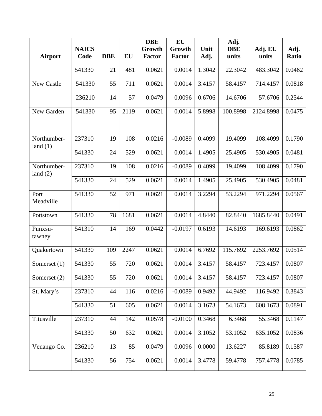|                           |              |            |           | <b>DBE</b>    | EU            |        | Adj.       |           |        |
|---------------------------|--------------|------------|-----------|---------------|---------------|--------|------------|-----------|--------|
|                           | <b>NAICS</b> |            |           | Growth        | Growth        | Unit   | <b>DBE</b> | Adj. EU   | Adj.   |
| <b>Airport</b>            | Code         | <b>DBE</b> | <b>EU</b> | <b>Factor</b> | <b>Factor</b> | Adj.   | units      | units     | Ratio  |
|                           | 541330       | 21         | 481       | 0.0621        | 0.0014        | 1.3042 | 22.3042    | 483.3042  | 0.0462 |
| New Castle                | 541330       | 55         | 711       | 0.0621        | 0.0014        | 3.4157 | 58.4157    | 714.4157  | 0.0818 |
|                           | 236210       | 14         | 57        | 0.0479        | 0.0096        | 0.6706 | 14.6706    | 57.6706   | 0.2544 |
| New Garden                | 541330       | 95         | 2119      | 0.0621        | 0.0014        | 5.8998 | 100.8998   | 2124.8998 | 0.0475 |
| Northumber-<br>land $(1)$ | 237310       | 19         | 108       | 0.0216        | $-0.0089$     | 0.4099 | 19.4099    | 108.4099  | 0.1790 |
|                           | 541330       | 24         | 529       | 0.0621        | 0.0014        | 1.4905 | 25.4905    | 530.4905  | 0.0481 |
| Northumber-<br>land $(2)$ | 237310       | 19         | 108       | 0.0216        | $-0.0089$     | 0.4099 | 19.4099    | 108.4099  | 0.1790 |
|                           | 541330       | 24         | 529       | 0.0621        | 0.0014        | 1.4905 | 25.4905    | 530.4905  | 0.0481 |
| Port<br>Meadville         | 541330       | 52         | 971       | 0.0621        | 0.0014        | 3.2294 | 53.2294    | 971.2294  | 0.0567 |
| Pottstown                 | 541330       | 78         | 1681      | 0.0621        | 0.0014        | 4.8440 | 82.8440    | 1685.8440 | 0.0491 |
| Punxsu-<br>tawney         | 541310       | 14         | 169       | 0.0442        | $-0.0197$     | 0.6193 | 14.6193    | 169.6193  | 0.0862 |
| Quakertown                | 541330       | 109        | 2247      | 0.0621        | 0.0014        | 6.7692 | 115.7692   | 2253.7692 | 0.0514 |
| Somerset $(1)$            | 541330       | 55         | 720       | 0.0621        | 0.0014        | 3.4157 | 58.4157    | 723.4157  | 0.0807 |
| Somerset (2)              | 541330       | 55         | 720       | 0.0621        | 0.0014        | 3.4157 | 58.4157    | 723.4157  | 0.0807 |
| St. Mary's                | 237310       | 44         | 116       | 0.0216        | $-0.0089$     | 0.9492 | 44.9492    | 116.9492  | 0.3843 |
|                           | 541330       | 51         | 605       | 0.0621        | 0.0014        | 3.1673 | 54.1673    | 608.1673  | 0.0891 |
| Titusville                | 237310       | 44         | 142       | 0.0578        | $-0.0100$     | 0.3468 | 6.3468     | 55.3468   | 0.1147 |
|                           | 541330       | 50         | 632       | 0.0621        | 0.0014        | 3.1052 | 53.1052    | 635.1052  | 0.0836 |
| Venango Co.               | 236210       | 13         | 85        | 0.0479        | 0.0096        | 0.0000 | 13.6227    | 85.8189   | 0.1587 |
|                           | 541330       | 56         | 754       | 0.0621        | 0.0014        | 3.4778 | 59.4778    | 757.4778  | 0.0785 |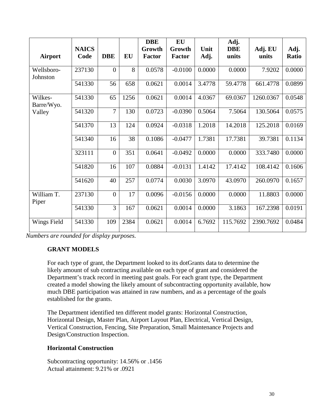| <b>Airport</b>         | <b>NAICS</b><br>Code | <b>DBE</b>       | <b>EU</b> | <b>DBE</b><br>Growth<br><b>Factor</b> | <b>EU</b><br>Growth<br><b>Factor</b> | Unit<br>Adj. | Adj.<br><b>DBE</b><br>units | Adj. EU<br>units | Adj.<br>Ratio |
|------------------------|----------------------|------------------|-----------|---------------------------------------|--------------------------------------|--------------|-----------------------------|------------------|---------------|
| Wellsboro-<br>Johnston | 237130               | $\overline{0}$   | 8         | 0.0578                                | $-0.0100$                            | 0.0000       | 0.0000                      | 7.9202           | 0.0000        |
|                        | 541330               | 56               | 658       | 0.0621                                | 0.0014                               | 3.4778       | 59.4778                     | 661.4778         | 0.0899        |
| Wilkes-<br>Barre/Wyo.  | 541330               | 65               | 1256      | 0.0621                                | 0.0014                               | 4.0367       | 69.0367                     | 1260.0367        | 0.0548        |
| Valley                 | 541320               | $\overline{7}$   | 130       | 0.0723                                | $-0.0390$                            | 0.5064       | 7.5064                      | 130.5064         | 0.0575        |
|                        | 541370               | 13               | 124       | 0.0924                                | $-0.0318$                            | 1.2018       | 14.2018                     | 125.2018         | 0.0169        |
|                        | 541340               | 16               | 38        | 0.1086                                | $-0.0477$                            | 1.7381       | 17.7381                     | 39.7381          | 0.1134        |
|                        | 323111               | $\mathbf{0}$     | 351       | 0.0641                                | $-0.0492$                            | 0.0000       | 0.0000                      | 333.7480         | 0.0000        |
|                        | 541820               | 16               | 107       | 0.0884                                | $-0.0131$                            | 1.4142       | 17.4142                     | 108.4142         | 0.1606        |
|                        | 541620               | 40               | 257       | 0.0774                                | 0.0030                               | 3.0970       | 43.0970                     | 260.0970         | 0.1657        |
| William T.<br>Piper    | 237130               | $\boldsymbol{0}$ | 17        | 0.0096                                | $-0.0156$                            | 0.0000       | 0.0000                      | 11.8803          | 0.0000        |
|                        | 541330               | $\overline{3}$   | 167       | 0.0621                                | 0.0014                               | 0.0000       | 3.1863                      | 167.2398         | 0.0191        |
| Wings Field            | 541330               | 109              | 2384      | 0.0621                                | 0.0014                               | 6.7692       | 115.7692                    | 2390.7692        | 0.0484        |

*Numbers are rounded for display purposes.*

#### **GRANT MODELS**

For each type of grant, the Department looked to its dotGrants data to determine the likely amount of sub contracting available on each type of grant and considered the Department's track record in meeting past goals. For each grant type, the Department created a model showing the likely amount of subcontracting opportunity available, how much DBE participation was attained in raw numbers, and as a percentage of the goals established for the grants.

The Department identified ten different model grants: Horizontal Construction, Horizontal Design, Master Plan, Airport Layout Plan, Electrical, Vertical Design, Vertical Construction, Fencing, Site Preparation, Small Maintenance Projects and Design/Construction Inspection.

#### **Horizontal Construction**

Subcontracting opportunity: 14.56% or .1456 Actual attainment: 9.21% or .0921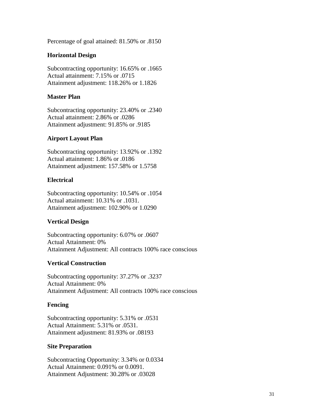Percentage of goal attained: 81.50% or .8150

#### **Horizontal Design**

Subcontracting opportunity: 16.65% or .1665 Actual attainment: 7.15% or .0715 Attainment adjustment: 118.26% or 1.1826

#### **Master Plan**

Subcontracting opportunity: 23.40% or .2340 Actual attainment: 2.86% or .0286 Attainment adjustment: 91.85% or .9185

#### **Airport Layout Plan**

Subcontracting opportunity: 13.92% or .1392 Actual attainment: 1.86% or .0186 Attainment adjustment: 157.58% or 1.5758

#### **Electrical**

Subcontracting opportunity: 10.54% or .1054 Actual attainment: 10.31% or .1031. Attainment adjustment: 102.90% or 1.0290

## **Vertical Design**

Subcontracting opportunity: 6.07% or .0607 Actual Attainment: 0% Attainment Adjustment: All contracts 100% race conscious

## **Vertical Construction**

Subcontracting opportunity: 37.27% or .3237 Actual Attainment: 0% Attainment Adjustment: All contracts 100% race conscious

## **Fencing**

Subcontracting opportunity: 5.31% or .0531 Actual Attainment: 5.31% or .0531. Attainment adjustment: 81.93% or .08193

#### **Site Preparation**

Subcontracting Opportunity: 3.34% or 0.0334 Actual Attainment: 0.091% or 0.0091. Attainment Adjustment: 30.28% or .03028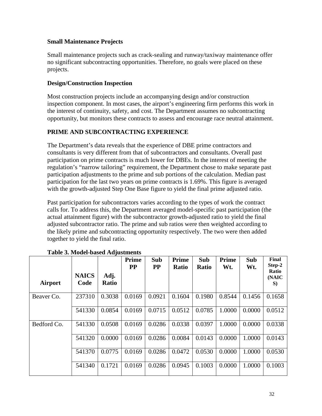## **Small Maintenance Projects**

Small maintenance projects such as crack-sealing and runway/taxiway maintenance offer no significant subcontracting opportunities. Therefore, no goals were placed on these projects.

## **Design/Construction Inspection**

Most construction projects include an accompanying design and/or construction inspection component. In most cases, the airport's engineering firm performs this work in the interest of continuity, safety, and cost. The Department assumes no subcontracting opportunity, but monitors these contracts to assess and encourage race neutral attainment.

## **PRIME AND SUBCONTRACTING EXPERIENCE**

The Department's data reveals that the experience of DBE prime contractors and consultants is very different from that of subcontractors and consultants. Overall past participation on prime contracts is much lower for DBEs. In the interest of meeting the regulation's "narrow tailoring" requirement, the Department chose to make separate past participation adjustments to the prime and sub portions of the calculation. Median past participation for the last two years on prime contracts is 1.69%. This figure is averaged with the growth-adjusted Step One Base figure to yield the final prime adjusted ratio.

Past participation for subcontractors varies according to the types of work the contract calls for. To address this, the Department averaged model-specific past participation (the actual attainment figure) with the subcontractor growth-adjusted ratio to yield the final adjusted subcontractor ratio. The prime and sub ratios were then weighted according to the likely prime and subcontracting opportunity respectively. The two were then added together to yield the final ratio.

| Airport     | <b>NAICS</b><br>Code | Adj.<br><b>Ratio</b> | <b>Prime</b><br><b>PP</b> | Sub<br><b>PP</b> | Prime<br><b>Ratio</b> | Sub<br><b>Ratio</b> | <b>Prime</b><br>Wt. | Sub<br>Wt. | Final<br>Step-2<br>Ratio<br>(NAIC<br>S) |
|-------------|----------------------|----------------------|---------------------------|------------------|-----------------------|---------------------|---------------------|------------|-----------------------------------------|
| Beaver Co.  | 237310               | 0.3038               | 0.0169                    | 0.0921           | 0.1604                | 0.1980              | 0.8544              | 0.1456     | 0.1658                                  |
|             | 541330               | 0.0854               | 0.0169                    | 0.0715           | 0.0512                | 0.0785              | 1.0000              | 0.0000     | 0.0512                                  |
| Bedford Co. | 541330               | 0.0508               | 0.0169                    | 0.0286           | 0.0338                | 0.0397              | 1.0000              | 0.0000     | 0.0338                                  |
|             | 541320               | 0.0000               | 0.0169                    | 0.0286           | 0.0084                | 0.0143              | 0.0000              | 1.0000     | 0.0143                                  |
|             | 541370               | 0.0775               | 0.0169                    | 0.0286           | 0.0472                | 0.0530              | 0.0000              | 1.0000     | 0.0530                                  |
|             | 541340               | 0.1721               | 0.0169                    | 0.0286           | 0.0945                | 0.1003              | 0.0000              | 1.0000     | 0.1003                                  |

|  | Table 3. Model-based Adjustments |  |
|--|----------------------------------|--|
|--|----------------------------------|--|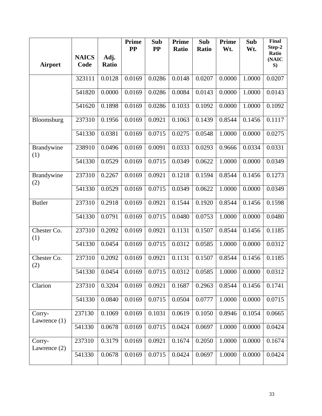|                          |                      |                      | <b>Prime</b><br>$\bf PP$ | Sub<br><b>PP</b> | <b>Prime</b><br>Ratio | Sub<br>Ratio | Prime<br>Wt. | Sub<br>Wt. | <b>Final</b><br>Step-2 |
|--------------------------|----------------------|----------------------|--------------------------|------------------|-----------------------|--------------|--------------|------------|------------------------|
| <b>Airport</b>           | <b>NAICS</b><br>Code | Adj.<br><b>Ratio</b> |                          |                  |                       |              |              |            | Ratio<br>(NAIC<br>S)   |
|                          | 323111               | 0.0128               | 0.0169                   | 0.0286           | 0.0148                | 0.0207       | 0.0000       | 1.0000     | 0.0207                 |
|                          | 541820               | 0.0000               | 0.0169                   | 0.0286           | 0.0084                | 0.0143       | 0.0000       | 1.0000     | 0.0143                 |
|                          | 541620               | 0.1898               | 0.0169                   | 0.0286           | 0.1033                | 0.1092       | 0.0000       | 1.0000     | 0.1092                 |
| Bloomsburg               | 237310               | 0.1956               | 0.0169                   | 0.0921           | 0.1063                | 0.1439       | 0.8544       | 0.1456     | 0.1117                 |
|                          | 541330               | 0.0381               | 0.0169                   | 0.0715           | 0.0275                | 0.0548       | 1.0000       | 0.0000     | 0.0275                 |
| Brandywine<br>(1)        | 238910               | 0.0496               | 0.0169                   | 0.0091           | 0.0333                | 0.0293       | 0.9666       | 0.0334     | 0.0331                 |
|                          | 541330               | 0.0529               | 0.0169                   | 0.0715           | 0.0349                | 0.0622       | 1.0000       | 0.0000     | 0.0349                 |
| Brandywine<br>(2)        | 237310               | 0.2267               | 0.0169                   | 0.0921           | 0.1218                | 0.1594       | 0.8544       | 0.1456     | 0.1273                 |
|                          | 541330               | 0.0529               | 0.0169                   | 0.0715           | 0.0349                | 0.0622       | 1.0000       | 0.0000     | 0.0349                 |
| <b>Butler</b>            | 237310               | 0.2918               | 0.0169                   | 0.0921           | 0.1544                | 0.1920       | 0.8544       | 0.1456     | 0.1598                 |
|                          | 541330               | 0.0791               | 0.0169                   | 0.0715           | 0.0480                | 0.0753       | 1.0000       | 0.0000     | 0.0480                 |
| Chester Co.<br>(1)       | 237310               | 0.2092               | 0.0169                   | 0.0921           | 0.1131                | 0.1507       | 0.8544       | 0.1456     | 0.1185                 |
|                          | 541330               | 0.0454               | 0.0169                   | 0.0715           | 0.0312                | 0.0585       | 1.0000       | 0.0000     | 0.0312                 |
| Chester Co.<br>(2)       | 237310               | 0.2092               | 0.0169                   | 0.0921           | 0.1131                | 0.1507       | 0.8544       | 0.1456     | 0.1185                 |
|                          | 541330               | 0.0454               | 0.0169                   | 0.0715           | 0.0312                | 0.0585       | 1.0000       | 0.0000     | 0.0312                 |
| Clarion                  | 237310               | 0.3204               | 0.0169                   | 0.0921           | 0.1687                | 0.2963       | 0.8544       | 0.1456     | 0.1741                 |
|                          | 541330               | 0.0840               | 0.0169                   | 0.0715           | 0.0504                | 0.0777       | 1.0000       | 0.0000     | 0.0715                 |
| Corry-<br>Lawrence $(1)$ | 237130               | 0.1069               | 0.0169                   | 0.1031           | 0.0619                | 0.1050       | 0.8946       | 0.1054     | 0.0665                 |
|                          | 541330               | 0.0678               | 0.0169                   | 0.0715           | 0.0424                | 0.0697       | 1.0000       | 0.0000     | 0.0424                 |
| Corry-<br>Lawrence $(2)$ | 237310               | 0.3179               | 0.0169                   | 0.0921           | 0.1674                | 0.2050       | 1.0000       | 0.0000     | 0.1674                 |
|                          | 541330               | 0.0678               | 0.0169                   | 0.0715           | 0.0424                | 0.0697       | 1.0000       | 0.0000     | 0.0424                 |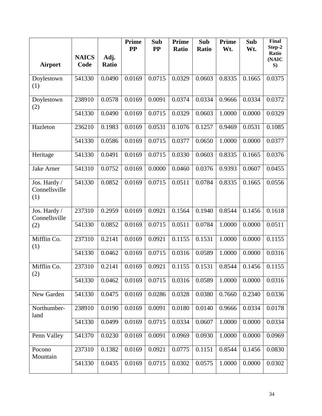|                                      |                      |               | <b>Prime</b><br>$\bf PP$ | Sub<br><b>PP</b> | <b>Prime</b><br><b>Ratio</b> | Sub<br>Ratio | Prime<br>Wt. | Sub<br>Wt. | <b>Final</b><br>Step-2 |
|--------------------------------------|----------------------|---------------|--------------------------|------------------|------------------------------|--------------|--------------|------------|------------------------|
| <b>Airport</b>                       | <b>NAICS</b><br>Code | Adj.<br>Ratio |                          |                  |                              |              |              |            | Ratio<br>(NAIC<br>S)   |
| Doylestown<br>(1)                    | 541330               | 0.0490        | 0.0169                   | 0.0715           | 0.0329                       | 0.0603       | 0.8335       | 0.1665     | 0.0375                 |
| Doylestown<br>(2)                    | 238910               | 0.0578        | 0.0169                   | 0.0091           | 0.0374                       | 0.0334       | 0.9666       | 0.0334     | 0.0372                 |
|                                      | 541330               | 0.0490        | 0.0169                   | 0.0715           | 0.0329                       | 0.0603       | 1.0000       | 0.0000     | 0.0329                 |
| Hazleton                             | 236210               | 0.1983        | 0.0169                   | 0.0531           | 0.1076                       | 0.1257       | 0.9469       | 0.0531     | 0.1085                 |
|                                      | 541330               | 0.0586        | 0.0169                   | 0.0715           | 0.0377                       | 0.0650       | 1.0000       | 0.0000     | 0.0377                 |
| Heritage                             | 541330               | 0.0491        | 0.0169                   | 0.0715           | 0.0330                       | 0.0603       | 0.8335       | 0.1665     | 0.0376                 |
| <b>Jake Arner</b>                    | 541310               | 0.0752        | 0.0169                   | 0.0000           | 0.0460                       | 0.0376       | 0.9393       | 0.0607     | 0.0455                 |
| Jos. Hardy /<br>Connellsville<br>(1) | 541330               | 0.0852        | 0.0169                   | 0.0715           | 0.0511                       | 0.0784       | 0.8335       | 0.1665     | 0.0556                 |
| Jos. Hardy /<br>Connellsville        | 237310               | 0.2959        | 0.0169                   | 0.0921           | 0.1564                       | 0.1940       | 0.8544       | 0.1456     | 0.1618                 |
| (2)                                  | 541330               | 0.0852        | 0.0169                   | 0.0715           | 0.0511                       | 0.0784       | 1.0000       | 0.0000     | 0.0511                 |
| Mifflin Co.<br>(1)                   | 237310               | 0.2141        | 0.0169                   | 0.0921           | 0.1155                       | 0.1531       | 1.0000       | 0.0000     | 0.1155                 |
|                                      | 541330               | 0.0462        | 0.0169                   | 0.0715           | 0.0316                       | 0.0589       | 1.0000       | 0.0000     | 0.0316                 |
| Mifflin Co.<br>(2)                   | 237310               | 0.2141        | 0.0169                   | 0.0921           | 0.1155                       | 0.1531       | 0.8544       | 0.1456     | 0.1155                 |
|                                      | 541330               | 0.0462        | 0.0169                   | 0.0715           | 0.0316                       | 0.0589       | 1.0000       | 0.0000     | 0.0316                 |
| New Garden                           | 541330               | 0.0475        | 0.0169                   | 0.0286           | 0.0328                       | 0.0380       | 0.7660       | 0.2340     | 0.0336                 |
| Northumber-<br>land                  | 238910               | 0.0190        | 0.0169                   | 0.0091           | 0.0180                       | 0.0140       | 0.9666       | 0.0334     | 0.0178                 |
|                                      | 541330               | 0.0499        | 0.0169                   | 0.0715           | 0.0334                       | 0.0607       | 1.0000       | 0.0000     | 0.0334                 |
| Penn Valley                          | 541370               | 0.0230        | 0.0169                   | 0.0091           | 0.0969                       | 0.0930       | 1.0000       | 0.0000     | 0.0969                 |
| Pocono<br>Mountain                   | 237310               | 0.1382        | 0.0169                   | 0.0921           | 0.0775                       | 0.1151       | 0.8544       | 0.1456     | 0.0830                 |
|                                      | 541330               | 0.0435        | 0.0169                   | 0.0715           | 0.0302                       | 0.0575       | 1.0000       | 0.0000     | 0.0302                 |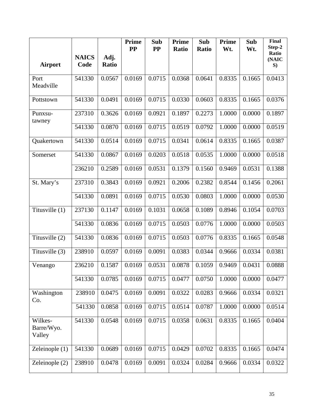|                                 |                      |                      | <b>Prime</b><br><b>PP</b> | Sub<br><b>PP</b> | <b>Prime</b><br><b>Ratio</b> | Sub<br>Ratio | Prime<br>Wt. | Sub<br>Wt. | <b>Final</b><br>Step-2 |
|---------------------------------|----------------------|----------------------|---------------------------|------------------|------------------------------|--------------|--------------|------------|------------------------|
| <b>Airport</b>                  | <b>NAICS</b><br>Code | Adj.<br><b>Ratio</b> |                           |                  |                              |              |              |            | Ratio<br>(NAIC<br>S)   |
| Port<br>Meadville               | 541330               | 0.0567               | 0.0169                    | 0.0715           | 0.0368                       | 0.0641       | 0.8335       | 0.1665     | 0.0413                 |
| Pottstown                       | 541330               | 0.0491               | 0.0169                    | 0.0715           | 0.0330                       | 0.0603       | 0.8335       | 0.1665     | 0.0376                 |
| Punxsu-<br>tawney               | 237310               | 0.3626               | 0.0169                    | 0.0921           | 0.1897                       | 0.2273       | 1.0000       | 0.0000     | 0.1897                 |
|                                 | 541330               | 0.0870               | 0.0169                    | 0.0715           | 0.0519                       | 0.0792       | 1.0000       | 0.0000     | 0.0519                 |
| Quakertown                      | 541330               | 0.0514               | 0.0169                    | 0.0715           | 0.0341                       | 0.0614       | 0.8335       | 0.1665     | 0.0387                 |
| Somerset                        | 541330               | 0.0867               | 0.0169                    | 0.0203           | 0.0518                       | 0.0535       | 1.0000       | 0.0000     | 0.0518                 |
|                                 | 236210               | 0.2589               | 0.0169                    | 0.0531           | 0.1379                       | 0.1560       | 0.9469       | 0.0531     | 0.1388                 |
| St. Mary's                      | 237310               | 0.3843               | 0.0169                    | 0.0921           | 0.2006                       | 0.2382       | 0.8544       | 0.1456     | 0.2061                 |
|                                 | 541330               | 0.0891               | 0.0169                    | 0.0715           | 0.0530                       | 0.0803       | 1.0000       | 0.0000     | 0.0530                 |
| Titusville (1)                  | 237130               | 0.1147               | 0.0169                    | 0.1031           | 0.0658                       | 0.1089       | 0.8946       | 0.1054     | 0.0703                 |
|                                 | 541330               | 0.0836               | 0.0169                    | 0.0715           | 0.0503                       | 0.0776       | 1.0000       | 0.0000     | 0.0503                 |
| Titusville (2)                  | 541330               | 0.0836               | 0.0169                    | 0.0715           | 0.0503                       | 0.0776       | 0.8335       | 0.1665     | 0.0548                 |
| Titusville (3)                  | 238910               | 0.0597               | 0.0169                    | 0.0091           | 0.0383                       | 0.0344       | 0.9666       | 0.0334     | 0.0381                 |
| Venango                         | 236210               | 0.1587               | 0.0169                    | 0.0531           | 0.0878                       | 0.1059       | 0.9469       | 0.0431     | 0.0888                 |
|                                 | 541330               | 0.0785               | 0.0169                    | 0.0715           | 0.0477                       | 0.0750       | 1.0000       | 0.0000     | 0.0477                 |
| Washington<br>Co.               | 238910               | 0.0475               | 0.0169                    | 0.0091           | 0.0322                       | 0.0283       | 0.9666       | 0.0334     | 0.0321                 |
|                                 | 541330               | 0.0858               | 0.0169                    | 0.0715           | 0.0514                       | 0.0787       | 1.0000       | 0.0000     | 0.0514                 |
| Wilkes-<br>Barre/Wyo.<br>Valley | 541330               | 0.0548               | 0.0169                    | 0.0715           | 0.0358                       | 0.0631       | 0.8335       | 0.1665     | 0.0404                 |
| Zeleinople $(1)$                | 541330               | 0.0689               | 0.0169                    | 0.0715           | 0.0429                       | 0.0702       | 0.8335       | 0.1665     | 0.0474                 |
| Zeleinople $(2)$                | 238910               | 0.0478               | 0.0169                    | 0.0091           | 0.0324                       | 0.0284       | 0.9666       | 0.0334     | 0.0322                 |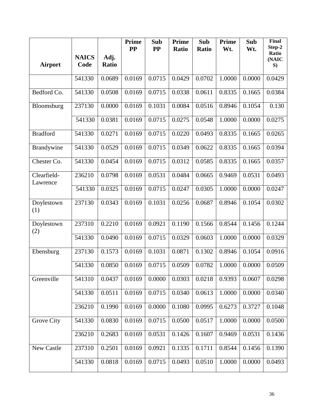|                         |                      |               | <b>Prime</b><br>$\bf PP$ | Sub<br><b>PP</b> | <b>Prime</b><br>Ratio | Sub<br>Ratio | Prime<br>Wt. | Sub<br>Wt. | <b>Final</b><br>Step-2 |
|-------------------------|----------------------|---------------|--------------------------|------------------|-----------------------|--------------|--------------|------------|------------------------|
| <b>Airport</b>          | <b>NAICS</b><br>Code | Adj.<br>Ratio |                          |                  |                       |              |              |            | Ratio<br>(NAIC<br>S)   |
|                         | 541330               | 0.0689        | 0.0169                   | 0.0715           | 0.0429                | 0.0702       | 1.0000       | 0.0000     | 0.0429                 |
| Bedford Co.             | 541330               | 0.0508        | 0.0169                   | 0.0715           | 0.0338                | 0.0611       | 0.8335       | 0.1665     | 0.0384                 |
| Bloomsburg              | 237130               | 0.0000        | 0.0169                   | 0.1031           | 0.0084                | 0.0516       | 0.8946       | 0.1054     | 0.130                  |
|                         | 541330               | 0.0381        | 0.0169                   | 0.0715           | 0.0275                | 0.0548       | 1.0000       | 0.0000     | 0.0275                 |
| <b>Bradford</b>         | 541330               | 0.0271        | 0.0169                   | 0.0715           | 0.0220                | 0.0493       | 0.8335       | 0.1665     | 0.0265                 |
| Brandywine              | 541330               | 0.0529        | 0.0169                   | 0.0715           | 0.0349                | 0.0622       | 0.8335       | 0.1665     | 0.0394                 |
| Chester Co.             | 541330               | 0.0454        | 0.0169                   | 0.0715           | 0.0312                | 0.0585       | 0.8335       | 0.1665     | 0.0357                 |
| Clearfield-<br>Lawrence | 236210               | 0.0798        | 0.0169                   | 0.0531           | 0.0484                | 0.0665       | 0.9469       | 0.0531     | 0.0493                 |
|                         | 541330               | 0.0325        | 0.0169                   | 0.0715           | 0.0247                | 0.0305       | 1.0000       | 0.0000     | 0.0247                 |
| Doylestown<br>(1)       | 237130               | 0.0343        | 0.0169                   | 0.1031           | 0.0256                | 0.0687       | 0.8946       | 0.1054     | 0.0302                 |
| Doylestown<br>(2)       | 237310               | 0.2210        | 0.0169                   | 0.0921           | 0.1190                | 0.1566       | 0.8544       | 0.1456     | 0.1244                 |
|                         | 541330               | 0.0490        | 0.0169                   | 0.0715           | 0.0329                | 0.0603       | 1.0000       | 0.0000     | 0.0329                 |
| Ebensburg               | 237130               | 0.1573        | 0.0169                   | 0.1031           | 0.0871                | 0.1302       | 0.8946       | 0.1054     | 0.0916                 |
|                         | 541330               | 0.0850        | 0.0169                   | 0.0715           | 0.0509                | 0.0782       | 1.0000       | 0.0000     | 0.0509                 |
| Greenville              | 541310               | 0.0437        | 0.0169                   | 0.0000           | 0.0303                | 0.0218       | 0.9393       | 0.0607     | 0.0298                 |
|                         | 541330               | 0.0511        | 0.0169                   | 0.0715           | 0.0340                | 0.0613       | 1.0000       | 0.0000     | 0.0340                 |
|                         | 236210               | 0.1990        | 0.0169                   | 0.0000           | 0.1080                | 0.0995       | 0.6273       | 0.3727     | 0.1048                 |
| Grove City              | 541330               | 0.0830        | 0.0169                   | 0.0715           | 0.0500                | 0.0517       | 1.0000       | 0.0000     | 0.0500                 |
|                         | 236210               | 0.2683        | 0.0169                   | 0.0531           | 0.1426                | 0.1607       | 0.9469       | 0.0531     | 0.1436                 |
| New Castle              | 237310               | 0.2501        | 0.0169                   | 0.0921           | 0.1335                | 0.1711       | 0.8544       | 0.1456     | 0.1390                 |
|                         | 541330               | 0.0818        | 0.0169                   | 0.0715           | 0.0493                | 0.0510       | 1.0000       | 0.0000     | 0.0493                 |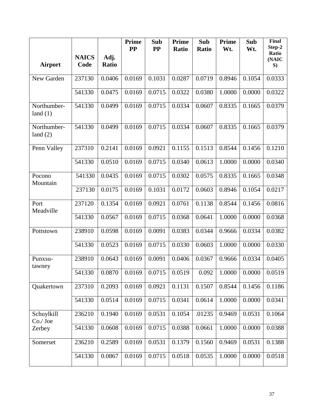|                           |                      |               | <b>Prime</b><br><b>PP</b> | Sub<br><b>PP</b> | <b>Prime</b><br>Ratio | Sub<br>Ratio | Prime<br>Wt. | Sub<br>Wt. | Final<br>Step-2      |
|---------------------------|----------------------|---------------|---------------------------|------------------|-----------------------|--------------|--------------|------------|----------------------|
| <b>Airport</b>            | <b>NAICS</b><br>Code | Adj.<br>Ratio |                           |                  |                       |              |              |            | Ratio<br>(NAIC<br>S) |
| New Garden                | 237130               | 0.0406        | 0.0169                    | 0.1031           | 0.0287                | 0.0719       | 0.8946       | 0.1054     | 0.0333               |
|                           | 541330               | 0.0475        | 0.0169                    | 0.0715           | 0.0322                | 0.0380       | 1.0000       | 0.0000     | 0.0322               |
| Northumber-<br>land $(1)$ | 541330               | 0.0499        | 0.0169                    | 0.0715           | 0.0334                | 0.0607       | 0.8335       | 0.1665     | 0.0379               |
| Northumber-<br>land $(2)$ | 541330               | 0.0499        | 0.0169                    | 0.0715           | 0.0334                | 0.0607       | 0.8335       | 0.1665     | 0.0379               |
| Penn Valley               | 237310               | 0.2141        | 0.0169                    | 0.0921           | 0.1155                | 0.1513       | 0.8544       | 0.1456     | 0.1210               |
|                           | 541330               | 0.0510        | 0.0169                    | 0.0715           | 0.0340                | 0.0613       | 1.0000       | 0.0000     | 0.0340               |
| Pocono<br>Mountain        | 541330               | 0.0435        | 0.0169                    | 0.0715           | 0.0302                | 0.0575       | 0.8335       | 0.1665     | 0.0348               |
|                           | 237130               | 0.0175        | 0.0169                    | 0.1031           | 0.0172                | 0.0603       | 0.8946       | 0.1054     | 0.0217               |
| Port<br>Meadville         | 237120               | 0.1354        | 0.0169                    | 0.0921           | 0.0761                | 0.1138       | 0.8544       | 0.1456     | 0.0816               |
|                           | 541330               | 0.0567        | 0.0169                    | 0.0715           | 0.0368                | 0.0641       | 1.0000       | 0.0000     | 0.0368               |
| Pottstown                 | 238910               | 0.0598        | 0.0169                    | 0.0091           | 0.0383                | 0.0344       | 0.9666       | 0.0334     | 0.0382               |
|                           | 541330               | 0.0523        | 0.0169                    | 0.0715           | 0.0330                | 0.0603       | 1.0000       | 0.0000     | 0.0330               |
| Punxsu-<br>tawney         | 238910               | 0.0643        | 0.0169                    | 0.0091           | 0.0406                | 0.0367       | 0.9666       | 0.0334     | 0.0405               |
|                           | 541330               | 0.0870        | 0.0169                    | 0.0715           | 0.0519                | 0.092        | 1.0000       | 0.0000     | 0.0519               |
| Quakertown                | 237310               | 0.2093        | 0.0169                    | 0.0921           | 0.1131                | 0.1507       | 0.8544       | 0.1456     | 0.1186               |
|                           | 541330               | 0.0514        | 0.0169                    | 0.0715           | 0.0341                | 0.0614       | 1.0000       | 0.0000     | 0.0341               |
| Schuylkill<br>Co./Joe     | 236210               | 0.1940        | 0.0169                    | 0.0531           | 0.1054                | .01235       | 0.9469       | 0.0531     | 0.1064               |
| Zerbey                    | 541330               | 0.0608        | 0.0169                    | 0.0715           | 0.0388                | 0.0661       | 1.0000       | 0.0000     | 0.0388               |
| Somerset                  | 236210               | 0.2589        | 0.0169                    | 0.0531           | 0.1379                | 0.1560       | 0.9469       | 0.0531     | 0.1388               |
|                           | 541330               | 0.0867        | 0.0169                    | 0.0715           | 0.0518                | 0.0535       | 1.0000       | 0.0000     | 0.0518               |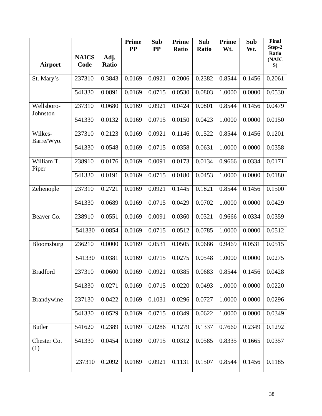|                        |                      |               | <b>Prime</b><br><b>PP</b> | Sub<br><b>PP</b> | <b>Prime</b><br>Ratio | Sub<br>Ratio | Prime<br>Wt. | Sub<br>Wt. | <b>Final</b><br>Step-2 |
|------------------------|----------------------|---------------|---------------------------|------------------|-----------------------|--------------|--------------|------------|------------------------|
| <b>Airport</b>         | <b>NAICS</b><br>Code | Adj.<br>Ratio |                           |                  |                       |              |              |            | Ratio<br>(NAIC<br>S)   |
| St. Mary's             | 237310               | 0.3843        | 0.0169                    | 0.0921           | 0.2006                | 0.2382       | 0.8544       | 0.1456     | 0.2061                 |
|                        | 541330               | 0.0891        | 0.0169                    | 0.0715           | 0.0530                | 0.0803       | 1.0000       | 0.0000     | 0.0530                 |
| Wellsboro-<br>Johnston | 237310               | 0.0680        | 0.0169                    | 0.0921           | 0.0424                | 0.0801       | 0.8544       | 0.1456     | 0.0479                 |
|                        | 541330               | 0.0132        | 0.0169                    | 0.0715           | 0.0150                | 0.0423       | 1.0000       | 0.0000     | 0.0150                 |
| Wilkes-<br>Barre/Wyo.  | 237310               | 0.2123        | 0.0169                    | 0.0921           | 0.1146                | 0.1522       | 0.8544       | 0.1456     | 0.1201                 |
|                        | 541330               | 0.0548        | 0.0169                    | 0.0715           | 0.0358                | 0.0631       | 1.0000       | 0.0000     | 0.0358                 |
| William T.<br>Piper    | 238910               | 0.0176        | 0.0169                    | 0.0091           | 0.0173                | 0.0134       | 0.9666       | 0.0334     | 0.0171                 |
|                        | 541330               | 0.0191        | 0.0169                    | 0.0715           | 0.0180                | 0.0453       | 1.0000       | 0.0000     | 0.0180                 |
| Zelienople             | 237310               | 0.2721        | 0.0169                    | 0.0921           | 0.1445                | 0.1821       | 0.8544       | 0.1456     | 0.1500                 |
|                        | 541330               | 0.0689        | 0.0169                    | 0.0715           | 0.0429                | 0.0702       | 1.0000       | 0.0000     | 0.0429                 |
| Beaver Co.             | 238910               | 0.0551        | 0.0169                    | 0.0091           | 0.0360                | 0.0321       | 0.9666       | 0.0334     | 0.0359                 |
|                        | 541330               | 0.0854        | 0.0169                    | 0.0715           | 0.0512                | 0.0785       | 1.0000       | 0.0000     | 0.0512                 |
| Bloomsburg             | 236210               | 0.0000        | 0.0169                    | 0.0531           | 0.0505                | 0.0686       | 0.9469       | 0.0531     | 0.0515                 |
|                        | 541330               | 0.0381        | 0.0169                    | 0.0715           | 0.0275                | 0.0548       | 1.0000       | 0.0000     | 0.0275                 |
| <b>Bradford</b>        | 237310               | 0.0600        | 0.0169                    | 0.0921           | 0.0385                | 0.0683       | 0.8544       | 0.1456     | 0.0428                 |
|                        | 541330               | 0.0271        | 0.0169                    | 0.0715           | 0.0220                | 0.0493       | 1.0000       | 0.0000     | 0.0220                 |
| Brandywine             | 237130               | 0.0422        | 0.0169                    | 0.1031           | 0.0296                | 0.0727       | 1.0000       | 0.0000     | 0.0296                 |
|                        | 541330               | 0.0529        | 0.0169                    | 0.0715           | 0.0349                | 0.0622       | 1.0000       | 0.0000     | 0.0349                 |
| <b>Butler</b>          | 541620               | 0.2389        | 0.0169                    | 0.0286           | 0.1279                | 0.1337       | 0.7660       | 0.2349     | 0.1292                 |
| Chester Co.<br>(1)     | 541330               | 0.0454        | 0.0169                    | 0.0715           | 0.0312                | 0.0585       | 0.8335       | 0.1665     | 0.0357                 |
|                        | 237310               | 0.2092        | 0.0169                    | 0.0921           | 0.1131                | 0.1507       | 0.8544       | 0.1456     | 0.1185                 |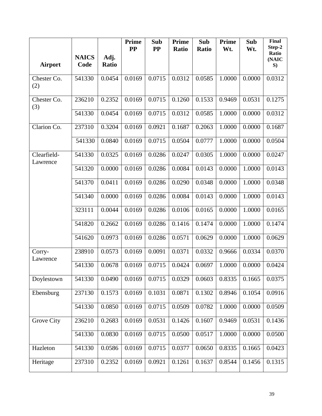|                         |                      |               | <b>Prime</b><br>$\bf PP$ | Sub<br><b>PP</b> | <b>Prime</b><br><b>Ratio</b> | Sub<br>Ratio | Prime<br>Wt. | Sub<br>Wt. | <b>Final</b><br>Step-2 |
|-------------------------|----------------------|---------------|--------------------------|------------------|------------------------------|--------------|--------------|------------|------------------------|
| <b>Airport</b>          | <b>NAICS</b><br>Code | Adj.<br>Ratio |                          |                  |                              |              |              |            | Ratio<br>(NAIC<br>S)   |
| Chester Co.<br>(2)      | 541330               | 0.0454        | 0.0169                   | 0.0715           | 0.0312                       | 0.0585       | 1.0000       | 0.0000     | 0.0312                 |
| Chester Co.<br>(3)      | 236210               | 0.2352        | 0.0169                   | 0.0715           | 0.1260                       | 0.1533       | 0.9469       | 0.0531     | 0.1275                 |
|                         | 541330               | 0.0454        | 0.0169                   | 0.0715           | 0.0312                       | 0.0585       | 1.0000       | 0.0000     | 0.0312                 |
| Clarion Co.             | 237310               | 0.3204        | 0.0169                   | 0.0921           | 0.1687                       | 0.2063       | 1.0000       | 0.0000     | 0.1687                 |
|                         | 541330               | 0.0840        | 0.0169                   | 0.0715           | 0.0504                       | 0.0777       | 1.0000       | 0.0000     | 0.0504                 |
| Clearfield-<br>Lawrence | 541330               | 0.0325        | 0.0169                   | 0.0286           | 0.0247                       | 0.0305       | 1.0000       | 0.0000     | 0.0247                 |
|                         | 541320               | 0.0000        | 0.0169                   | 0.0286           | 0.0084                       | 0.0143       | 0.0000       | 1.0000     | 0.0143                 |
|                         | 541370               | 0.0411        | 0.0169                   | 0.0286           | 0.0290                       | 0.0348       | 0.0000       | 1.0000     | 0.0348                 |
|                         | 541340               | 0.0000        | 0.0169                   | 0.0286           | 0.0084                       | 0.0143       | 0.0000       | 1.0000     | 0.0143                 |
|                         | 323111               | 0.0044        | 0.0169                   | 0.0286           | 0.0106                       | 0.0165       | 0.0000       | 1.0000     | 0.0165                 |
|                         | 541820               | 0.2662        | 0.0169                   | 0.0286           | 0.1416                       | 0.1474       | 0.0000       | 1.0000     | 0.1474                 |
|                         | 541620               | 0.0973        | 0.0169                   | 0.0286           | 0.0571                       | 0.0629       | 0.0000       | 1.0000     | 0.0629                 |
| Corry-<br>Lawrence      | 238910               | 0.0573        | 0.0169                   | 0.0091           | 0.0371                       | 0.0332       | 0.9666       | 0.0334     | 0.0370                 |
|                         | 541330               | 0.0678        | 0.0169                   | 0.0715           | 0.0424                       | 0.0697       | 1.0000       | 0.0000     | 0.0424                 |
| Doylestown              | 541330               | 0.0490        | 0.0169                   | 0.0715           | 0.0329                       | 0.0603       | 0.8335       | 0.1665     | 0.0375                 |
| Ebensburg               | 237130               | 0.1573        | 0.0169                   | 0.1031           | 0.0871                       | 0.1302       | 0.8946       | 0.1054     | 0.0916                 |
|                         | 541330               | 0.0850        | 0.0169                   | 0.0715           | 0.0509                       | 0.0782       | 1.0000       | 0.0000     | 0.0509                 |
| Grove City              | 236210               | 0.2683        | 0.0169                   | 0.0531           | 0.1426                       | 0.1607       | 0.9469       | 0.0531     | 0.1436                 |
|                         | 541330               | 0.0830        | 0.0169                   | 0.0715           | 0.0500                       | 0.0517       | 1.0000       | 0.0000     | 0.0500                 |
| Hazleton                | 541330               | 0.0586        | 0.0169                   | 0.0715           | 0.0377                       | 0.0650       | 0.8335       | 0.1665     | 0.0423                 |
| Heritage                | 237310               | 0.2352        | 0.0169                   | 0.0921           | 0.1261                       | 0.1637       | 0.8544       | 0.1456     | 0.1315                 |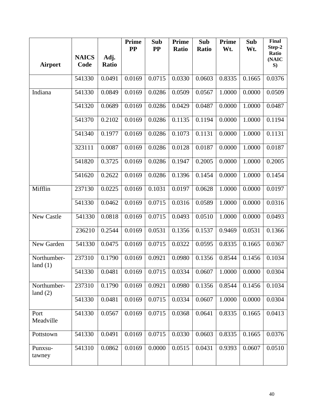|                           |                      |                      | <b>Prime</b><br>$\bf PP$ | Sub<br>PP       | Prime<br>Ratio | Sub<br><b>Ratio</b> | <b>Prime</b><br>Wt. | Sub<br>Wt. | <b>Final</b><br>Step-2 |
|---------------------------|----------------------|----------------------|--------------------------|-----------------|----------------|---------------------|---------------------|------------|------------------------|
| <b>Airport</b>            | <b>NAICS</b><br>Code | Adj.<br><b>Ratio</b> |                          |                 |                |                     |                     |            | Ratio<br>(NAIC<br>S)   |
|                           | 541330               | 0.0491               | 0.0169                   | 0.0715          | 0.0330         | 0.0603              | 0.8335              | 0.1665     | 0.0376                 |
| Indiana                   | 541330               | 0.0849               | 0.0169                   | 0.0286          | 0.0509         | 0.0567              | 1.0000              | 0.0000     | 0.0509                 |
|                           | 541320               | 0.0689               | 0.0169                   | 0.0286          | 0.0429         | 0.0487              | 0.0000              | 1.0000     | 0.0487                 |
|                           | 541370               | 0.2102               | 0.0169                   | 0.0286          | 0.1135         | 0.1194              | 0.0000              | 1.0000     | 0.1194                 |
|                           | 541340               | 0.1977               | 0.0169                   | 0.0286          | 0.1073         | 0.1131              | 0.0000              | 1.0000     | 0.1131                 |
|                           | 323111               | 0.0087               | 0.0169                   | 0.0286          | 0.0128         | 0.0187              | 0.0000              | 1.0000     | 0.0187                 |
|                           | 541820               | 0.3725               | 0.0169                   | 0.0286          | 0.1947         | 0.2005              | 0.0000              | 1.0000     | 0.2005                 |
|                           | 541620               | 0.2622               | 0.0169                   | 0.0286          | 0.1396         | 0.1454              | 0.0000              | 1.0000     | 0.1454                 |
| Mifflin                   | 237130               | 0.0225               | 0.0169                   | 0.1031          | 0.0197         | 0.0628              | 1.0000              | 0.0000     | 0.0197                 |
|                           | 541330               | 0.0462               | 0.0169                   | 0.0715          | 0.0316         | 0.0589              | 1.0000              | 0.0000     | 0.0316                 |
| New Castle                | 541330               | 0.0818               | 0.0169                   | 0.0715          | 0.0493         | 0.0510              | 1.0000              | 0.0000     | 0.0493                 |
|                           | 236210               | 0.2544               | 0.0169                   | 0.0531          | 0.1356         | 0.1537              | 0.9469              | 0.0531     | 0.1366                 |
| New Garden                | 541330               | 0.0475               | 0.0169                   | 0.0715          | 0.0322         | 0.0595              | 0.8335              | 0.1665     | 0.0367                 |
| Northumber-<br>land $(1)$ | 237310               | 0.1790               | 0.0169                   | 0.0921          | 0.0980         | 0.1356              | 0.8544              | 0.1456     | 0.1034                 |
|                           | 541330               | 0.0481               |                          | $0.0169$ 0.0715 | 0.0334         | 0.0607              | 1.0000              | 0.0000     | 0.0304                 |
| Northumber-<br>land $(2)$ | 237310               | 0.1790               | 0.0169                   | 0.0921          | 0.0980         | 0.1356              | 0.8544              | 0.1456     | 0.1034                 |
|                           | 541330               | 0.0481               | 0.0169                   | 0.0715          | 0.0334         | 0.0607              | 1.0000              | 0.0000     | 0.0304                 |
| Port<br>Meadville         | 541330               | 0.0567               | 0.0169                   | 0.0715          | 0.0368         | 0.0641              | 0.8335              | 0.1665     | 0.0413                 |
| Pottstown                 | 541330               | 0.0491               | 0.0169                   | 0.0715          | 0.0330         | 0.0603              | 0.8335              | 0.1665     | 0.0376                 |
| Punxsu-<br>tawney         | 541310               | 0.0862               | 0.0169                   | 0.0000          | 0.0515         | 0.0431              | 0.9393              | 0.0607     | 0.0510                 |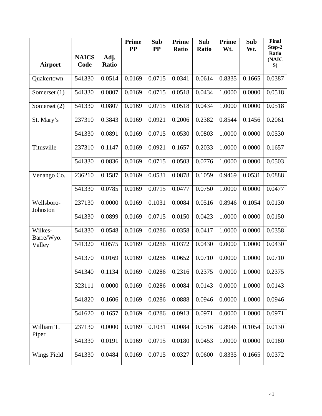|                        |                      |               | <b>Prime</b><br>$\bf PP$ | Sub<br>$\bf PP$ | Prime<br><b>Ratio</b> | Sub<br><b>Ratio</b> | Prime<br>Wt. | Sub<br>Wt. | Final<br>Step-2      |
|------------------------|----------------------|---------------|--------------------------|-----------------|-----------------------|---------------------|--------------|------------|----------------------|
| <b>Airport</b>         | <b>NAICS</b><br>Code | Adj.<br>Ratio |                          |                 |                       |                     |              |            | Ratio<br>(NAIC<br>S) |
| Quakertown             | 541330               | 0.0514        | 0.0169                   | 0.0715          | 0.0341                | 0.0614              | 0.8335       | 0.1665     | 0.0387               |
| Somerset $(1)$         | 541330               | 0.0807        | 0.0169                   | 0.0715          | 0.0518                | 0.0434              | 1.0000       | 0.0000     | 0.0518               |
| Somerset (2)           | 541330               | 0.0807        | 0.0169                   | 0.0715          | 0.0518                | 0.0434              | 1.0000       | 0.0000     | 0.0518               |
| St. Mary's             | 237310               | 0.3843        | 0.0169                   | 0.0921          | 0.2006                | 0.2382              | 0.8544       | 0.1456     | 0.2061               |
|                        | 541330               | 0.0891        | 0.0169                   | 0.0715          | 0.0530                | 0.0803              | 1.0000       | 0.0000     | 0.0530               |
| Titusville             | 237310               | 0.1147        | 0.0169                   | 0.0921          | 0.1657                | 0.2033              | 1.0000       | 0.0000     | 0.1657               |
|                        | 541330               | 0.0836        | 0.0169                   | 0.0715          | 0.0503                | 0.0776              | 1.0000       | 0.0000     | 0.0503               |
| Venango Co.            | 236210               | 0.1587        | 0.0169                   | 0.0531          | 0.0878                | 0.1059              | 0.9469       | 0.0531     | 0.0888               |
|                        | 541330               | 0.0785        | 0.0169                   | 0.0715          | 0.0477                | 0.0750              | 1.0000       | 0.0000     | 0.0477               |
| Wellsboro-<br>Johnston | 237130               | 0.0000        | 0.0169                   | 0.1031          | 0.0084                | 0.0516              | 0.8946       | 0.1054     | 0.0130               |
|                        | 541330               | 0.0899        | 0.0169                   | 0.0715          | 0.0150                | 0.0423              | 1.0000       | 0.0000     | 0.0150               |
| Wilkes-<br>Barre/Wyo.  | 541330               | 0.0548        | 0.0169                   | 0.0286          | 0.0358                | 0.0417              | 1.0000       | 0.0000     | 0.0358               |
| Valley                 | 541320               | 0.0575        | 0.0169                   | 0.0286          | 0.0372                | 0.0430              | 0.0000       | 1.0000     | 0.0430               |
|                        | 541370               | 0.0169        | 0.0169                   | 0.0286          | 0.0652                | 0.0710              | 0.0000       | 1.0000     | 0.0710               |
|                        | 541340               | 0.1134        | 0.0169                   | 0.0286          |                       | $0.2316$ 0.2375     | 0.0000       | 1.0000     | 0.2375               |
|                        | 323111               | 0.0000        | 0.0169                   | 0.0286          | 0.0084                | 0.0143              | 0.0000       | 1.0000     | 0.0143               |
|                        | 541820               | 0.1606        | 0.0169                   | 0.0286          | 0.0888                | 0.0946              | 0.0000       | 1.0000     | 0.0946               |
|                        | 541620               | 0.1657        | 0.0169                   | 0.0286          | 0.0913                | 0.0971              | 0.0000       | 1.0000     | 0.0971               |
| William T.<br>Piper    | 237130               | 0.0000        | 0.0169                   | 0.1031          | 0.0084                | 0.0516              | 0.8946       | 0.1054     | 0.0130               |
|                        | 541330               | 0.0191        | 0.0169                   | 0.0715          | 0.0180                | 0.0453              | 1.0000       | 0.0000     | 0.0180               |
| Wings Field            | 541330               | 0.0484        | 0.0169                   | 0.0715          | 0.0327                | 0.0600              | 0.8335       | 0.1665     | 0.0372               |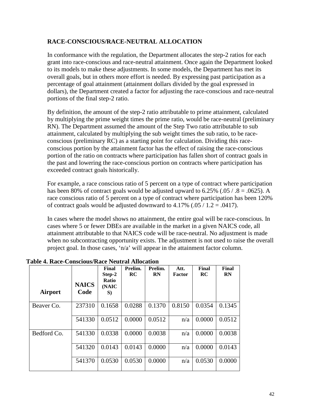#### **RACE-CONSCIOUS/RACE-NEUTRAL ALLOCATION**

In conformance with the regulation, the Department allocates the step-2 ratios for each grant into race-conscious and race-neutral attainment. Once again the Department looked to its models to make these adjustments. In some models, the Department has met its overall goals, but in others more effort is needed. By expressing past participation as a percentage of goal attainment (attainment dollars divided by the goal expressed in dollars), the Department created a factor for adjusting the race-conscious and race-neutral portions of the final step-2 ratio.

By definition, the amount of the step-2 ratio attributable to prime attainment, calculated by multiplying the prime weight times the prime ratio, would be race-neutral (preliminary RN). The Department assumed the amount of the Step Two ratio attributable to sub attainment, calculated by multiplying the sub weight times the sub ratio, to be raceconscious (preliminary RC) as a starting point for calculation. Dividing this raceconscious portion by the attainment factor has the effect of raising the race-conscious portion of the ratio on contracts where participation has fallen short of contract goals in the past and lowering the race-conscious portion on contracts where participation has exceeded contract goals historically.

For example, a race conscious ratio of 5 percent on a type of contract where participation has been 80% of contract goals would be adjusted upward to  $6.25\%$  (.05 / .8 = .0625). A race conscious ratio of 5 percent on a type of contract where participation has been 120% of contract goals would be adjusted downward to  $4.17\%$  (.05 / 1.2 = .0417).

In cases where the model shows no attainment, the entire goal will be race-conscious. In cases where 5 or fewer DBEs are available in the market in a given NAICS code, all attainment attributable to that NAICS code will be race-neutral. No adjustment is made when no subcontracting opportunity exists. The adjustment is not used to raise the overall project goal. In those cases, 'n/a' will appear in the attainment factor column.

| Airport     | <b>NAICS</b><br>Code | Final<br>Step-2<br>Ratio<br>(NAIC<br>S) | Prelim.<br><b>RC</b> | Prelim.<br><b>RN</b> | Att.<br>Factor | Final<br>RC | Final<br><b>RN</b> |
|-------------|----------------------|-----------------------------------------|----------------------|----------------------|----------------|-------------|--------------------|
| Beaver Co.  | 237310               | 0.1658                                  | 0.0288               | 0.1370               | 0.8150         | 0.0354      | 0.1345             |
|             | 541330               | 0.0512                                  | 0.0000               | 0.0512               | n/a            | 0.0000      | 0.0512             |
| Bedford Co. | 541330               | 0.0338                                  | 0.0000               | 0.0038               | n/a            | 0.0000      | 0.0038             |
|             | 541320               | 0.0143                                  | 0.0143               | 0.0000               | n/a            | 0.0000      | 0.0143             |
|             | 541370               | 0.0530                                  | 0.0530               | 0.0000               | n/a            | 0.0530      | 0.0000             |

**Table 4. Race-Conscious/Race Neutral Allocation**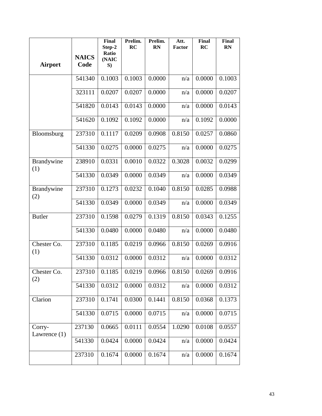| <b>Airport</b>           | <b>NAICS</b><br>Code | Final<br>Step-2<br>Ratio<br>(NAIC<br>S) | Prelim.<br>RC | Prelim.<br><b>RN</b> | Att.<br>Factor       | Final<br>RC | <b>Final</b><br>RN |
|--------------------------|----------------------|-----------------------------------------|---------------|----------------------|----------------------|-------------|--------------------|
|                          | 541340               | 0.1003                                  | 0.1003        | 0.0000               | n/a                  | 0.0000      | 0.1003             |
|                          | 323111               | 0.0207                                  | 0.0207        | 0.0000               | n/a                  | 0.0000      | 0.0207             |
|                          | 541820               | 0.0143                                  | 0.0143        | 0.0000               | n/a                  | 0.0000      | 0.0143             |
|                          | 541620               | 0.1092                                  | 0.1092        | 0.0000               | n/a                  | 0.1092      | 0.0000             |
| Bloomsburg               | 237310               | 0.1117                                  | 0.0209        | 0.0908               | 0.8150               | 0.0257      | 0.0860             |
|                          | 541330               | 0.0275                                  | 0.0000        | 0.0275               | n/a                  | 0.0000      | 0.0275             |
| Brandywine<br>(1)        | 238910               | 0.0331                                  | 0.0010        | 0.0322               | 0.3028               | 0.0032      | 0.0299             |
|                          | 541330               | 0.0349                                  | 0.0000        | 0.0349               | n/a                  | 0.0000      | 0.0349             |
| Brandywine<br>(2)        | 237310               | 0.1273                                  | 0.0232        | 0.1040               | 0.8150               | 0.0285      | 0.0988             |
|                          | 541330               | 0.0349                                  | 0.0000        | 0.0349               | n/a                  | 0.0000      | 0.0349             |
| <b>Butler</b>            | 237310               | 0.1598                                  | 0.0279        | 0.1319               | 0.8150               | 0.0343      | 0.1255             |
|                          | 541330               | 0.0480                                  | 0.0000        | 0.0480               | n/a                  | 0.0000      | 0.0480             |
| Chester Co.<br>(1)       | 237310               | 0.1185                                  | 0.0219        | 0.0966               | 0.8150               | 0.0269      | 0.0916             |
|                          | 541330               | 0.0312                                  | 0.0000        | 0.0312               | n/a                  | 0.0000      | 0.0312             |
| Chester Co.<br>(2)       | 237310               | 0.1185                                  | 0.0219        | 0.0966               | $0.8150 \mid 0.0269$ |             | 0.0916             |
|                          | 541330               | 0.0312                                  | 0.0000        | 0.0312               | n/a                  | 0.0000      | 0.0312             |
| Clarion                  | 237310               | 0.1741                                  | 0.0300        | 0.1441               | 0.8150               | 0.0368      | 0.1373             |
|                          | 541330               | 0.0715                                  | 0.0000        | 0.0715               | n/a                  | 0.0000      | 0.0715             |
| Corry-<br>Lawrence $(1)$ | 237130               | 0.0665                                  | 0.0111        | 0.0554               | 1.0290               | 0.0108      | 0.0557             |
|                          | 541330               | 0.0424                                  | 0.0000        | 0.0424               | n/a                  | 0.0000      | 0.0424             |
|                          | 237310               | 0.1674                                  | 0.0000        | 0.1674               | n/a                  | 0.0000      | 0.1674             |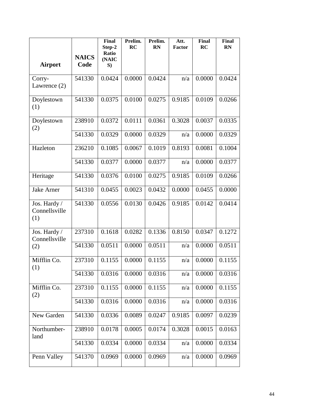| <b>Airport</b>                       | <b>NAICS</b><br>Code | <b>Final</b><br>Step-2<br>Ratio<br>(NAIC<br>S) | Prelim.<br>RC | Prelim.<br><b>RN</b> | Att.<br><b>Factor</b> | Final<br>RC | <b>Final</b><br><b>RN</b> |
|--------------------------------------|----------------------|------------------------------------------------|---------------|----------------------|-----------------------|-------------|---------------------------|
| Corry-<br>Lawrence $(2)$             | 541330               | 0.0424                                         | 0.0000        | 0.0424               | n/a                   | 0.0000      | 0.0424                    |
| Doylestown<br>(1)                    | 541330               | 0.0375                                         | 0.0100        | 0.0275               | 0.9185                | 0.0109      | 0.0266                    |
| Doylestown<br>(2)                    | 238910               | 0.0372                                         | 0.0111        | 0.0361               | 0.3028                | 0.0037      | 0.0335                    |
|                                      | 541330               | 0.0329                                         | 0.0000        | 0.0329               | n/a                   | 0.0000      | 0.0329                    |
| Hazleton                             | 236210               | 0.1085                                         | 0.0067        | 0.1019               | 0.8193                | 0.0081      | 0.1004                    |
|                                      | 541330               | 0.0377                                         | 0.0000        | 0.0377               | n/a                   | 0.0000      | 0.0377                    |
| Heritage                             | 541330               | 0.0376                                         | 0.0100        | 0.0275               | 0.9185                | 0.0109      | 0.0266                    |
| Jake Arner                           | 541310               | 0.0455                                         | 0.0023        | 0.0432               | 0.0000                | 0.0455      | 0.0000                    |
| Jos. Hardy /<br>Connellsville<br>(1) | 541330               | 0.0556                                         | 0.0130        | 0.0426               | 0.9185                | 0.0142      | 0.0414                    |
| Jos. Hardy /<br>Connellsville        | 237310               | 0.1618                                         | 0.0282        | 0.1336               | 0.8150                | 0.0347      | 0.1272                    |
| (2)                                  | 541330               | 0.0511                                         | 0.0000        | 0.0511               | n/a                   | 0.0000      | 0.0511                    |
| Mifflin Co.<br>(1)                   | 237310               | 0.1155                                         | 0.0000        | 0.1155               | n/a                   | 0.0000      | 0.1155                    |
|                                      | 541330               | 0.0316                                         | 0.0000        | 0.0316               | n/a                   | 0.0000      | 0.0316                    |
| Mifflin Co.<br>(2)                   | 237310               | 0.1155                                         | 0.0000        | 0.1155               | n/a                   | 0.0000      | 0.1155                    |
|                                      | 541330               | 0.0316                                         | 0.0000        | 0.0316               | n/a                   | 0.0000      | 0.0316                    |
| New Garden                           | 541330               | 0.0336                                         | 0.0089        | 0.0247               | 0.9185                | 0.0097      | 0.0239                    |
| Northumber-<br>land                  | 238910               | 0.0178                                         | 0.0005        | 0.0174               | 0.3028                | 0.0015      | 0.0163                    |
|                                      | 541330               | 0.0334                                         | 0.0000        | 0.0334               | n/a                   | 0.0000      | 0.0334                    |
| Penn Valley                          | 541370               | 0.0969                                         | 0.0000        | 0.0969               | n/a                   | 0.0000      | 0.0969                    |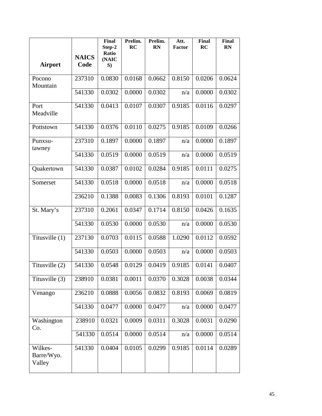|                                 | <b>NAICS</b> | <b>Final</b><br>Step-2<br>Ratio<br>(NAIC | Prelim.<br><b>RC</b> | Prelim.<br><b>RN</b> | Att.<br>Factor | Final<br>RC | Final<br><b>RN</b> |
|---------------------------------|--------------|------------------------------------------|----------------------|----------------------|----------------|-------------|--------------------|
| <b>Airport</b>                  | Code         | S)                                       |                      |                      |                |             |                    |
| Pocono<br>Mountain              | 237310       | 0.0830                                   | 0.0168               | 0.0662               | 0.8150         | 0.0206      | 0.0624             |
|                                 | 541330       | 0.0302                                   | 0.0000               | 0.0302               | n/a            | 0.0000      | 0.0302             |
| Port<br>Meadville               | 541330       | 0.0413                                   | 0.0107               | 0.0307               | 0.9185         | 0.0116      | 0.0297             |
| Pottstown                       | 541330       | 0.0376                                   | 0.0110               | 0.0275               | 0.9185         | 0.0109      | 0.0266             |
| Punxsu-<br>tawney               | 237310       | 0.1897                                   | 0.0000               | 0.1897               | n/a            | 0.0000      | 0.1897             |
|                                 | 541330       | 0.0519                                   | 0.0000               | 0.0519               | n/a            | 0.0000      | 0.0519             |
| Quakertown                      | 541330       | 0.0387                                   | 0.0102               | 0.0284               | 0.9185         | 0.0111      | 0.0275             |
| Somerset                        | 541330       | 0.0518                                   | 0.0000               | 0.0518               | n/a            | 0.0000      | 0.0518             |
|                                 | 236210       | 0.1388                                   | 0.0083               | 0.1306               | 0.8193         | 0.0101      | 0.1287             |
| St. Mary's                      | 237310       | 0.2061                                   | 0.0347               | 0.1714               | 0.8150         | 0.0426      | 0.1635             |
|                                 | 541330       | 0.0530                                   | 0.0000               | 0.0530               | n/a            | 0.0000      | 0.0530             |
| Titusville (1)                  | 237130       | 0.0703                                   | 0.0115               | 0.0588               | 1.0290         | 0.0112      | 0.0592             |
|                                 | 541330       | 0.0503                                   | 0.0000               | 0.0503               | n/a            | 0.0000      | 0.0503             |
| Titusville (2)                  | 541330       | 0.0548                                   | 0.0129               | 0.0419               | 0.9185         | 0.0141      | 0.0407             |
| Titusville (3)                  | 238910       | 0.0381                                   | 0.0011               | 0.0370               | 0.3028         | 0.0038      | 0.0344             |
| Venango                         | 236210       | 0.0888                                   | 0.0056               | 0.0832               | 0.8193         | 0.0069      | 0.0819             |
|                                 | 541330       | 0.0477                                   | 0.0000               | 0.0477               | n/a            | 0.0000      | 0.0477             |
| Washington<br>Co.               | 238910       | 0.0321                                   | 0.0009               | 0.0311               | 0.3028         | 0.0031      | 0.0290             |
|                                 | 541330       | 0.0514                                   | 0.0000               | 0.0514               | n/a            | 0.0000      | 0.0514             |
| Wilkes-<br>Barre/Wyo.<br>Valley | 541330       | 0.0404                                   | 0.0105               | 0.0299               | 0.9185         | 0.0114      | 0.0289             |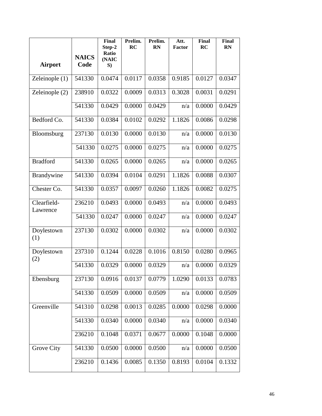| <b>Airport</b>          | <b>NAICS</b><br>Code | <b>Final</b><br>Step-2<br>Ratio<br>(NAIC<br>S) | Prelim.<br>RC | Prelim.<br><b>RN</b> | Att.<br><b>Factor</b> | Final<br>RC | <b>Final</b><br><b>RN</b> |
|-------------------------|----------------------|------------------------------------------------|---------------|----------------------|-----------------------|-------------|---------------------------|
| Zeleinople (1)          | 541330               | 0.0474                                         | 0.0117        | 0.0358               | 0.9185                | 0.0127      | 0.0347                    |
| Zeleinople (2)          | 238910               | 0.0322                                         | 0.0009        | 0.0313               | 0.3028                | 0.0031      | 0.0291                    |
|                         | 541330               | 0.0429                                         | 0.0000        | 0.0429               | n/a                   | 0.0000      | 0.0429                    |
| Bedford Co.             | 541330               | 0.0384                                         | 0.0102        | 0.0292               | 1.1826                | 0.0086      | 0.0298                    |
| Bloomsburg              | 237130               | 0.0130                                         | 0.0000        | 0.0130               | n/a                   | 0.0000      | 0.0130                    |
|                         | 541330               | 0.0275                                         | 0.0000        | 0.0275               | n/a                   | 0.0000      | 0.0275                    |
| <b>Bradford</b>         | 541330               | 0.0265                                         | 0.0000        | 0.0265               | n/a                   | 0.0000      | 0.0265                    |
| Brandywine              | 541330               | 0.0394                                         | 0.0104        | 0.0291               | 1.1826                | 0.0088      | 0.0307                    |
| Chester Co.             | 541330               | 0.0357                                         | 0.0097        | 0.0260               | 1.1826                | 0.0082      | 0.0275                    |
| Clearfield-<br>Lawrence | 236210               | 0.0493                                         | 0.0000        | 0.0493               | n/a                   | 0.0000      | 0.0493                    |
|                         | 541330               | 0.0247                                         | 0.0000        | 0.0247               | n/a                   | 0.0000      | 0.0247                    |
| Doylestown<br>(1)       | 237130               | 0.0302                                         | 0.0000        | 0.0302               | n/a                   | 0.0000      | 0.0302                    |
| Doylestown<br>(2)       | 237310               | 0.1244                                         | 0.0228        | 0.1016               | 0.8150                | 0.0280      | 0.0965                    |
|                         | 541330               | 0.0329                                         | 0.0000        | 0.0329               | n/a                   | 0.0000      | 0.0329                    |
| Ebensburg               | 237130               | 0.0916                                         | 0.0137        | 0.0779               | 1.0290                | 0.0133      | 0.0783                    |
|                         | 541330               | 0.0509                                         | 0.0000        | 0.0509               | n/a                   | 0.0000      | 0.0509                    |
| Greenville              | 541310               | 0.0298                                         | 0.0013        | 0.0285               | 0.0000                | 0.0298      | 0.0000                    |
|                         | 541330               | 0.0340                                         | 0.0000        | 0.0340               | n/a                   | 0.0000      | 0.0340                    |
|                         | 236210               | 0.1048                                         | 0.0371        | 0.0677               | 0.0000                | 0.1048      | 0.0000                    |
| Grove City              | 541330               | 0.0500                                         | 0.0000        | 0.0500               | n/a                   | 0.0000      | 0.0500                    |
|                         | 236210               | 0.1436                                         | 0.0085        | 0.1350               | 0.8193                | 0.0104      | 0.1332                    |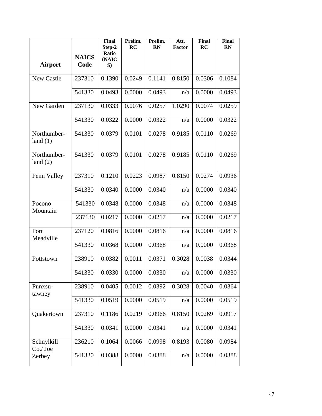| <b>Airport</b>            | <b>NAICS</b><br>Code | <b>Final</b><br>Step-2<br>Ratio<br>(NAIC<br>S) | Prelim.<br>RC | Prelim.<br><b>RN</b> | Att.<br><b>Factor</b> | Final<br>RC | <b>Final</b><br>RN |
|---------------------------|----------------------|------------------------------------------------|---------------|----------------------|-----------------------|-------------|--------------------|
|                           |                      |                                                |               |                      |                       |             |                    |
| New Castle                | 237310               | 0.1390                                         | 0.0249        | 0.1141               | 0.8150                | 0.0306      | 0.1084             |
|                           | 541330               | 0.0493                                         | 0.0000        | 0.0493               | n/a                   | 0.0000      | 0.0493             |
| New Garden                | 237130               | 0.0333                                         | 0.0076        | 0.0257               | 1.0290                | 0.0074      | 0.0259             |
|                           | 541330               | 0.0322                                         | 0.0000        | 0.0322               | n/a                   | 0.0000      | 0.0322             |
| Northumber-<br>land $(1)$ | 541330               | 0.0379                                         | 0.0101        | 0.0278               | 0.9185                | 0.0110      | 0.0269             |
| Northumber-<br>land $(2)$ | 541330               | 0.0379                                         | 0.0101        | 0.0278               | 0.9185                | 0.0110      | 0.0269             |
| Penn Valley               | 237310               | 0.1210                                         | 0.0223        | 0.0987               | 0.8150                | 0.0274      | 0.0936             |
|                           | 541330               | 0.0340                                         | 0.0000        | 0.0340               | n/a                   | 0.0000      | 0.0340             |
| Pocono<br>Mountain        | 541330               | 0.0348                                         | 0.0000        | 0.0348               | n/a                   | 0.0000      | 0.0348             |
|                           | 237130               | 0.0217                                         | 0.0000        | 0.0217               | n/a                   | 0.0000      | 0.0217             |
| Port<br>Meadville         | 237120               | 0.0816                                         | 0.0000        | 0.0816               | n/a                   | 0.0000      | 0.0816             |
|                           | 541330               | 0.0368                                         | 0.0000        | 0.0368               | n/a                   | 0.0000      | 0.0368             |
| Pottstown                 | 238910               | 0.0382                                         | 0.0011        | 0.0371               | 0.3028                | 0.0038      | 0.0344             |
|                           | 541330               | 0.0330                                         | 0.0000        | 0.0330               | n/a                   | 0.0000      | 0.0330             |
| Punxsu-<br>tawney         | 238910               | 0.0405                                         | 0.0012        | 0.0392               | 0.3028                | 0.0040      | 0.0364             |
|                           | 541330               | 0.0519                                         | 0.0000        | 0.0519               | n/a                   | 0.0000      | 0.0519             |
| Quakertown                | 237310               | 0.1186                                         | 0.0219        | 0.0966               | 0.8150                | 0.0269      | 0.0917             |
|                           | 541330               | 0.0341                                         | 0.0000        | 0.0341               | n/a                   | 0.0000      | 0.0341             |
| Schuylkill<br>Co./Joe     | 236210               | 0.1064                                         | 0.0066        | 0.0998               | 0.8193                | 0.0080      | 0.0984             |
| Zerbey                    | 541330               | 0.0388                                         | 0.0000        | 0.0388               | n/a                   | 0.0000      | 0.0388             |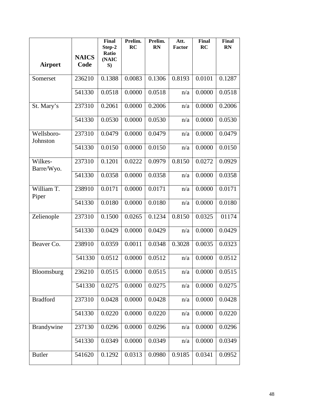|                        | <b>NAICS</b> | <b>Final</b><br>Step-2<br>Ratio | Prelim.<br>RC | Prelim.<br><b>RN</b> | Att.<br><b>Factor</b> | Final<br>RC | <b>Final</b><br>RN |
|------------------------|--------------|---------------------------------|---------------|----------------------|-----------------------|-------------|--------------------|
| <b>Airport</b>         | Code         | (NAIC<br>S)                     |               |                      |                       |             |                    |
| Somerset               | 236210       | 0.1388                          | 0.0083        | 0.1306               | 0.8193                | 0.0101      | 0.1287             |
|                        | 541330       | 0.0518                          | 0.0000        | 0.0518               | n/a                   | 0.0000      | 0.0518             |
| St. Mary's             | 237310       | 0.2061                          | 0.0000        | 0.2006               | n/a                   | 0.0000      | 0.2006             |
|                        | 541330       | 0.0530                          | 0.0000        | 0.0530               | n/a                   | 0.0000      | 0.0530             |
| Wellsboro-<br>Johnston | 237310       | 0.0479                          | 0.0000        | 0.0479               | n/a                   | 0.0000      | 0.0479             |
|                        | 541330       | 0.0150                          | 0.0000        | 0.0150               | n/a                   | 0.0000      | 0.0150             |
| Wilkes-<br>Barre/Wyo.  | 237310       | 0.1201                          | 0.0222        | 0.0979               | 0.8150                | 0.0272      | 0.0929             |
|                        | 541330       | 0.0358                          | 0.0000        | 0.0358               | n/a                   | 0.0000      | 0.0358             |
| William T.<br>Piper    | 238910       | 0.0171                          | 0.0000        | 0.0171               | n/a                   | 0.0000      | 0.0171             |
|                        | 541330       | 0.0180                          | 0.0000        | 0.0180               | n/a                   | 0.0000      | 0.0180             |
| Zelienople             | 237310       | 0.1500                          | 0.0265        | 0.1234               | 0.8150                | 0.0325      | 01174              |
|                        | 541330       | 0.0429                          | 0.0000        | 0.0429               | n/a                   | 0.0000      | 0.0429             |
| Beaver Co.             | 238910       | 0.0359                          | 0.0011        | 0.0348               | 0.3028                | 0.0035      | 0.0323             |
|                        | 541330       | 0.0512                          | 0.0000        | 0.0512               | n/a                   | 0.0000      | 0.0512             |
| Bloomsburg             | 236210       | 0.0515                          | 0.0000        | 0.0515               | n/a                   | 0.0000      | 0.0515             |
|                        | 541330       | 0.0275                          | 0.0000        | 0.0275               | n/a                   | 0.0000      | 0.0275             |
| <b>Bradford</b>        | 237310       | 0.0428                          | 0.0000        | 0.0428               | n/a                   | 0.0000      | 0.0428             |
|                        | 541330       | 0.0220                          | 0.0000        | 0.0220               | n/a                   | 0.0000      | 0.0220             |
| Brandywine             | 237130       | 0.0296                          | 0.0000        | 0.0296               | n/a                   | 0.0000      | 0.0296             |
|                        | 541330       | 0.0349                          | 0.0000        | 0.0349               | n/a                   | 0.0000      | 0.0349             |
| <b>Butler</b>          | 541620       | 0.1292                          | 0.0313        | 0.0980               | 0.9185                | 0.0341      | 0.0952             |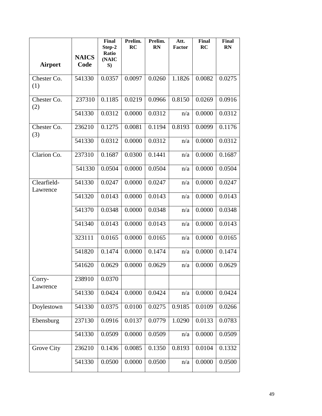|                         | <b>NAICS</b> | <b>Final</b><br>Step-2<br>Ratio<br>(NAIC | Prelim.<br>RC | Prelim.<br><b>RN</b> | Att.<br><b>Factor</b> | Final<br>RC | <b>Final</b><br><b>RN</b> |
|-------------------------|--------------|------------------------------------------|---------------|----------------------|-----------------------|-------------|---------------------------|
| <b>Airport</b>          | Code         | S)                                       |               |                      |                       |             |                           |
| Chester Co.<br>(1)      | 541330       | 0.0357                                   | 0.0097        | 0.0260               | 1.1826                | 0.0082      | 0.0275                    |
| Chester Co.<br>(2)      | 237310       | 0.1185                                   | 0.0219        | 0.0966               | 0.8150                | 0.0269      | 0.0916                    |
|                         | 541330       | 0.0312                                   | 0.0000        | 0.0312               | n/a                   | 0.0000      | 0.0312                    |
| Chester Co.<br>(3)      | 236210       | 0.1275                                   | 0.0081        | 0.1194               | 0.8193                | 0.0099      | 0.1176                    |
|                         | 541330       | 0.0312                                   | 0.0000        | 0.0312               | n/a                   | 0.0000      | 0.0312                    |
| Clarion Co.             | 237310       | 0.1687                                   | 0.0300        | 0.1441               | n/a                   | 0.0000      | 0.1687                    |
|                         | 541330       | 0.0504                                   | 0.0000        | 0.0504               | n/a                   | 0.0000      | 0.0504                    |
| Clearfield-<br>Lawrence | 541330       | 0.0247                                   | 0.0000        | 0.0247               | n/a                   | 0.0000      | 0.0247                    |
|                         | 541320       | 0.0143                                   | 0.0000        | 0.0143               | n/a                   | 0.0000      | 0.0143                    |
|                         | 541370       | 0.0348                                   | 0.0000        | 0.0348               | n/a                   | 0.0000      | 0.0348                    |
|                         | 541340       | 0.0143                                   | 0.0000        | 0.0143               | n/a                   | 0.0000      | 0.0143                    |
|                         | 323111       | 0.0165                                   | 0.0000        | 0.0165               | n/a                   | 0.0000      | 0.0165                    |
|                         | 541820       | 0.1474                                   | 0.0000        | 0.1474               | n/a                   | 0.0000      | 0.1474                    |
|                         | 541620       | 0.0629                                   | 0.0000        | 0.0629               | n/a                   | 0.0000      | 0.0629                    |
| Corry-<br>Lawrence      | 238910       | 0.0370                                   |               |                      |                       |             |                           |
|                         | 541330       | 0.0424                                   | 0.0000        | 0.0424               | n/a                   | 0.0000      | 0.0424                    |
| Doylestown              | 541330       | 0.0375                                   | 0.0100        | 0.0275               | 0.9185                | 0.0109      | 0.0266                    |
| Ebensburg               | 237130       | 0.0916                                   | 0.0137        | 0.0779               | 1.0290                | 0.0133      | 0.0783                    |
|                         | 541330       | 0.0509                                   | 0.0000        | 0.0509               | n/a                   | 0.0000      | 0.0509                    |
| Grove City              | 236210       | 0.1436                                   | 0.0085        | 0.1350               | 0.8193                | 0.0104      | 0.1332                    |
|                         | 541330       | 0.0500                                   | 0.0000        | 0.0500               | n/a                   | 0.0000      | 0.0500                    |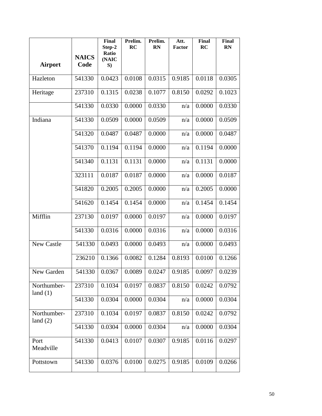|                           | <b>NAICS</b> | <b>Final</b><br>Step-2<br>Ratio<br>(NAIC | Prelim.<br>RC | Prelim.<br><b>RN</b> | Att.<br><b>Factor</b> | Final<br>RC | Final<br><b>RN</b> |
|---------------------------|--------------|------------------------------------------|---------------|----------------------|-----------------------|-------------|--------------------|
| <b>Airport</b>            | Code         | S)                                       |               |                      |                       |             |                    |
| Hazleton                  | 541330       | 0.0423                                   | 0.0108        | 0.0315               | 0.9185                | 0.0118      | 0.0305             |
| Heritage                  | 237310       | 0.1315                                   | 0.0238        | 0.1077               | 0.8150                | 0.0292      | 0.1023             |
|                           | 541330       | 0.0330                                   | 0.0000        | 0.0330               | n/a                   | 0.0000      | 0.0330             |
| Indiana                   | 541330       | 0.0509                                   | 0.0000        | 0.0509               | n/a                   | 0.0000      | 0.0509             |
|                           | 541320       | 0.0487                                   | 0.0487        | 0.0000               | n/a                   | 0.0000      | 0.0487             |
|                           | 541370       | 0.1194                                   | 0.1194        | 0.0000               | n/a                   | 0.1194      | 0.0000             |
|                           | 541340       | 0.1131                                   | 0.1131        | 0.0000               | n/a                   | 0.1131      | 0.0000             |
|                           | 323111       | 0.0187                                   | 0.0187        | 0.0000               | n/a                   | 0.0000      | 0.0187             |
|                           | 541820       | 0.2005                                   | 0.2005        | 0.0000               | n/a                   | 0.2005      | 0.0000             |
|                           | 541620       | 0.1454                                   | 0.1454        | 0.0000               | n/a                   | 0.1454      | 0.1454             |
| Mifflin                   | 237130       | 0.0197                                   | 0.0000        | 0.0197               | n/a                   | 0.0000      | 0.0197             |
|                           | 541330       | 0.0316                                   | 0.0000        | 0.0316               | n/a                   | 0.0000      | 0.0316             |
| <b>New Castle</b>         | 541330       | 0.0493                                   | 0.0000        | 0.0493               | n/a                   | 0.0000      | 0.0493             |
|                           | 236210       | 0.1366                                   | 0.0082        | 0.1284               | 0.8193                | 0.0100      | 0.1266             |
| New Garden                | 541330       | 0.0367                                   | 0.0089        | 0.0247               | 0.9185                | 0.0097      | 0.0239             |
| Northumber-<br>land $(1)$ | 237310       | 0.1034                                   | 0.0197        | 0.0837               | 0.8150                | 0.0242      | 0.0792             |
|                           | 541330       | 0.0304                                   | 0.0000        | 0.0304               | n/a                   | 0.0000      | 0.0304             |
| Northumber-<br>land $(2)$ | 237310       | 0.1034                                   | 0.0197        | 0.0837               | 0.8150                | 0.0242      | 0.0792             |
|                           | 541330       | 0.0304                                   | 0.0000        | 0.0304               | n/a                   | 0.0000      | 0.0304             |
| Port<br>Meadville         | 541330       | 0.0413                                   | 0.0107        | 0.0307               | 0.9185                | 0.0116      | 0.0297             |
| Pottstown                 | 541330       | 0.0376                                   | 0.0100        | 0.0275               | 0.9185                | 0.0109      | 0.0266             |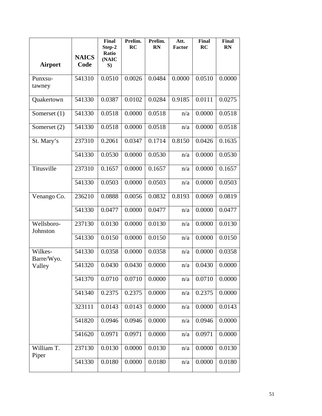|                        | <b>NAICS</b> | <b>Final</b><br>Step-2<br>Ratio<br>(NAIC | Prelim.<br>RC | Prelim.<br><b>RN</b> | Att.<br>Factor | Final<br>RC | <b>Final</b><br><b>RN</b> |
|------------------------|--------------|------------------------------------------|---------------|----------------------|----------------|-------------|---------------------------|
| <b>Airport</b>         | Code         | S)                                       |               |                      |                |             |                           |
| Punxsu-<br>tawney      | 541310       | 0.0510                                   | 0.0026        | 0.0484               | 0.0000         | 0.0510      | 0.0000                    |
| Quakertown             | 541330       | 0.0387                                   | 0.0102        | 0.0284               | 0.9185         | 0.0111      | 0.0275                    |
| Somerset $(1)$         | 541330       | 0.0518                                   | 0.0000        | 0.0518               | n/a            | 0.0000      | 0.0518                    |
| Somerset (2)           | 541330       | 0.0518                                   | 0.0000        | 0.0518               | n/a            | 0.0000      | 0.0518                    |
| St. Mary's             | 237310       | 0.2061                                   | 0.0347        | 0.1714               | 0.8150         | 0.0426      | 0.1635                    |
|                        | 541330       | 0.0530                                   | 0.0000        | 0.0530               | n/a            | 0.0000      | 0.0530                    |
| Titusville             | 237310       | 0.1657                                   | 0.0000        | 0.1657               | n/a            | 0.0000      | 0.1657                    |
|                        | 541330       | 0.0503                                   | 0.0000        | 0.0503               | n/a            | 0.0000      | 0.0503                    |
| Venango Co.            | 236210       | 0.0888                                   | 0.0056        | 0.0832               | 0.8193         | 0.0069      | 0.0819                    |
|                        | 541330       | 0.0477                                   | 0.0000        | 0.0477               | n/a            | 0.0000      | 0.0477                    |
| Wellsboro-<br>Johnston | 237130       | 0.0130                                   | 0.0000        | 0.0130               | n/a            | 0.0000      | 0.0130                    |
|                        | 541330       | 0.0150                                   | 0.0000        | 0.0150               | n/a            | 0.0000      | 0.0150                    |
| Wilkes-<br>Barre/Wyo.  | 541330       | 0.0358                                   | 0.0000        | 0.0358               | n/a            | 0.0000      | 0.0358                    |
| Valley                 | 541320       | 0.0430                                   | 0.0430        | 0.0000               | n/a            | 0.0430      | 0.0000                    |
|                        | 541370       | 0.0710                                   | 0.0710        | 0.0000               | n/a            | 0.0710      | 0.0000                    |
|                        | 541340       | 0.2375                                   | 0.2375        | 0.0000               | n/a            | 0.2375      | 0.0000                    |
|                        | 323111       | 0.0143                                   | 0.0143        | 0.0000               | n/a            | 0.0000      | 0.0143                    |
|                        | 541820       | 0.0946                                   | 0.0946        | 0.0000               | n/a            | 0.0946      | 0.0000                    |
|                        | 541620       | 0.0971                                   | 0.0971        | 0.0000               | n/a            | 0.0971      | 0.0000                    |
| William T.<br>Piper    | 237130       | 0.0130                                   | 0.0000        | 0.0130               | n/a            | 0.0000      | 0.0130                    |
|                        | 541330       | 0.0180                                   | 0.0000        | 0.0180               | n/a            | 0.0000      | 0.0180                    |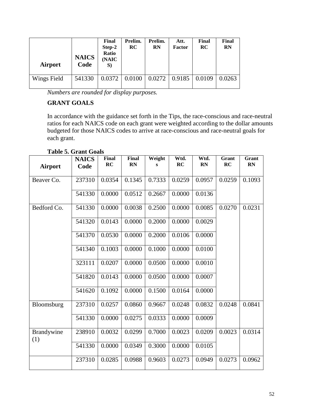| <b>Airport</b> | <b>NAICS</b><br>Code | Final<br>Step-2<br>Ratio<br>(NAIC<br>S) | Prelim.<br>RC | Prelim.<br>RN | Att.<br>Factor | Final<br>RC | Final<br><b>RN</b> |
|----------------|----------------------|-----------------------------------------|---------------|---------------|----------------|-------------|--------------------|
| Wings Field    | 541330               | 0.0372                                  | 0.0100        | 0.0272        | 0.9185         | 0.0109      | 0.0263             |

*Numbers are rounded for display purposes.*

## **GRANT GOALS**

In accordance with the guidance set forth in the Tips, the race-conscious and race-neutral ratios for each NAICS code on each grant were weighted according to the dollar amounts budgeted for those NAICS codes to arrive at race-conscious and race-neutral goals for each grant.

| <b>Airport</b>    | <b>NAICS</b><br>Code | <b>Final</b><br>RC | <b>Final</b><br><b>RN</b> | Weight<br>s | Wtd.<br>RC | Wtd.<br><b>RN</b> | Grant<br>RC | Grant<br><b>RN</b> |
|-------------------|----------------------|--------------------|---------------------------|-------------|------------|-------------------|-------------|--------------------|
| Beaver Co.        | 237310               | 0.0354             | 0.1345                    | 0.7333      | 0.0259     | 0.0957            | 0.0259      | 0.1093             |
|                   | 541330               | 0.0000             | 0.0512                    | 0.2667      | 0.0000     | 0.0136            |             |                    |
| Bedford Co.       | 541330               | 0.0000             | 0.0038                    | 0.2500      | 0.0000     | 0.0085            | 0.0270      | 0.0231             |
|                   | 541320               | 0.0143             | 0.0000                    | 0.2000      | 0.0000     | 0.0029            |             |                    |
|                   | 541370               | 0.0530             | 0.0000                    | 0.2000      | 0.0106     | 0.0000            |             |                    |
|                   | 541340               | 0.1003             | 0.0000                    | 0.1000      | 0.0000     | 0.0100            |             |                    |
|                   | 323111               | 0.0207             | 0.0000                    | 0.0500      | 0.0000     | 0.0010            |             |                    |
|                   | 541820               | 0.0143             | 0.0000                    | 0.0500      | 0.0000     | 0.0007            |             |                    |
|                   | 541620               | 0.1092             | 0.0000                    | 0.1500      | 0.0164     | 0.0000            |             |                    |
| Bloomsburg        | 237310               | 0.0257             | 0.0860                    | 0.9667      | 0.0248     | 0.0832            | 0.0248      | 0.0841             |
|                   | 541330               | 0.0000             | 0.0275                    | 0.0333      | 0.0000     | 0.0009            |             |                    |
| Brandywine<br>(1) | 238910               | 0.0032             | 0.0299                    | 0.7000      | 0.0023     | 0.0209            | 0.0023      | 0.0314             |
|                   | 541330               | 0.0000             | 0.0349                    | 0.3000      | 0.0000     | 0.0105            |             |                    |
|                   | 237310               | 0.0285             | 0.0988                    | 0.9603      | 0.0273     | 0.0949            | 0.0273      | 0.0962             |

## **Table 5. Grant Goals**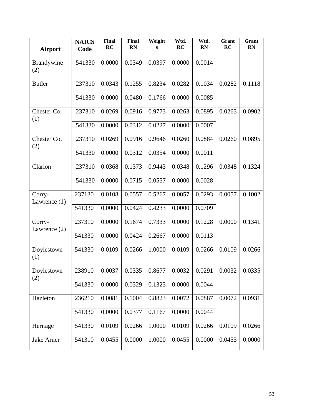| <b>Airport</b>           | <b>NAICS</b><br>Code | Final<br>RC | Final<br><b>RN</b> | Weight<br>S | Wtd.<br>RC | Wtd.<br><b>RN</b> | Grant<br>RC | Grant<br><b>RN</b> |
|--------------------------|----------------------|-------------|--------------------|-------------|------------|-------------------|-------------|--------------------|
| Brandywine<br>(2)        | 541330               | 0.0000      | 0.0349             | 0.0397      | 0.0000     | 0.0014            |             |                    |
| <b>Butler</b>            | 237310               | 0.0343      | 0.1255             | 0.8234      | 0.0282     | 0.1034            | 0.0282      | 0.1118             |
|                          | 541330               | 0.0000      | 0.0480             | 0.1766      | 0.0000     | 0.0085            |             |                    |
| Chester Co.<br>(1)       | 237310               | 0.0269      | 0.0916             | 0.9773      | 0.0263     | 0.0895            | 0.0263      | 0.0902             |
|                          | 541330               | 0.0000      | 0.0312             | 0.0227      | 0.0000     | 0.0007            |             |                    |
| Chester Co.<br>(2)       | 237310               | 0.0269      | 0.0916             | 0.9646      | 0.0260     | 0.0884            | 0.0260      | 0.0895             |
|                          | 541330               | 0.0000      | 0.0312             | 0.0354      | 0.0000     | 0.0011            |             |                    |
| Clarion                  | 237310               | 0.0368      | 0.1373             | 0.9443      | 0.0348     | 0.1296            | 0.0348      | 0.1324             |
|                          | 541330               | 0.0000      | 0.0715             | 0.0557      | 0.0000     | 0.0028            |             |                    |
| Corry-<br>Lawrence (1)   | 237130               | 0.0108      | 0.0557             | 0.5267      | 0.0057     | 0.0293            | 0.0057      | 0.1002             |
|                          | 541330               | 0.0000      | 0.0424             | 0.4233      | 0.0000     | 0.0709            |             |                    |
| Corry-<br>Lawrence $(2)$ | 237310               | 0.0000      | 0.1674             | 0.7333      | 0.0000     | 0.1228            | 0.0000      | 0.1341             |
|                          | 541330               | 0.0000      | 0.0424             | 0.2667      | 0.0000     | 0.0113            |             |                    |
| Doylestown<br>(1)        | 541330               | 0.0109      | 0.0266             | 1.0000      | 0.0109     | 0.0266            | 0.0109      | 0.0266             |
| Doylestown<br>(2)        | 238910               | 0.0037      | 0.0335             | 0.8677      | 0.0032     | 0.0291            | 0.0032      | 0.0335             |
|                          | 541330               | 0.0000      | 0.0329             | 0.1323      | 0.0000     | 0.0044            |             |                    |
| Hazleton                 | 236210               | 0.0081      | 0.1004             | 0.8823      | 0.0072     | 0.0887            | 0.0072      | 0.0931             |
|                          | 541330               | 0.0000      | 0.0377             | 0.1167      | 0.0000     | 0.0044            |             |                    |
| Heritage                 | 541330               | 0.0109      | 0.0266             | 1.0000      | 0.0109     | 0.0266            | 0.0109      | 0.0266             |
| Jake Arner               | 541310               | 0.0455      | 0.0000             | 1.0000      | 0.0455     | 0.0000            | 0.0455      | 0.0000             |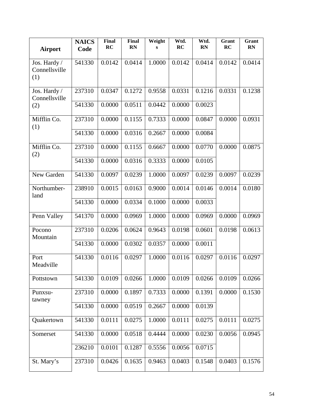| <b>Airport</b>                       | <b>NAICS</b><br>Code | Final<br>RC | Final<br><b>RN</b> | Weight<br>S | Wtd.<br>RC | Wtd.<br><b>RN</b> | Grant<br>RC | Grant<br><b>RN</b> |
|--------------------------------------|----------------------|-------------|--------------------|-------------|------------|-------------------|-------------|--------------------|
| Jos. Hardy /<br>Connellsville<br>(1) | 541330               | 0.0142      | 0.0414             | 1.0000      | 0.0142     | 0.0414            | 0.0142      | 0.0414             |
| Jos. Hardy /<br>Connellsville        | 237310               | 0.0347      | 0.1272             | 0.9558      | 0.0331     | 0.1216            | 0.0331      | 0.1238             |
| (2)                                  | 541330               | 0.0000      | 0.0511             | 0.0442      | 0.0000     | 0.0023            |             |                    |
| Mifflin Co.<br>(1)                   | 237310               | 0.0000      | 0.1155             | 0.7333      | 0.0000     | 0.0847            | 0.0000      | 0.0931             |
|                                      | 541330               | 0.0000      | 0.0316             | 0.2667      | 0.0000     | 0.0084            |             |                    |
| Mifflin Co.<br>(2)                   | 237310               | 0.0000      | 0.1155             | 0.6667      | 0.0000     | 0.0770            | 0.0000      | 0.0875             |
|                                      | 541330               | 0.0000      | 0.0316             | 0.3333      | 0.0000     | 0.0105            |             |                    |
| New Garden                           | 541330               | 0.0097      | 0.0239             | 1.0000      | 0.0097     | 0.0239            | 0.0097      | 0.0239             |
| Northumber-<br>land                  | 238910               | 0.0015      | 0.0163             | 0.9000      | 0.0014     | 0.0146            | 0.0014      | 0.0180             |
|                                      | 541330               | 0.0000      | 0.0334             | 0.1000      | 0.0000     | 0.0033            |             |                    |
| Penn Valley                          | 541370               | 0.0000      | 0.0969             | 1.0000      | 0.0000     | 0.0969            | 0.0000      | 0.0969             |
| Pocono<br>Mountain                   | 237310               | 0.0206      | 0.0624             | 0.9643      | 0.0198     | 0.0601            | 0.0198      | 0.0613             |
|                                      | 541330               | 0.0000      | 0.0302             | 0.0357      | 0.0000     | 0.0011            |             |                    |
| Port<br>Meadville                    | 541330               | 0.0116      | 0.0297             | 1.0000      | 0.0116     | 0.0297            | 0.0116      | 0.0297             |
| Pottstown                            | 541330               | 0.0109      | 0.0266             | 1.0000      | 0.0109     | 0.0266            | 0.0109      | 0.0266             |
| Punxsu-<br>tawney                    | 237310               | 0.0000      | 0.1897             | 0.7333      | 0.0000     | 0.1391            | 0.0000      | 0.1530             |
|                                      | 541330               | 0.0000      | 0.0519             | 0.2667      | 0.0000     | 0.0139            |             |                    |
| Quakertown                           | 541330               | 0.0111      | 0.0275             | 1.0000      | 0.0111     | 0.0275            | 0.0111      | 0.0275             |
| Somerset                             | 541330               | 0.0000      | 0.0518             | 0.4444      | 0.0000     | 0.0230            | 0.0056      | 0.0945             |
|                                      | 236210               | 0.0101      | 0.1287             | 0.5556      | 0.0056     | 0.0715            |             |                    |
| St. Mary's                           | 237310               | 0.0426      | 0.1635             | 0.9463      | 0.0403     | 0.1548            | 0.0403      | 0.1576             |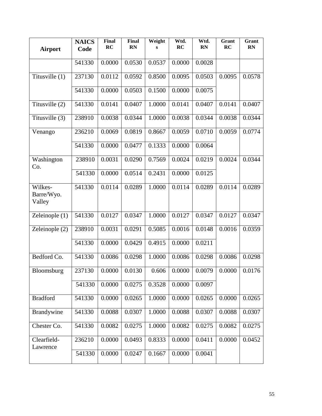| Airport                         | <b>NAICS</b><br>Code | Final<br>RC | Final<br><b>RN</b> | Weight<br>s | Wtd.<br>RC | Wtd.<br><b>RN</b> | Grant<br>RC | Grant<br><b>RN</b> |
|---------------------------------|----------------------|-------------|--------------------|-------------|------------|-------------------|-------------|--------------------|
|                                 | 541330               | 0.0000      | 0.0530             | 0.0537      | 0.0000     | 0.0028            |             |                    |
| Titusville $(1)$                | 237130               | 0.0112      | 0.0592             | 0.8500      | 0.0095     | 0.0503            | 0.0095      | 0.0578             |
|                                 | 541330               | 0.0000      | 0.0503             | 0.1500      | 0.0000     | 0.0075            |             |                    |
| Titusville (2)                  | 541330               | 0.0141      | 0.0407             | 1.0000      | 0.0141     | 0.0407            | 0.0141      | 0.0407             |
| Titusville (3)                  | 238910               | 0.0038      | 0.0344             | 1.0000      | 0.0038     | 0.0344            | 0.0038      | 0.0344             |
| Venango                         | 236210               | 0.0069      | 0.0819             | 0.8667      | 0.0059     | 0.0710            | 0.0059      | 0.0774             |
|                                 | 541330               | 0.0000      | 0.0477             | 0.1333      | 0.0000     | 0.0064            |             |                    |
| Washington<br>Co.               | 238910               | 0.0031      | 0.0290             | 0.7569      | 0.0024     | 0.0219            | 0.0024      | 0.0344             |
|                                 | 541330               | 0.0000      | 0.0514             | 0.2431      | 0.0000     | 0.0125            |             |                    |
| Wilkes-<br>Barre/Wyo.<br>Valley | 541330               | 0.0114      | 0.0289             | 1.0000      | 0.0114     | 0.0289            | 0.0114      | 0.0289             |
| Zeleinople $(1)$                | 541330               | 0.0127      | 0.0347             | 1.0000      | 0.0127     | 0.0347            | 0.0127      | 0.0347             |
| Zeleinople $(2)$                | 238910               | 0.0031      | 0.0291             | 0.5085      | 0.0016     | 0.0148            | 0.0016      | 0.0359             |
|                                 | 541330               | 0.0000      | 0.0429             | 0.4915      | 0.0000     | 0.0211            |             |                    |
| Bedford Co.                     | 541330               | 0.0086      | 0.0298             | 1.0000      | 0.0086     | 0.0298            | 0.0086      | 0.0298             |
| Bloomsburg                      | 237130               | 0.0000      | 0.0130             | 0.606       | 0.0000     | 0.0079            | 0.0000      | 0.0176             |
|                                 | 541330               | 0.0000      | 0.0275             | 0.3528      | 0.0000     | 0.0097            |             |                    |
| <b>Bradford</b>                 | 541330               | 0.0000      | 0.0265             | 1.0000      | 0.0000     | 0.0265            | 0.0000      | 0.0265             |
| Brandywine                      | 541330               | 0.0088      | 0.0307             | 1.0000      | 0.0088     | 0.0307            | 0.0088      | 0.0307             |
| Chester Co.                     | 541330               | 0.0082      | 0.0275             | 1.0000      | 0.0082     | 0.0275            | 0.0082      | 0.0275             |
| Clearfield-<br>Lawrence         | 236210               | 0.0000      | 0.0493             | 0.8333      | 0.0000     | 0.0411            | 0.0000      | 0.0452             |
|                                 | 541330               | 0.0000      | 0.0247             | 0.1667      | 0.0000     | 0.0041            |             |                    |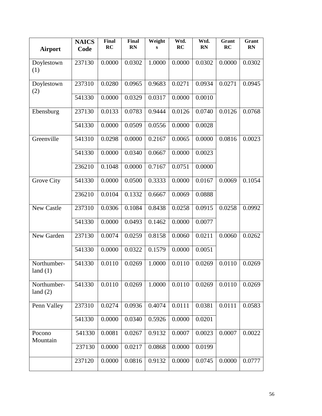| <b>Airport</b>            | <b>NAICS</b><br>Code | Final<br>RC | Final<br><b>RN</b> | Weight<br>s | Wtd.<br>RC | Wtd.<br><b>RN</b> | Grant<br>RC | Grant<br><b>RN</b> |
|---------------------------|----------------------|-------------|--------------------|-------------|------------|-------------------|-------------|--------------------|
| Doylestown<br>(1)         | 237130               | 0.0000      | 0.0302             | 1.0000      | 0.0000     | 0.0302            | 0.0000      | 0.0302             |
| Doylestown<br>(2)         | 237310               | 0.0280      | 0.0965             | 0.9683      | 0.0271     | 0.0934            | 0.0271      | 0.0945             |
|                           | 541330               | 0.0000      | 0.0329             | 0.0317      | 0.0000     | 0.0010            |             |                    |
| Ebensburg                 | 237130               | 0.0133      | 0.0783             | 0.9444      | 0.0126     | 0.0740            | 0.0126      | 0.0768             |
|                           | 541330               | 0.0000      | 0.0509             | 0.0556      | 0.0000     | 0.0028            |             |                    |
| Greenville                | 541310               | 0.0298      | 0.0000             | 0.2167      | 0.0065     | 0.0000            | 0.0816      | 0.0023             |
|                           | 541330               | 0.0000      | 0.0340             | 0.0667      | 0.0000     | 0.0023            |             |                    |
|                           | 236210               | 0.1048      | 0.0000             | 0.7167      | 0.0751     | 0.0000            |             |                    |
| Grove City                | 541330               | 0.0000      | 0.0500             | 0.3333      | 0.0000     | 0.0167            | 0.0069      | 0.1054             |
|                           | 236210               | 0.0104      | 0.1332             | 0.6667      | 0.0069     | 0.0888            |             |                    |
| New Castle                | 237310               | 0.0306      | 0.1084             | 0.8438      | 0.0258     | 0.0915            | 0.0258      | 0.0992             |
|                           | 541330               | 0.0000      | 0.0493             | 0.1462      | 0.0000     | 0.0077            |             |                    |
| New Garden                | 237130               | 0.0074      | 0.0259             | 0.8158      | 0.0060     | 0.0211            | 0.0060      | 0.0262             |
|                           | 541330               | 0.0000      | 0.0322             | 0.1579      | 0.0000     | 0.0051            |             |                    |
| Northumber-<br>land $(1)$ | 541330               | 0.0110      | 0.0269             | 1.0000      | 0.0110     | 0.0269            | 0.0110      | 0.0269             |
| Northumber-<br>land $(2)$ | 541330               | 0.0110      | 0.0269             | 1.0000      | 0.0110     | 0.0269            | 0.0110      | 0.0269             |
| Penn Valley               | 237310               | 0.0274      | 0.0936             | 0.4074      | 0.0111     | 0.0381            | 0.0111      | 0.0583             |
|                           | 541330               | 0.0000      | 0.0340             | 0.5926      | 0.0000     | 0.0201            |             |                    |
| Pocono<br>Mountain        | 541330               | 0.0081      | 0.0267             | 0.9132      | 0.0007     | 0.0023            | 0.0007      | 0.0022             |
|                           | 237130               | 0.0000      | 0.0217             | 0.0868      | 0.0000     | 0.0199            |             |                    |
|                           | 237120               | 0.0000      | 0.0816             | 0.9132      | 0.0000     | 0.0745            | 0.0000      | 0.0777             |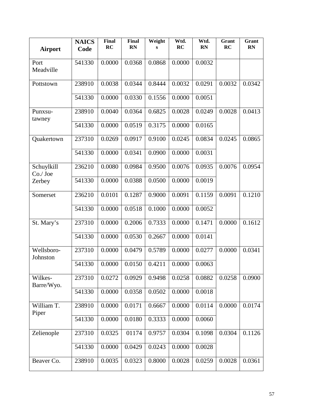| <b>Airport</b>         | <b>NAICS</b><br>Code | <b>Final</b><br>RC | Final<br><b>RN</b> | Weight<br>S | Wtd.<br>RC | Wtd.<br><b>RN</b> | Grant<br>RC | Grant<br><b>RN</b> |
|------------------------|----------------------|--------------------|--------------------|-------------|------------|-------------------|-------------|--------------------|
| Port<br>Meadville      | 541330               | 0.0000             | 0.0368             | 0.0868      | 0.0000     | 0.0032            |             |                    |
| Pottstown              | 238910               | 0.0038             | 0.0344             | 0.8444      | 0.0032     | 0.0291            | 0.0032      | 0.0342             |
|                        | 541330               | 0.0000             | 0.0330             | 0.1556      | 0.0000     | 0.0051            |             |                    |
| Punxsu-<br>tawney      | 238910               | 0.0040             | 0.0364             | 0.6825      | 0.0028     | 0.0249            | 0.0028      | 0.0413             |
|                        | 541330               | 0.0000             | 0.0519             | 0.3175      | 0.0000     | 0.0165            |             |                    |
| Quakertown             | 237310               | 0.0269             | 0.0917             | 0.9100      | 0.0245     | 0.0834            | 0.0245      | 0.0865             |
|                        | 541330               | 0.0000             | 0.0341             | 0.0900      | 0.0000     | 0.0031            |             |                    |
| Schuylkill<br>Co./Joe  | 236210               | 0.0080             | 0.0984             | 0.9500      | 0.0076     | 0.0935            | 0.0076      | 0.0954             |
| Zerbey                 | 541330               | 0.0000             | 0.0388             | 0.0500      | 0.0000     | 0.0019            |             |                    |
| Somerset               | 236210               | 0.0101             | 0.1287             | 0.9000      | 0.0091     | 0.1159            | 0.0091      | 0.1210             |
|                        | 541330               | 0.0000             | 0.0518             | 0.1000      | 0.0000     | 0.0052            |             |                    |
| St. Mary's             | 237310               | 0.0000             | 0.2006             | 0.7333      | 0.0000     | 0.1471            | 0.0000      | 0.1612             |
|                        | 541330               | 0.0000             | 0.0530             | 0.2667      | 0.0000     | 0.0141            |             |                    |
| Wellsboro-<br>Johnston | 237310               | 0.0000             | 0.0479             | 0.5789      | 0.0000     | 0.0277            | 0.0000      | 0.0341             |
|                        | 541330               | 0.0000             | 0.0150             | 0.4211      | 0.0000     | 0.0063            |             |                    |
| Wilkes-<br>Barre/Wyo.  | 237310               | 0.0272             | 0.0929             | 0.9498      | 0.0258     | 0.0882            | 0.0258      | 0.0900             |
|                        | 541330               | 0.0000             | 0.0358             | 0.0502      | 0.0000     | 0.0018            |             |                    |
| William T.<br>Piper    | 238910               | 0.0000             | 0.0171             | 0.6667      | 0.0000     | 0.0114            | 0.0000      | 0.0174             |
|                        | 541330               | 0.0000             | 0.0180             | 0.3333      | 0.0000     | 0.0060            |             |                    |
| Zelienople             | 237310               | 0.0325             | 01174              | 0.9757      | 0.0304     | 0.1098            | 0.0304      | 0.1126             |
|                        | 541330               | 0.0000             | 0.0429             | 0.0243      | 0.0000     | 0.0028            |             |                    |
| Beaver Co.             | 238910               | 0.0035             | 0.0323             | 0.8000      | 0.0028     | 0.0259            | 0.0028      | 0.0361             |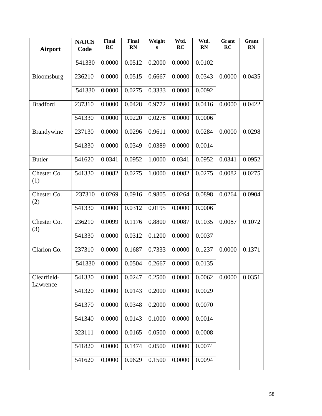| Airport                 | <b>NAICS</b><br>Code | Final<br>RC | Final<br><b>RN</b> | Weight<br>s | Wtd.<br>RC | Wtd.<br><b>RN</b> | Grant<br>RC | Grant<br><b>RN</b> |
|-------------------------|----------------------|-------------|--------------------|-------------|------------|-------------------|-------------|--------------------|
|                         | 541330               | 0.0000      | 0.0512             | 0.2000      | 0.0000     | 0.0102            |             |                    |
| Bloomsburg              | 236210               | 0.0000      | 0.0515             | 0.6667      | 0.0000     | 0.0343            | 0.0000      | 0.0435             |
|                         | 541330               | 0.0000      | 0.0275             | 0.3333      | 0.0000     | 0.0092            |             |                    |
| <b>Bradford</b>         | 237310               | 0.0000      | 0.0428             | 0.9772      | 0.0000     | 0.0416            | 0.0000      | 0.0422             |
|                         | 541330               | 0.0000      | 0.0220             | 0.0278      | 0.0000     | 0.0006            |             |                    |
| Brandywine              | 237130               | 0.0000      | 0.0296             | 0.9611      | 0.0000     | 0.0284            | 0.0000      | 0.0298             |
|                         | 541330               | 0.0000      | 0.0349             | 0.0389      | 0.0000     | 0.0014            |             |                    |
| <b>Butler</b>           | 541620               | 0.0341      | 0.0952             | 1.0000      | 0.0341     | 0.0952            | 0.0341      | 0.0952             |
| Chester Co.<br>(1)      | 541330               | 0.0082      | 0.0275             | 1.0000      | 0.0082     | 0.0275            | 0.0082      | 0.0275             |
| Chester Co.<br>(2)      | 237310               | 0.0269      | 0.0916             | 0.9805      | 0.0264     | 0.0898            | 0.0264      | 0.0904             |
|                         | 541330               | 0.0000      | 0.0312             | 0.0195      | 0.0000     | 0.0006            |             |                    |
| Chester Co.<br>(3)      | 236210               | 0.0099      | 0.1176             | 0.8800      | 0.0087     | 0.1035            | 0.0087      | 0.1072             |
|                         | 541330               | 0.0000      | 0.0312             | 0.1200      | 0.0000     | 0.0037            |             |                    |
| Clarion Co.             | 237310               | 0.0000      | 0.1687             | 0.7333      | 0.0000     | 0.1237            | 0.0000      | 0.1371             |
|                         | 541330               | 0.0000      | 0.0504             | 0.2667      | 0.0000     | 0.0135            |             |                    |
| Clearfield-<br>Lawrence | 541330               | 0.0000      | 0.0247             | 0.2500      | 0.0000     | 0.0062            | 0.0000      | 0.0351             |
|                         | 541320               | 0.0000      | 0.0143             | 0.2000      | 0.0000     | 0.0029            |             |                    |
|                         | 541370               | 0.0000      | 0.0348             | 0.2000      | 0.0000     | 0.0070            |             |                    |
|                         | 541340               | 0.0000      | 0.0143             | 0.1000      | 0.0000     | 0.0014            |             |                    |
|                         | 323111               | 0.0000      | 0.0165             | 0.0500      | 0.0000     | 0.0008            |             |                    |
|                         | 541820               | 0.0000      | 0.1474             | 0.0500      | 0.0000     | 0.0074            |             |                    |
|                         | 541620               | 0.0000      | 0.0629             | 0.1500      | 0.0000     | 0.0094            |             |                    |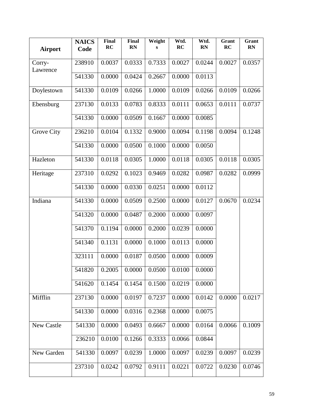| <b>Airport</b>     | <b>NAICS</b><br>Code | Final<br>RC | Final<br><b>RN</b> | Weight<br>S | Wtd.<br>RC | Wtd.<br><b>RN</b> | Grant<br>RC | Grant<br><b>RN</b> |
|--------------------|----------------------|-------------|--------------------|-------------|------------|-------------------|-------------|--------------------|
| Corry-<br>Lawrence | 238910               | 0.0037      | 0.0333             | 0.7333      | 0.0027     | 0.0244            | 0.0027      | 0.0357             |
|                    | 541330               | 0.0000      | 0.0424             | 0.2667      | 0.0000     | 0.0113            |             |                    |
| Doylestown         | 541330               | 0.0109      | 0.0266             | 1.0000      | 0.0109     | 0.0266            | 0.0109      | 0.0266             |
| Ebensburg          | 237130               | 0.0133      | 0.0783             | 0.8333      | 0.0111     | 0.0653            | 0.0111      | 0.0737             |
|                    | 541330               | 0.0000      | 0.0509             | 0.1667      | 0.0000     | 0.0085            |             |                    |
| Grove City         | 236210               | 0.0104      | 0.1332             | 0.9000      | 0.0094     | 0.1198            | 0.0094      | 0.1248             |
|                    | 541330               | 0.0000      | 0.0500             | 0.1000      | 0.0000     | 0.0050            |             |                    |
| Hazleton           | 541330               | 0.0118      | 0.0305             | 1.0000      | 0.0118     | 0.0305            | 0.0118      | 0.0305             |
| Heritage           | 237310               | 0.0292      | 0.1023             | 0.9469      | 0.0282     | 0.0987            | 0.0282      | 0.0999             |
|                    | 541330               | 0.0000      | 0.0330             | 0.0251      | 0.0000     | 0.0112            |             |                    |
| Indiana            | 541330               | 0.0000      | 0.0509             | 0.2500      | 0.0000     | 0.0127            | 0.0670      | 0.0234             |
|                    | 541320               | 0.0000      | 0.0487             | 0.2000      | 0.0000     | 0.0097            |             |                    |
|                    | 541370               | 0.1194      | 0.0000             | 0.2000      | 0.0239     | 0.0000            |             |                    |
|                    | 541340               | 0.1131      | 0.0000             | 0.1000      | 0.0113     | 0.0000            |             |                    |
|                    | 323111               | 0.0000      | 0.0187             | 0.0500      | 0.0000     | 0.0009            |             |                    |
|                    | 541820               | 0.2005      | 0.0000             | 0.0500      | 0.0100     | 0.0000            |             |                    |
|                    | 541620               | 0.1454      | 0.1454             | 0.1500      | 0.0219     | 0.0000            |             |                    |
| Mifflin            | 237130               | 0.0000      | 0.0197             | 0.7237      | 0.0000     | 0.0142            | 0.0000      | 0.0217             |
|                    | 541330               | 0.0000      | 0.0316             | 0.2368      | 0.0000     | 0.0075            |             |                    |
| New Castle         | 541330               | 0.0000      | 0.0493             | 0.6667      | 0.0000     | 0.0164            | 0.0066      | 0.1009             |
|                    | 236210               | 0.0100      | 0.1266             | 0.3333      | 0.0066     | 0.0844            |             |                    |
| New Garden         | 541330               | 0.0097      | 0.0239             | 1.0000      | 0.0097     | 0.0239            | 0.0097      | 0.0239             |
|                    | 237310               | 0.0242      | 0.0792             | 0.9111      | 0.0221     | 0.0722            | 0.0230      | 0.0746             |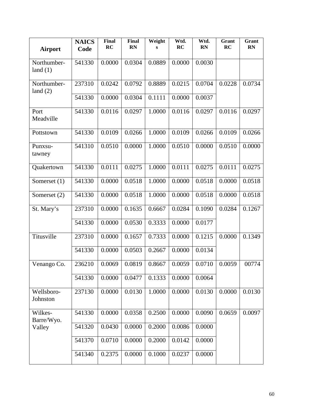| <b>Airport</b>            | <b>NAICS</b><br>Code | <b>Final</b><br>RC | Final<br><b>RN</b> | Weight<br>s | Wtd.<br>RC | Wtd.<br><b>RN</b> | Grant<br>RC | Grant<br><b>RN</b> |
|---------------------------|----------------------|--------------------|--------------------|-------------|------------|-------------------|-------------|--------------------|
| Northumber-<br>land $(1)$ | 541330               | 0.0000             | 0.0304             | 0.0889      | 0.0000     | 0.0030            |             |                    |
| Northumber-<br>land $(2)$ | 237310               | 0.0242             | 0.0792             | 0.8889      | 0.0215     | 0.0704            | 0.0228      | 0.0734             |
|                           | 541330               | 0.0000             | 0.0304             | 0.1111      | 0.0000     | 0.0037            |             |                    |
| Port<br>Meadville         | 541330               | 0.0116             | 0.0297             | 1.0000      | 0.0116     | 0.0297            | 0.0116      | 0.0297             |
| Pottstown                 | 541330               | 0.0109             | 0.0266             | 1.0000      | 0.0109     | 0.0266            | 0.0109      | 0.0266             |
| Punxsu-<br>tawney         | 541310               | 0.0510             | 0.0000             | 1.0000      | 0.0510     | 0.0000            | 0.0510      | 0.0000             |
| Quakertown                | 541330               | 0.0111             | 0.0275             | 1.0000      | 0.0111     | 0.0275            | 0.0111      | 0.0275             |
| Somerset $(1)$            | 541330               | 0.0000             | 0.0518             | 1.0000      | 0.0000     | 0.0518            | 0.0000      | 0.0518             |
| Somerset (2)              | 541330               | 0.0000             | 0.0518             | 1.0000      | 0.0000     | 0.0518            | 0.0000      | 0.0518             |
| St. Mary's                | 237310               | 0.0000             | 0.1635             | 0.6667      | 0.0284     | 0.1090            | 0.0284      | 0.1267             |
|                           | 541330               | 0.0000             | 0.0530             | 0.3333      | 0.0000     | 0.0177            |             |                    |
| Titusville                | 237310               | 0.0000             | 0.1657             | 0.7333      | 0.0000     | 0.1215            | 0.0000      | 0.1349             |
|                           | 541330               | 0.0000             | 0.0503             | 0.2667      | 0.0000     | 0.0134            |             |                    |
| Venango Co.               | 236210               | 0.0069             | 0.0819             | 0.8667      | 0.0059     | 0.0710            | 0.0059      | 00774              |
|                           | 541330               | 0.0000             | 0.0477             | 0.1333      | 0.0000     | 0.0064            |             |                    |
| Wellsboro-<br>Johnston    | 237130               | 0.0000             | 0.0130             | 1.0000      | 0.0000     | 0.0130            | 0.0000      | 0.0130             |
| Wilkes-<br>Barre/Wyo.     | 541330               | 0.0000             | 0.0358             | 0.2500      | 0.0000     | 0.0090            | 0.0659      | 0.0097             |
| Valley                    | 541320               | 0.0430             | 0.0000             | 0.2000      | 0.0086     | 0.0000            |             |                    |
|                           | 541370               | 0.0710             | 0.0000             | 0.2000      | 0.0142     | 0.0000            |             |                    |
|                           | 541340               | 0.2375             | 0.0000             | 0.1000      | 0.0237     | 0.0000            |             |                    |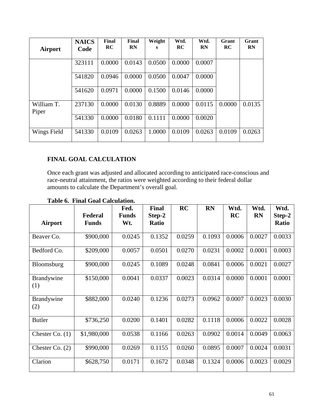| Airport             | <b>NAICS</b><br>Code | Final<br>RC | Final<br><b>RN</b> | Weight<br>s | Wtd.<br>RC | Wtd.<br><b>RN</b> | Grant<br>RC | Grant<br><b>RN</b> |
|---------------------|----------------------|-------------|--------------------|-------------|------------|-------------------|-------------|--------------------|
|                     | 323111               | 0.0000      | 0.0143             | 0.0500      | 0.0000     | 0.0007            |             |                    |
|                     | 541820               | 0.0946      | 0.0000             | 0.0500      | 0.0047     | 0.0000            |             |                    |
|                     | 541620               | 0.0971      | 0.0000             | 0.1500      | 0.0146     | 0.0000            |             |                    |
| William T.<br>Piper | 237130               | 0.0000      | 0.0130             | 0.8889      | 0.0000     | 0.0115            | 0.0000      | 0.0135             |
|                     | 541330               | 0.0000      | 0.0180             | 0.1111      | 0.0000     | 0.0020            |             |                    |
| Wings Field         | 541330               | 0.0109      | 0.0263             | 1.0000      | 0.0109     | 0.0263            | 0.0109      | 0.0263             |

## **FINAL GOAL CALCULATION**

Once each grant was adjusted and allocated according to anticipated race-conscious and race-neutral attainment, the ratios were weighted according to their federal dollar amounts to calculate the Department's overall goal.

|                          |                         | Fed.                | Final                  | RC     | <b>RN</b> | Wtd.      | Wtd.      | Wtd.                   |
|--------------------------|-------------------------|---------------------|------------------------|--------|-----------|-----------|-----------|------------------------|
| Airport                  | Federal<br><b>Funds</b> | <b>Funds</b><br>Wt. | Step-2<br><b>Ratio</b> |        |           | <b>RC</b> | <b>RN</b> | Step-2<br><b>Ratio</b> |
| Beaver Co.               | \$900,000               | 0.0245              | 0.1352                 | 0.0259 | 0.1093    | 0.0006    | 0.0027    | 0.0033                 |
| Bedford Co.              | \$209,000               | 0.0057              | 0.0501                 | 0.0270 | 0.0231    | 0.0002    | 0.0001    | 0.0003                 |
| Bloomsburg               | \$900,000               | 0.0245              | 0.1089                 | 0.0248 | 0.0841    | 0.0006    | 0.0021    | 0.0027                 |
| <b>Brandywine</b><br>(1) | \$150,000               | 0.0041              | 0.0337                 | 0.0023 | 0.0314    | 0.0000    | 0.0001    | 0.0001                 |
| Brandywine<br>(2)        | \$882,000               | 0.0240              | 0.1236                 | 0.0273 | 0.0962    | 0.0007    | 0.0023    | 0.0030                 |
| <b>Butler</b>            | \$736,250               | 0.0200              | 0.1401                 | 0.0282 | 0.1118    | 0.0006    | 0.0022    | 0.0028                 |
| Chester Co. $(1)$        | \$1,980,000             | 0.0538              | 0.1166                 | 0.0263 | 0.0902    | 0.0014    | 0.0049    | 0.0063                 |
| Chester Co. $(2)$        | \$990,000               | 0.0269              | 0.1155                 | 0.0260 | 0.0895    | 0.0007    | 0.0024    | 0.0031                 |
| Clarion                  | \$628,750               | 0.0171              | 0.1672                 | 0.0348 | 0.1324    | 0.0006    | 0.0023    | 0.0029                 |

**Table 6. Final Goal Calculation.**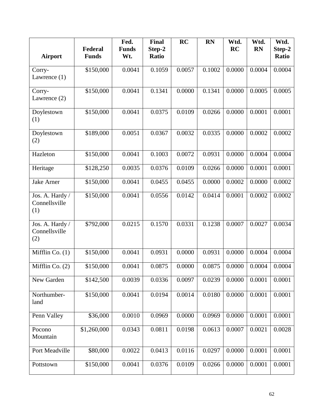|                                         |              | Fed.         | Final        | <b>RC</b> | <b>RN</b> | Wtd.      | Wtd.      | Wtd.   |
|-----------------------------------------|--------------|--------------|--------------|-----------|-----------|-----------|-----------|--------|
|                                         | Federal      | <b>Funds</b> | Step-2       |           |           | <b>RC</b> | <b>RN</b> | Step-2 |
| <b>Airport</b>                          | <b>Funds</b> | Wt.          | <b>Ratio</b> |           |           |           |           | Ratio  |
| Corry-                                  | \$150,000    | 0.0041       | 0.1059       | 0.0057    | 0.1002    | 0.0000    | 0.0004    | 0.0004 |
| Lawrence $(1)$                          |              |              |              |           |           |           |           |        |
| Corry-<br>Lawrence $(2)$                | \$150,000    | 0.0041       | 0.1341       | 0.0000    | 0.1341    | 0.0000    | 0.0005    | 0.0005 |
| Doylestown<br>(1)                       | \$150,000    | 0.0041       | 0.0375       | 0.0109    | 0.0266    | 0.0000    | 0.0001    | 0.0001 |
| Doylestown<br>(2)                       | \$189,000    | 0.0051       | 0.0367       | 0.0032    | 0.0335    | 0.0000    | 0.0002    | 0.0002 |
| Hazleton                                | \$150,000    | 0.0041       | 0.1003       | 0.0072    | 0.0931    | 0.0000    | 0.0004    | 0.0004 |
| Heritage                                | \$128,250    | 0.0035       | 0.0376       | 0.0109    | 0.0266    | 0.0000    | 0.0001    | 0.0001 |
| <b>Jake Arner</b>                       | \$150,000    | 0.0041       | 0.0455       | 0.0455    | 0.0000    | 0.0002    | 0.0000    | 0.0002 |
| Jos. A. Hardy /<br>Connellsville<br>(1) | \$150,000    | 0.0041       | 0.0556       | 0.0142    | 0.0414    | 0.0001    | 0.0002    | 0.0002 |
| Jos. A. Hardy /<br>Connellsville<br>(2) | \$792,000    | 0.0215       | 0.1570       | 0.0331    | 0.1238    | 0.0007    | 0.0027    | 0.0034 |
| Mifflin Co. $(1)$                       | \$150,000    | 0.0041       | 0.0931       | 0.0000    | 0.0931    | 0.0000    | 0.0004    | 0.0004 |
| Mifflin Co. (2)                         | \$150,000    | 0.0041       | 0.0875       | 0.0000    | 0.0875    | 0.0000    | 0.0004    | 0.0004 |
| New Garden                              | \$142,500    | 0.0039       | 0.0336       | 0.0097    | 0.0239    | 0.0000    | 0.0001    | 0.0001 |
| Northumber-<br>land                     | \$150,000    | 0.0041       | 0.0194       | 0.0014    | 0.0180    | 0.0000    | 0.0001    | 0.0001 |
| Penn Valley                             | \$36,000     | 0.0010       | 0.0969       | 0.0000    | 0.0969    | 0.0000    | 0.0001    | 0.0001 |
| Pocono<br>Mountain                      | \$1,260,000  | 0.0343       | 0.0811       | 0.0198    | 0.0613    | 0.0007    | 0.0021    | 0.0028 |
| Port Meadville                          | \$80,000     | 0.0022       | 0.0413       | 0.0116    | 0.0297    | 0.0000    | 0.0001    | 0.0001 |
| Pottstown                               | \$150,000    | 0.0041       | 0.0376       | 0.0109    | 0.0266    | 0.0000    | 0.0001    | 0.0001 |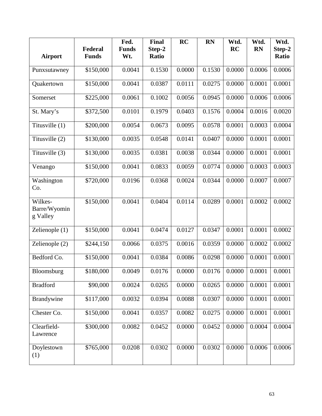|                                     |                         | Fed.                | Final           | <b>RC</b> | <b>RN</b> | Wtd.   | Wtd.      | Wtd.                   |
|-------------------------------------|-------------------------|---------------------|-----------------|-----------|-----------|--------|-----------|------------------------|
| <b>Airport</b>                      | Federal<br><b>Funds</b> | <b>Funds</b><br>Wt. | Step-2<br>Ratio |           |           | RC     | <b>RN</b> | Step-2<br><b>Ratio</b> |
|                                     |                         |                     |                 |           |           |        |           |                        |
| Punxsutawney                        | \$150,000               | 0.0041              | 0.1530          | 0.0000    | 0.1530    | 0.0000 | 0.0006    | 0.0006                 |
| Quakertown                          | \$150,000               | 0.0041              | 0.0387          | 0.0111    | 0.0275    | 0.0000 | 0.0001    | 0.0001                 |
| Somerset                            | \$225,000               | 0.0061              | 0.1002          | 0.0056    | 0.0945    | 0.0000 | 0.0006    | 0.0006                 |
| St. Mary's                          | \$372,500               | 0.0101              | 0.1979          | 0.0403    | 0.1576    | 0.0004 | 0.0016    | 0.0020                 |
| Titusville (1)                      | \$200,000               | 0.0054              | 0.0673          | 0.0095    | 0.0578    | 0.0001 | 0.0003    | 0.0004                 |
| Titusville (2)                      | \$130,000               | 0.0035              | 0.0548          | 0.0141    | 0.0407    | 0.0000 | 0.0001    | 0.0001                 |
| Titusville (3)                      | \$130,000               | 0.0035              | 0.0381          | 0.0038    | 0.0344    | 0.0000 | 0.0001    | 0.0001                 |
| Venango                             | \$150,000               | 0.0041              | 0.0833          | 0.0059    | 0.0774    | 0.0000 | 0.0003    | 0.0003                 |
| Washington<br>Co.                   | \$720,000               | 0.0196              | 0.0368          | 0.0024    | 0.0344    | 0.0000 | 0.0007    | 0.0007                 |
| Wilkes-<br>Barre/Wyomin<br>g Valley | \$150,000               | 0.0041              | 0.0404          | 0.0114    | 0.0289    | 0.0001 | 0.0002    | 0.0002                 |
| Zelienople $(1)$                    | \$150,000               | 0.0041              | 0.0474          | 0.0127    | 0.0347    | 0.0001 | 0.0001    | 0.0002                 |
| Zelienople (2)                      | \$244,150               | 0.0066              | 0.0375          | 0.0016    | 0.0359    | 0.0000 | 0.0002    | 0.0002                 |
| Bedford Co.                         | \$150,000               | 0.0041              | 0.0384          | 0.0086    | 0.0298    | 0.0000 | 0.0001    | 0.0001                 |
| Bloomsburg                          | \$180,000               | 0.0049              | 0.0176          | 0.0000    | 0.0176    | 0.0000 | 0.0001    | 0.0001                 |
| <b>Bradford</b>                     | \$90,000                | 0.0024              | 0.0265          | 0.0000    | 0.0265    | 0.0000 | 0.0001    | 0.0001                 |
| <b>Brandywine</b>                   | \$117,000               | 0.0032              | 0.0394          | 0.0088    | 0.0307    | 0.0000 | 0.0001    | 0.0001                 |
| Chester Co.                         | \$150,000               | 0.0041              | 0.0357          | 0.0082    | 0.0275    | 0.0000 | 0.0001    | 0.0001                 |
| Clearfield-<br>Lawrence             | \$300,000               | 0.0082              | 0.0452          | 0.0000    | 0.0452    | 0.0000 | 0.0004    | 0.0004                 |
| Doylestown<br>(1)                   | \$765,000               | 0.0208              | 0.0302          | 0.0000    | 0.0302    | 0.0000 | 0.0006    | 0.0006                 |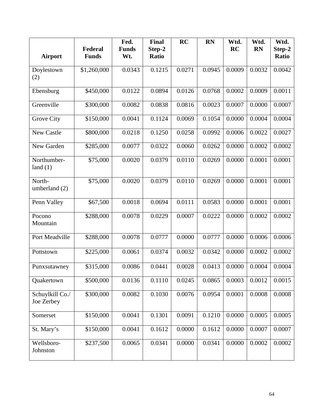|                               |                         | Fed.                | <b>Final</b>           | RC     | <b>RN</b> | Wtd.      | Wtd.      | Wtd.                   |
|-------------------------------|-------------------------|---------------------|------------------------|--------|-----------|-----------|-----------|------------------------|
| <b>Airport</b>                | Federal<br><b>Funds</b> | <b>Funds</b><br>Wt. | Step-2<br><b>Ratio</b> |        |           | <b>RC</b> | <b>RN</b> | Step-2<br><b>Ratio</b> |
| Doylestown<br>(2)             | \$1,260,000             | 0.0343              | 0.1215                 | 0.0271 | 0.0945    | 0.0009    | 0.0032    | 0.0042                 |
| Ebensburg                     | \$450,000               | 0.0122              | 0.0894                 | 0.0126 | 0.0768    | 0.0002    | 0.0009    | 0.0011                 |
| Greenville                    | \$300,000               | 0.0082              | 0.0838                 | 0.0816 | 0.0023    | 0.0007    | 0.0000    | 0.0007                 |
| Grove City                    | \$150,000               | 0.0041              | 0.1124                 | 0.0069 | 0.1054    | 0.0000    | 0.0004    | 0.0004                 |
| New Castle                    | \$800,000               | 0.0218              | 0.1250                 | 0.0258 | 0.0992    | 0.0006    | 0.0022    | 0.0027                 |
| New Garden                    | \$285,000               | 0.0077              | 0.0322                 | 0.0060 | 0.0262    | 0.0000    | 0.0002    | 0.0002                 |
| Northumber-<br>land $(1)$     | \$75,000                | 0.0020              | 0.0379                 | 0.0110 | 0.0269    | 0.0000    | 0.0001    | 0.0001                 |
| North-<br>umberland (2)       | \$75,000                | 0.0020              | 0.0379                 | 0.0110 | 0.0269    | 0.0000    | 0.0001    | 0.0001                 |
| Penn Valley                   | \$67,500                | 0.0018              | 0.0694                 | 0.0111 | 0.0583    | 0.0000    | 0.0001    | 0.0001                 |
| Pocono<br>Mountain            | \$288,000               | 0.0078              | 0.0229                 | 0.0007 | 0.0222    | 0.0000    | 0.0002    | 0.0002                 |
| Port Meadville                | \$288,000               | 0.0078              | 0.0777                 | 0.0000 | 0.0777    | 0.0000    | 0.0006    | 0.0006                 |
| Pottstown                     | \$225,000               | 0.0061              | 0.0374                 | 0.0032 | 0.0342    | 0.0000    | 0.0002    | 0.0002                 |
| Punxsutawney                  | \$315,000               | 0.0086              | 0.0441                 | 0.0028 | 0.0413    | 0.0000    | 0.0004    | 0.0004                 |
| Quakertown                    | \$500,000               | 0.0136              | 0.1110                 | 0.0245 | 0.0865    | 0.0003    | 0.0012    | 0.0015                 |
| Schuylkill Co./<br>Joe Zerbey | \$300,000               | 0.0082              | 0.1030                 | 0.0076 | 0.0954    | 0.0001    | 0.0008    | 0.0008                 |
| Somerset                      | \$150,000               | 0.0041              | 0.1301                 | 0.0091 | 0.1210    | 0.0000    | 0.0005    | 0.0005                 |
| St. Mary's                    | \$150,000               | 0.0041              | 0.1612                 | 0.0000 | 0.1612    | 0.0000    | 0.0007    | 0.0007                 |
| Wellsboro-<br>Johnston        | \$237,500               | 0.0065              | 0.0341                 | 0.0000 | 0.0341    | 0.0000    | 0.0002    | 0.0002                 |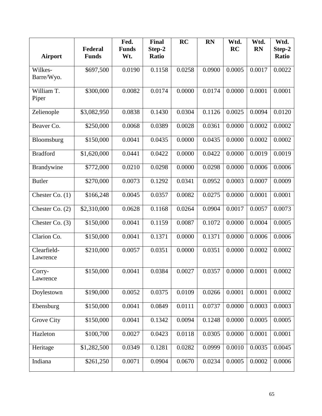|                   |              | Fed.         | Final        | <b>RC</b> | <b>RN</b> | Wtd.      | Wtd.      | Wtd.         |
|-------------------|--------------|--------------|--------------|-----------|-----------|-----------|-----------|--------------|
|                   | Federal      | <b>Funds</b> | Step-2       |           |           | <b>RC</b> | <b>RN</b> | Step-2       |
| <b>Airport</b>    | <b>Funds</b> | Wt.          | <b>Ratio</b> |           |           |           |           | <b>Ratio</b> |
| Wilkes-           | \$697,500    | 0.0190       | 0.1158       | 0.0258    | 0.0900    | 0.0005    | 0.0017    | 0.0022       |
| Barre/Wyo.        |              |              |              |           |           |           |           |              |
|                   |              |              |              |           |           |           |           |              |
| William T.        | \$300,000    | 0.0082       | 0.0174       | 0.0000    | 0.0174    | 0.0000    | 0.0001    | 0.0001       |
| Piper             |              |              |              |           |           |           |           |              |
|                   |              |              |              |           |           | 0.0025    | 0.0094    |              |
| Zelienople        | \$3,082,950  | 0.0838       | 0.1430       | 0.0304    | 0.1126    |           |           | 0.0120       |
| Beaver Co.        | \$250,000    | 0.0068       | 0.0389       | 0.0028    | 0.0361    | 0.0000    | 0.0002    | 0.0002       |
|                   |              |              |              |           |           |           |           |              |
| Bloomsburg        | \$150,000    | 0.0041       | 0.0435       | 0.0000    | 0.0435    | 0.0000    | 0.0002    | 0.0002       |
|                   |              |              |              |           |           |           |           |              |
| <b>Bradford</b>   | \$1,620,000  | 0.0441       | 0.0422       | 0.0000    | 0.0422    | 0.0000    | 0.0019    | 0.0019       |
| <b>Brandywine</b> | \$772,000    | 0.0210       | 0.0298       | 0.0000    | 0.0298    | 0.0000    | 0.0006    | 0.0006       |
|                   |              |              |              |           |           |           |           |              |
| <b>Butler</b>     | \$270,000    | 0.0073       | 0.1292       | 0.0341    | 0.0952    | 0.0003    | 0.0007    | 0.0009       |
|                   |              |              |              |           |           |           |           |              |
| Chester Co. $(1)$ | \$166,248    | 0.0045       | 0.0357       | 0.0082    | 0.0275    | 0.0000    | 0.0001    | 0.0001       |
| Chester Co. $(2)$ | \$2,310,000  | 0.0628       | 0.1168       | 0.0264    | 0.0904    | 0.0017    | 0.0057    | 0.0073       |
|                   |              |              |              |           |           |           |           |              |
| Chester Co. $(3)$ | \$150,000    | 0.0041       | 0.1159       | 0.0087    | 0.1072    | 0.0000    | 0.0004    | 0.0005       |
|                   |              |              |              |           |           |           |           |              |
| Clarion Co.       | \$150,000    | 0.0041       | 0.1371       | 0.0000    | 0.1371    | 0.0000    | 0.0006    | 0.0006       |
| Clearfield-       | \$210,000    | 0.0057       | 0.0351       | 0.0000    | 0.0351    | 0.0000    | 0.0002    | 0.0002       |
| Lawrence          |              |              |              |           |           |           |           |              |
|                   |              |              |              |           |           |           |           |              |
| Corry-            | \$150,000    | 0.0041       | 0.0384       | 0.0027    | 0.0357    | 0.0000    | 0.0001    | 0.0002       |
| Lawrence          |              |              |              |           |           |           |           |              |
| Doylestown        | \$190,000    | 0.0052       | 0.0375       | 0.0109    | 0.0266    | 0.0001    | 0.0001    | 0.0002       |
|                   |              |              |              |           |           |           |           |              |
| Ebensburg         | \$150,000    | 0.0041       | 0.0849       | 0.0111    | 0.0737    | 0.0000    | 0.0003    | 0.0003       |
|                   |              |              |              |           |           |           |           |              |
| <b>Grove City</b> | \$150,000    | 0.0041       | 0.1342       | 0.0094    | 0.1248    | 0.0000    | 0.0005    | 0.0005       |
| Hazleton          | \$100,700    | 0.0027       | 0.0423       | 0.0118    | 0.0305    | 0.0000    | 0.0001    | 0.0001       |
|                   |              |              |              |           |           |           |           |              |
| Heritage          | \$1,282,500  | 0.0349       | 0.1281       | 0.0282    | 0.0999    | 0.0010    | 0.0035    | 0.0045       |
|                   |              |              |              |           |           |           |           |              |
| Indiana           | \$261,250    | 0.0071       | 0.0904       | 0.0670    | 0.0234    | 0.0005    | 0.0002    | 0.0006       |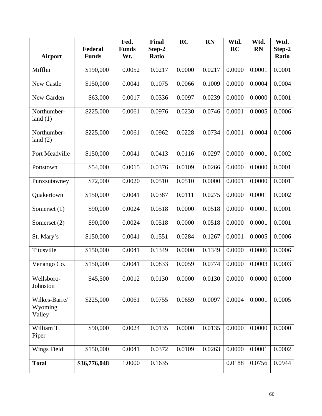|                                    |                         | Fed.                | <b>Final</b>           | <b>RC</b> | <b>RN</b> | Wtd.      | Wtd.      | Wtd.            |
|------------------------------------|-------------------------|---------------------|------------------------|-----------|-----------|-----------|-----------|-----------------|
| <b>Airport</b>                     | Federal<br><b>Funds</b> | <b>Funds</b><br>Wt. | Step-2<br><b>Ratio</b> |           |           | <b>RC</b> | <b>RN</b> | Step-2<br>Ratio |
|                                    |                         |                     |                        |           |           |           |           |                 |
| Mifflin                            | \$190,000               | 0.0052              | 0.0217                 | 0.0000    | 0.0217    | 0.0000    | 0.0001    | 0.0001          |
| New Castle                         | \$150,000               | 0.0041              | 0.1075                 | 0.0066    | 0.1009    | 0.0000    | 0.0004    | 0.0004          |
| New Garden                         | \$63,000                | 0.0017              | 0.0336                 | 0.0097    | 0.0239    | 0.0000    | 0.0000    | 0.0001          |
| Northumber-<br>land $(1)$          | \$225,000               | 0.0061              | 0.0976                 | 0.0230    | 0.0746    | 0.0001    | 0.0005    | 0.0006          |
| Northumber-<br>land $(2)$          | \$225,000               | 0.0061              | 0.0962                 | 0.0228    | 0.0734    | 0.0001    | 0.0004    | 0.0006          |
| Port Meadville                     | \$150,000               | 0.0041              | 0.0413                 | 0.0116    | 0.0297    | 0.0000    | 0.0001    | 0.0002          |
| Pottstown                          | \$54,000                | 0.0015              | 0.0376                 | 0.0109    | 0.0266    | 0.0000    | 0.0000    | 0.0001          |
| Punxsutawney                       | \$72,000                | 0.0020              | 0.0510                 | 0.0510    | 0.0000    | 0.0001    | 0.0000    | 0.0001          |
| Quakertown                         | \$150,000               | 0.0041              | 0.0387                 | 0.0111    | 0.0275    | 0.0000    | 0.0001    | 0.0002          |
| Somerset $(1)$                     | \$90,000                | 0.0024              | 0.0518                 | 0.0000    | 0.0518    | 0.0000    | 0.0001    | 0.0001          |
| Somerset (2)                       | \$90,000                | 0.0024              | 0.0518                 | 0.0000    | 0.0518    | 0.0000    | 0.0001    | 0.0001          |
| St. Mary's                         | \$150,000               | 0.0041              | 0.1551                 | 0.0284    | 0.1267    | 0.0001    | 0.0005    | 0.0006          |
| Titusville                         | \$150,000               | 0.0041              | 0.1349                 | 0.0000    | 0.1349    | 0.0000    | 0.0006    | 0.0006          |
| Venango Co.                        | \$150,000               | 0.0041              | 0.0833                 | 0.0059    | 0.0774    | 0.0000    | 0.0003    | 0.0003          |
| Wellsboro-<br>Johnston             | \$45,500                | 0.0012              | 0.0130                 | 0.0000    | 0.0130    | 0.0000    | 0.0000    | 0.0000          |
| Wilkes-Barre/<br>Wyoming<br>Valley | \$225,000               | 0.0061              | 0.0755                 | 0.0659    | 0.0097    | 0.0004    | 0.0001    | 0.0005          |
| William T.<br>Piper                | \$90,000                | 0.0024              | 0.0135                 | 0.0000    | 0.0135    | 0.0000    | 0.0000    | 0.0000          |
| Wings Field                        | \$150,000               | 0.0041              | 0.0372                 | 0.0109    | 0.0263    | 0.0000    | 0.0001    | 0.0002          |
| <b>Total</b>                       | \$36,776,048            | 1.0000              | 0.1635                 |           |           | 0.0188    | 0.0756    | 0.0944          |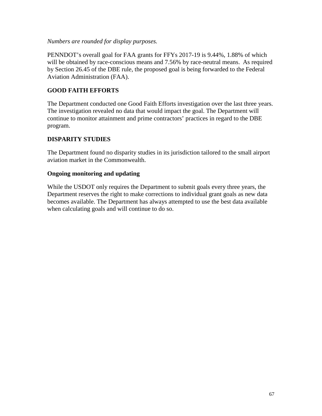*Numbers are rounded for display purposes.*

PENNDOT's overall goal for FAA grants for FFYs 2017-19 is 9.44%, 1.88% of which will be obtained by race-conscious means and 7.56% by race-neutral means. As required by Section 26.45 of the DBE rule, the proposed goal is being forwarded to the Federal Aviation Administration (FAA).

## **GOOD FAITH EFFORTS**

The Department conducted one Good Faith Efforts investigation over the last three years. The investigation revealed no data that would impact the goal. The Department will continue to monitor attainment and prime contractors' practices in regard to the DBE program.

#### **DISPARITY STUDIES**

The Department found no disparity studies in its jurisdiction tailored to the small airport aviation market in the Commonwealth.

#### **Ongoing monitoring and updating**

While the USDOT only requires the Department to submit goals every three years, the Department reserves the right to make corrections to individual grant goals as new data becomes available. The Department has always attempted to use the best data available when calculating goals and will continue to do so.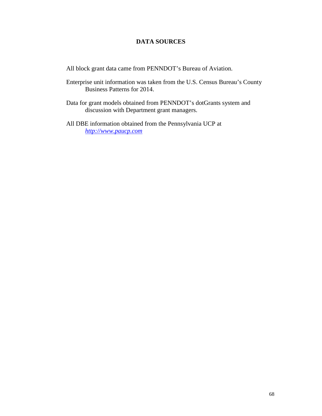#### **DATA SOURCES**

All block grant data came from PENNDOT's Bureau of Aviation.

- Enterprise unit information was taken from the U.S. Census Bureau's County Business Patterns for 2014.
- Data for grant models obtained from PENNDOT's dotGrants system and discussion with Department grant managers.

All DBE information obtained from the Pennsylvania UCP at *[http://www.paucp.com](http://www.paucp.com/)*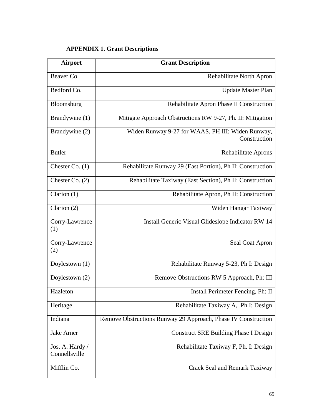# **APPENDIX 1. Grant Descriptions**

| <b>Airport</b>                   | <b>Grant Description</b>                                          |
|----------------------------------|-------------------------------------------------------------------|
| Beaver Co.                       | Rehabilitate North Apron                                          |
| Bedford Co.                      | <b>Update Master Plan</b>                                         |
| Bloomsburg                       | Rehabilitate Apron Phase II Construction                          |
| Brandywine (1)                   | Mitigate Approach Obstructions RW 9-27, Ph. II: Mitigation        |
| Brandywine (2)                   | Widen Runway 9-27 for WAAS, PH III: Widen Runway,<br>Construction |
| <b>Butler</b>                    | Rehabilitate Aprons                                               |
| Chester Co. (1)                  | Rehabilitate Runway 29 (East Portion), Ph II: Construction        |
| Chester Co. $(2)$                | Rehabilitate Taxiway (East Section), Ph II: Construction          |
| Clarion $(1)$                    | Rehabilitate Apron, Ph II: Construction                           |
| Clarion (2)                      | Widen Hangar Taxiway                                              |
| Corry-Lawrence<br>(1)            | Install Generic Visual Glideslope Indicator RW 14                 |
| Corry-Lawrence<br>(2)            | Seal Coat Apron                                                   |
| Doylestown (1)                   | Rehabilitate Runway 5-23, Ph I: Design                            |
| Doylestown (2)                   | Remove Obstructions RW 5 Approach, Ph: III                        |
| Hazleton                         | Install Perimeter Fencing, Ph: II                                 |
| Heritage                         | Rehabilitate Taxiway A, Ph I: Design                              |
| Indiana                          | Remove Obstructions Runway 29 Approach, Phase IV Construction     |
| Jake Arner                       | <b>Construct SRE Building Phase I Design</b>                      |
| Jos. A. Hardy /<br>Connellsville | Rehabilitate Taxiway F, Ph. I: Design                             |
| Mifflin Co.                      | Crack Seal and Remark Taxiway                                     |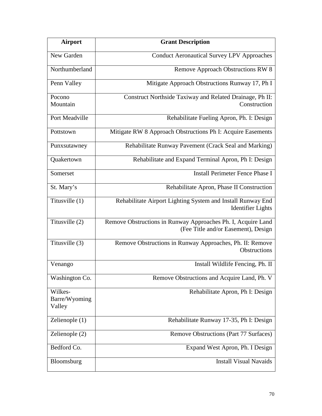| <b>Airport</b>                     | <b>Grant Description</b>                                                                            |
|------------------------------------|-----------------------------------------------------------------------------------------------------|
| New Garden                         | <b>Conduct Aeronautical Survey LPV Approaches</b>                                                   |
| Northumberland                     | <b>Remove Approach Obstructions RW 8</b>                                                            |
| Penn Valley                        | Mitigate Approach Obstructions Runway 17, Ph I                                                      |
| Pocono<br>Mountain                 | Construct Northside Taxiway and Related Drainage, Ph II:<br>Construction                            |
| Port Meadville                     | Rehabilitate Fueling Apron, Ph. I: Design                                                           |
| Pottstown                          | Mitigate RW 8 Approach Obstructions Ph I: Acquire Easements                                         |
| Punxsutawney                       | Rehabilitate Runway Pavement (Crack Seal and Marking)                                               |
| Quakertown                         | Rehabilitate and Expand Terminal Apron, Ph I: Design                                                |
| Somerset                           | <b>Install Perimeter Fence Phase I</b>                                                              |
| St. Mary's                         | Rehabilitate Apron, Phase II Construction                                                           |
| Titusville (1)                     | Rehabilitate Airport Lighting System and Install Runway End<br><b>Identifier Lights</b>             |
| Titusville (2)                     | Remove Obstructions in Runway Approaches Ph. I, Acquire Land<br>(Fee Title and/or Easement), Design |
| Titusville (3)                     | Remove Obstructions in Runway Approaches, Ph. II: Remove<br><b>Obstructions</b>                     |
| Venango                            | Install Wildlife Fencing, Ph. II                                                                    |
| Washington Co.                     | Remove Obstructions and Acquire Land, Ph. V                                                         |
| Wilkes-<br>Barre/Wyoming<br>Valley | Rehabilitate Apron, Ph I: Design                                                                    |
| Zelienople (1)                     | Rehabilitate Runway 17-35, Ph I: Design                                                             |
| Zelienople (2)                     | Remove Obstructions (Part 77 Surfaces)                                                              |
| Bedford Co.                        | Expand West Apron, Ph. I Design                                                                     |
| Bloomsburg                         | <b>Install Visual Navaids</b>                                                                       |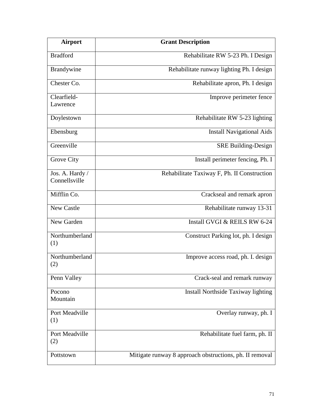| <b>Airport</b>                   | <b>Grant Description</b>                                |
|----------------------------------|---------------------------------------------------------|
| <b>Bradford</b>                  | Rehabilitate RW 5-23 Ph. I Design                       |
| Brandywine                       | Rehabilitate runway lighting Ph. I design               |
| Chester Co.                      | Rehabilitate apron, Ph. I design                        |
| Clearfield-<br>Lawrence          | Improve perimeter fence                                 |
| Doylestown                       | Rehabilitate RW 5-23 lighting                           |
| Ebensburg                        | <b>Install Navigational Aids</b>                        |
| Greenville                       | <b>SRE Building-Design</b>                              |
| Grove City                       | Install perimeter fencing, Ph. I                        |
| Jos. A. Hardy /<br>Connellsville | Rehabilitate Taxiway F, Ph. II Construction             |
| Mifflin Co.                      | Crackseal and remark apron                              |
| <b>New Castle</b>                | Rehabilitate runway 13-31                               |
| New Garden                       | Install GVGI & REILS RW 6-24                            |
| Northumberland<br>(1)            | Construct Parking lot, ph. I design                     |
| Northumberland<br>(2)            | Improve access road, ph. I. design                      |
| Penn Valley                      | Crack-seal and remark runway                            |
| Pocono<br>Mountain               | Install Northside Taxiway lighting                      |
| Port Meadville<br>(1)            | Overlay runway, ph. I                                   |
| Port Meadville<br>(2)            | Rehabilitate fuel farm, ph. II                          |
| Pottstown                        | Mitigate runway 8 approach obstructions, ph. II removal |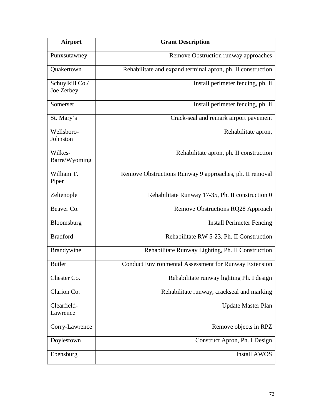| <b>Airport</b>                | <b>Grant Description</b>                                     |
|-------------------------------|--------------------------------------------------------------|
| Punxsutawney                  | Remove Obstruction runway approaches                         |
| Quakertown                    | Rehabilitate and expand terminal apron, ph. II construction  |
| Schuylkill Co./<br>Joe Zerbey | Install perimeter fencing, ph. Ii                            |
| Somerset                      | Install perimeter fencing, ph. Ii                            |
| St. Mary's                    | Crack-seal and remark airport pavement                       |
| Wellsboro-<br>Johnston        | Rehabilitate apron,                                          |
| Wilkes-<br>Barre/Wyoming      | Rehabilitate apron, ph. II construction                      |
| William T.<br>Piper           | Remove Obstructions Runway 9 approaches, ph. II removal      |
| Zelienople                    | Rehabilitate Runway 17-35, Ph. II construction 0             |
| Beaver Co.                    | Remove Obstructions RQ28 Approach                            |
| Bloomsburg                    | <b>Install Perimeter Fencing</b>                             |
| <b>Bradford</b>               | Rehabilitate RW 5-23, Ph. II Construction                    |
| Brandywine                    | Rehabilitate Runway Lighting, Ph. II Construction            |
| <b>Butler</b>                 | <b>Conduct Environmental Assessment for Runway Extension</b> |
| Chester Co.                   | Rehabilitate runway lighting Ph. I design                    |
| Clarion Co.                   | Rehabilitate runway, crackseal and marking                   |
| Clearfield-<br>Lawrence       | <b>Update Master Plan</b>                                    |
| Corry-Lawrence                | Remove objects in RPZ                                        |
| Doylestown                    | Construct Apron, Ph. I Design                                |
| Ebensburg                     | <b>Install AWOS</b>                                          |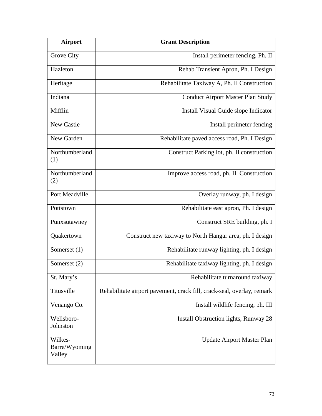| Airport                            | <b>Grant Description</b>                                               |
|------------------------------------|------------------------------------------------------------------------|
| Grove City                         | Install perimeter fencing, Ph. II                                      |
| Hazleton                           | Rehab Transient Apron, Ph. I Design                                    |
| Heritage                           | Rehabilitate Taxiway A, Ph. II Construction                            |
| Indiana                            | <b>Conduct Airport Master Plan Study</b>                               |
| Mifflin                            | Install Visual Guide slope Indicator                                   |
| <b>New Castle</b>                  | Install perimeter fencing                                              |
| New Garden                         | Rehabilitate paved access road, Ph. I Design                           |
| Northumberland<br>(1)              | Construct Parking lot, ph. II construction                             |
| Northumberland<br>(2)              | Improve access road, ph. II. Construction                              |
| Port Meadville                     | Overlay runway, ph. I design                                           |
| Pottstown                          | Rehabilitate east apron, Ph. I design                                  |
| Punxsutawney                       | Construct SRE building, ph. I                                          |
| Quakertown                         | Construct new taxiway to North Hangar area, ph. I design               |
| Somerset $(1)$                     | Rehabilitate runway lighting, ph. I design                             |
| Somerset (2)                       | Rehabilitate taxiway lighting, ph. I design                            |
| St. Mary's                         | Rehabilitate turnaround taxiway                                        |
| Titusville                         | Rehabilitate airport pavement, crack fill, crack-seal, overlay, remark |
| Venango Co.                        | Install wildlife fencing, ph. III                                      |
| Wellsboro-<br>Johnston             | Install Obstruction lights, Runway 28                                  |
| Wilkes-<br>Barre/Wyoming<br>Valley | <b>Update Airport Master Plan</b>                                      |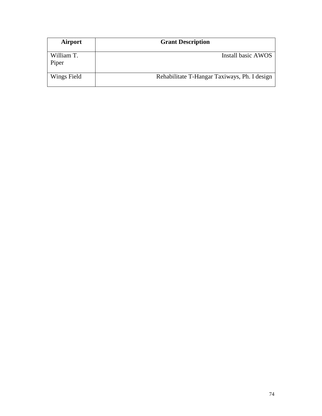| <b>Airport</b>      | <b>Grant Description</b>                     |
|---------------------|----------------------------------------------|
| William T.<br>Piper | Install basic AWOS                           |
| Wings Field         | Rehabilitate T-Hangar Taxiways, Ph. I design |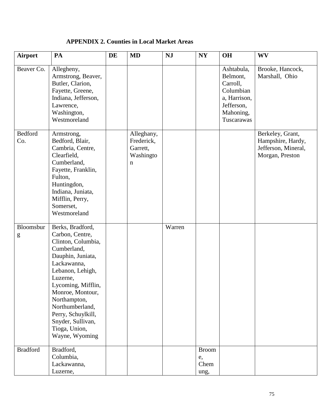| <b>APPENDIX 2. Counties in Local Market Areas</b> |  |  |  |
|---------------------------------------------------|--|--|--|
|---------------------------------------------------|--|--|--|

| <b>Airport</b>        | PA                                                                                                                                                                                                                                                                                                      | DE | <b>MD</b>                                                        | <b>NJ</b> | NY                                 | <b>OH</b>                                                                                                | <b>WV</b>                                                                       |
|-----------------------|---------------------------------------------------------------------------------------------------------------------------------------------------------------------------------------------------------------------------------------------------------------------------------------------------------|----|------------------------------------------------------------------|-----------|------------------------------------|----------------------------------------------------------------------------------------------------------|---------------------------------------------------------------------------------|
| Beaver Co.            | Allegheny,<br>Armstrong, Beaver,<br>Butler, Clarion,<br>Fayette, Greene,<br>Indiana, Jefferson,<br>Lawrence,<br>Washington,<br>Westmoreland                                                                                                                                                             |    |                                                                  |           |                                    | Ashtabula,<br>Belmont,<br>Carroll,<br>Columbian<br>a, Harrison,<br>Jefferson,<br>Mahoning,<br>Tuscarawas | Brooke, Hancock,<br>Marshall, Ohio                                              |
| <b>Bedford</b><br>Co. | Armstrong,<br>Bedford, Blair,<br>Cambria, Centre,<br>Clearfield,<br>Cumberland,<br>Fayette, Franklin,<br>Fulton,<br>Huntingdon,<br>Indiana, Juniata,<br>Mifflin, Perry,<br>Somerset,<br>Westmoreland                                                                                                    |    | Alleghany,<br>Frederick,<br>Garrett,<br>Washingto<br>$\mathbf n$ |           |                                    |                                                                                                          | Berkeley, Grant,<br>Hampshire, Hardy,<br>Jefferson, Mineral,<br>Morgan, Preston |
| Bloomsbur<br>g        | Berks, Bradford,<br>Carbon, Centre,<br>Clinton, Columbia,<br>Cumberland,<br>Dauphin, Juniata,<br>Lackawanna,<br>Lebanon, Lehigh,<br>Luzerne,<br>Lycoming, Mifflin,<br>Monroe, Montour,<br>Northampton,<br>Northumberland,<br>Perry, Schuylkill,<br>Snyder, Sullivan,<br>Tioga, Union,<br>Wayne, Wyoming |    |                                                                  | Warren    |                                    |                                                                                                          |                                                                                 |
| <b>Bradford</b>       | Bradford,<br>Columbia,<br>Lackawanna,<br>Luzerne,                                                                                                                                                                                                                                                       |    |                                                                  |           | <b>Broom</b><br>e,<br>Chem<br>ung, |                                                                                                          |                                                                                 |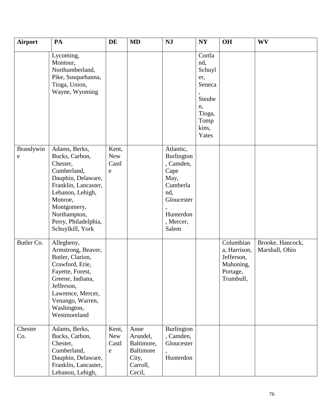| Airport        | PA                                                                                                                                                                                                                 | DE                                   | <b>MD</b>                                                                         | <b>NJ</b>                                                                                                                       | NY                                                                                           | <b>OH</b>                                                                     | <b>WV</b>                          |
|----------------|--------------------------------------------------------------------------------------------------------------------------------------------------------------------------------------------------------------------|--------------------------------------|-----------------------------------------------------------------------------------|---------------------------------------------------------------------------------------------------------------------------------|----------------------------------------------------------------------------------------------|-------------------------------------------------------------------------------|------------------------------------|
|                | Lycoming,<br>Montour,<br>Northumberland,<br>Pike, Susquehanna,<br>Tioga, Union,<br>Wayne, Wyoming                                                                                                                  |                                      |                                                                                   |                                                                                                                                 | Cortla<br>nd,<br>Schuyl<br>er,<br>Seneca<br>Steube<br>n,<br>Tioga,<br>Tomp<br>kins,<br>Yates |                                                                               |                                    |
| Brandywin<br>e | Adams, Berks,<br>Bucks, Carbon,<br>Chester,<br>Cumberland,<br>Dauphin, Delaware,<br>Franklin, Lancaster,<br>Lebanon, Lehigh,<br>Monroe,<br>Montgomery,<br>Northampton,<br>Perry, Philadelphia,<br>Schuylkill, York | Kent,<br>New<br>Castl<br>e           |                                                                                   | Atlantic,<br><b>Burlington</b><br>, Camden,<br>Cape<br>May,<br>Cumberla<br>nd,<br>Gloucester<br>Hunterdon<br>, Mercer,<br>Salem |                                                                                              |                                                                               |                                    |
| Butler Co.     | Allegheny,<br>Armstrong, Beaver,<br>Butler, Clarion,<br>Crawford, Erie,<br>Fayette, Forest,<br>Greene, Indiana,<br>Jefferson,<br>Lawrence, Mercer,<br>Venango, Warren,<br>Washington,<br>Westmoreland              |                                      |                                                                                   |                                                                                                                                 |                                                                                              | Columbian<br>a, Harrison,<br>Jefferson,<br>Mahoning,<br>Portage,<br>Trumbull, | Brooke, Hancock,<br>Marshall, Ohio |
| Chester<br>Co. | Adams, Berks,<br>Bucks, Carbon,<br>Chester,<br>Cumberland,<br>Dauphin, Delaware,<br>Franklin, Lancaster,<br>Lebanon, Lehigh,                                                                                       | Kent,<br>New<br>Castl<br>$\mathbf e$ | Anne<br>Arundel,<br>Baltimore,<br><b>Baltimore</b><br>City,<br>Carroll,<br>Cecil, | <b>Burlington</b><br>, Camden,<br>Gloucester<br>Hunterdon                                                                       |                                                                                              |                                                                               |                                    |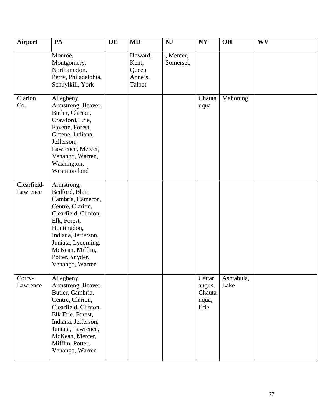| <b>Airport</b>          | PA                                                                                                                                                                                                                                   | DE | <b>MD</b>                                      | <b>NJ</b>              | N <sub>Y</sub>                              | <b>OH</b>          | <b>WV</b> |
|-------------------------|--------------------------------------------------------------------------------------------------------------------------------------------------------------------------------------------------------------------------------------|----|------------------------------------------------|------------------------|---------------------------------------------|--------------------|-----------|
|                         | Monroe,<br>Montgomery,<br>Northampton,<br>Perry, Philadelphia,<br>Schuylkill, York                                                                                                                                                   |    | Howard,<br>Kent,<br>Queen<br>Anne's,<br>Talbot | , Mercer,<br>Somerset, |                                             |                    |           |
| Clarion<br>Co.          | Allegheny,<br>Armstrong, Beaver,<br>Butler, Clarion,<br>Crawford, Erie,<br>Fayette, Forest,<br>Greene, Indiana,<br>Jefferson,<br>Lawrence, Mercer,<br>Venango, Warren,<br>Washington,<br>Westmoreland                                |    |                                                |                        | Chauta<br>uqua                              | Mahoning           |           |
| Clearfield-<br>Lawrence | Armstrong,<br>Bedford, Blair,<br>Cambria, Cameron,<br>Centre, Clarion,<br>Clearfield, Clinton,<br>Elk, Forest,<br>Huntingdon,<br>Indiana, Jefferson,<br>Juniata, Lycoming,<br>McKean, Mifflin,<br>Potter, Snyder,<br>Venango, Warren |    |                                                |                        |                                             |                    |           |
| Corry-<br>Lawrence      | Allegheny,<br>Armstrong, Beaver,<br>Butler, Cambria,<br>Centre, Clarion,<br>Clearfield, Clinton,<br>Elk Erie, Forest,<br>Indiana, Jefferson,<br>Juniata, Lawrence,<br>McKean, Mercer,<br>Mifflin, Potter,<br>Venango, Warren         |    |                                                |                        | Cattar<br>augus,<br>Chauta<br>uqua,<br>Erie | Ashtabula,<br>Lake |           |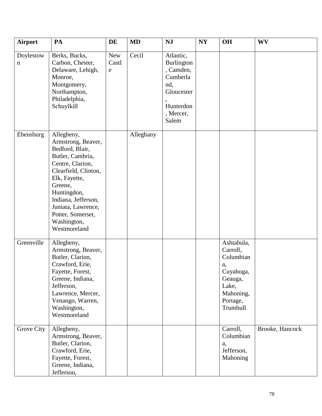| <b>Airport</b>           | PA                                                                                                                                                                                                                                                              | DE                        | <b>MD</b> | <b>NJ</b>                                                                                                       | N <sub>Y</sub> | <b>OH</b>                                                                                                       | <b>WV</b>       |
|--------------------------|-----------------------------------------------------------------------------------------------------------------------------------------------------------------------------------------------------------------------------------------------------------------|---------------------------|-----------|-----------------------------------------------------------------------------------------------------------------|----------------|-----------------------------------------------------------------------------------------------------------------|-----------------|
| Doylestow<br>$\mathbf n$ | Berks, Bucks,<br>Carbon, Chester,<br>Delaware, Lehigh,<br>Monroe,<br>Montgomery,<br>Northampton,<br>Philadelphia,<br>Schuylkill                                                                                                                                 | New<br>Castl<br>${\rm e}$ | Cecil     | Atlantic,<br><b>Burlington</b><br>, Camden,<br>Cumberla<br>nd,<br>Gloucester<br>Hunterdon<br>, Mercer,<br>Salem |                |                                                                                                                 |                 |
| Ebensburg                | Allegheny,<br>Armstrong, Beaver,<br>Bedford, Blair,<br>Butler, Cambria,<br>Centre, Clarion,<br>Clearfield, Clinton,<br>Elk, Fayette,<br>Greene,<br>Huntingdon,<br>Indiana, Jefferson,<br>Juniata, Lawrence,<br>Potter, Somerset,<br>Washington,<br>Westmoreland |                           | Alleghany |                                                                                                                 |                |                                                                                                                 |                 |
| Greenville               | Allegheny,<br>Armstrong, Beaver,<br>Butler, Clarion,<br>Crawford, Erie,<br>Fayette, Forest,<br>Greene, Indiana,<br>Jefferson,<br>Lawrence, Mercer,<br>Venango, Warren,<br>Washington,<br>Westmoreland                                                           |                           |           |                                                                                                                 |                | Ashtabula,<br>Carroll,<br>Columbian<br>a,<br>Cuyahoga,<br>Geauga,<br>Lake,<br>Mahoning,<br>Portage,<br>Trumbull |                 |
| <b>Grove City</b>        | Allegheny,<br>Armstrong, Beaver,<br>Butler, Clarion,<br>Crawford, Erie,<br>Fayette, Forest,<br>Greene, Indiana,<br>Jefferson,                                                                                                                                   |                           |           |                                                                                                                 |                | Carroll,<br>Columbian<br>a,<br>Jefferson,<br>Mahoning                                                           | Brooke, Hancock |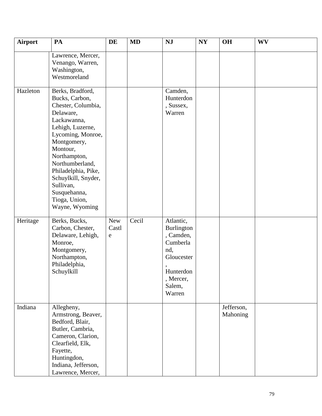| <b>Airport</b> | PA                                                                                                                                                                                                                                                                                                        | DE                       | <b>MD</b> | <b>NJ</b>                                                                                                           | N <sub>Y</sub> | <b>OH</b>              | <b>WV</b> |
|----------------|-----------------------------------------------------------------------------------------------------------------------------------------------------------------------------------------------------------------------------------------------------------------------------------------------------------|--------------------------|-----------|---------------------------------------------------------------------------------------------------------------------|----------------|------------------------|-----------|
|                | Lawrence, Mercer,<br>Venango, Warren,<br>Washington,<br>Westmoreland                                                                                                                                                                                                                                      |                          |           |                                                                                                                     |                |                        |           |
| Hazleton       | Berks, Bradford,<br>Bucks, Carbon,<br>Chester, Columbia,<br>Delaware,<br>Lackawanna,<br>Lehigh, Luzerne,<br>Lycoming, Monroe,<br>Montgomery,<br>Montour,<br>Northampton,<br>Northumberland,<br>Philadelphia, Pike,<br>Schuylkill, Snyder,<br>Sullivan,<br>Susquehanna,<br>Tioga, Union,<br>Wayne, Wyoming |                          |           | Camden,<br>Hunterdon<br>, Sussex,<br>Warren                                                                         |                |                        |           |
| Heritage       | Berks, Bucks,<br>Carbon, Chester,<br>Delaware, Lehigh,<br>Monroe,<br>Montgomery,<br>Northampton,<br>Philadelphia,<br>Schuylkill                                                                                                                                                                           | <b>New</b><br>Castl<br>e | Cecil     | Atlantic,<br>Burlington<br>, Camden,<br>Cumberla<br>nd,<br>Gloucester<br>Hunterdon<br>, Mercer,<br>Salem,<br>Warren |                |                        |           |
| Indiana        | Allegheny,<br>Armstrong, Beaver,<br>Bedford, Blair,<br>Butler, Cambria,<br>Cameron, Clarion,<br>Clearfield, Elk,<br>Fayette,<br>Huntingdon,<br>Indiana, Jefferson,<br>Lawrence, Mercer,                                                                                                                   |                          |           |                                                                                                                     |                | Jefferson,<br>Mahoning |           |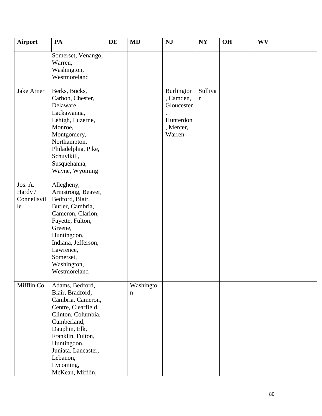| <b>Airport</b>                          | PA                                                                                                                                                                                                                                            | DE | <b>MD</b>      | <b>NJ</b>                                                                 | <b>NY</b>              | <b>OH</b> | <b>WV</b> |
|-----------------------------------------|-----------------------------------------------------------------------------------------------------------------------------------------------------------------------------------------------------------------------------------------------|----|----------------|---------------------------------------------------------------------------|------------------------|-----------|-----------|
|                                         | Somerset, Venango,<br>Warren,<br>Washington,<br>Westmoreland                                                                                                                                                                                  |    |                |                                                                           |                        |           |           |
| Jake Arner                              | Berks, Bucks,<br>Carbon, Chester,<br>Delaware,<br>Lackawanna,<br>Lehigh, Luzerne,<br>Monroe,<br>Montgomery,<br>Northampton,<br>Philadelphia, Pike,<br>Schuylkill,<br>Susquehanna,<br>Wayne, Wyoming                                           |    |                | Burlington<br>, Camden,<br>Gloucester<br>Hunterdon<br>, Mercer,<br>Warren | Sulliva<br>$\mathbf n$ |           |           |
| Jos. A.<br>Hardy /<br>Connellsvil<br>le | Allegheny,<br>Armstrong, Beaver,<br>Bedford, Blair,<br>Butler, Cambria,<br>Cameron, Clarion,<br>Fayette, Fulton,<br>Greene,<br>Huntingdon,<br>Indiana, Jefferson,<br>Lawrence,<br>Somerset,<br>Washington,<br>Westmoreland                    |    |                |                                                                           |                        |           |           |
| Mifflin Co.                             | Adams, Bedford,<br>Blair, Bradford,<br>Cambria, Cameron,<br>Centre, Clearfield,<br>Clinton, Columbia,<br>Cumberland,<br>Dauphin, Elk,<br>Franklin, Fulton,<br>Huntingdon,<br>Juniata, Lancaster,<br>Lebanon,<br>Lycoming,<br>McKean, Mifflin, |    | Washingto<br>n |                                                                           |                        |           |           |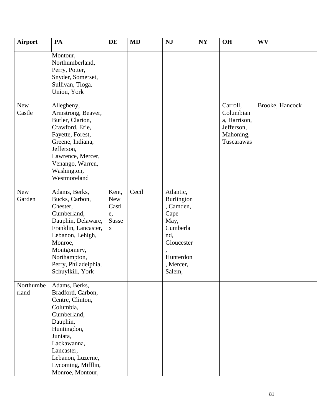| Airport              | PA                                                                                                                                                                                                                    | DE                                                         | <b>MD</b> | <b>NJ</b>                                                                                                                 | NY | <b>OH</b>                                                                      | <b>WV</b>       |
|----------------------|-----------------------------------------------------------------------------------------------------------------------------------------------------------------------------------------------------------------------|------------------------------------------------------------|-----------|---------------------------------------------------------------------------------------------------------------------------|----|--------------------------------------------------------------------------------|-----------------|
|                      | Montour,<br>Northumberland,<br>Perry, Potter,<br>Snyder, Somerset,<br>Sullivan, Tioga,<br>Union, York                                                                                                                 |                                                            |           |                                                                                                                           |    |                                                                                |                 |
| <b>New</b><br>Castle | Allegheny,<br>Armstrong, Beaver,<br>Butler, Clarion,<br>Crawford, Erie,<br>Fayette, Forest,<br>Greene, Indiana,<br>Jefferson,<br>Lawrence, Mercer,<br>Venango, Warren,<br>Washington,<br>Westmoreland                 |                                                            |           |                                                                                                                           |    | Carroll,<br>Columbian<br>a, Harrison,<br>Jefferson,<br>Mahoning,<br>Tuscarawas | Brooke, Hancock |
| <b>New</b><br>Garden | Adams, Berks,<br>Bucks, Carbon,<br>Chester,<br>Cumberland,<br>Dauphin, Delaware,<br>Franklin, Lancaster,<br>Lebanon, Lehigh,<br>Monroe,<br>Montgomery,<br>Northampton,<br>Perry, Philadelphia,<br>Schuylkill, York    | Kent,<br><b>New</b><br>Castl<br>e,<br>Susse<br>$\mathbf X$ | Cecil     | Atlantic,<br>Burlington<br>, Camden,<br>Cape<br>May,<br>Cumberla<br>nd,<br>Gloucester<br>Hunterdon<br>, Mercer,<br>Salem, |    |                                                                                |                 |
| Northumbe<br>rland   | Adams, Berks,<br>Bradford, Carbon,<br>Centre, Clinton,<br>Columbia,<br>Cumberland,<br>Dauphin,<br>Huntingdon,<br>Juniata,<br>Lackawanna,<br>Lancaster,<br>Lebanon, Luzerne,<br>Lycoming, Mifflin,<br>Monroe, Montour, |                                                            |           |                                                                                                                           |    |                                                                                |                 |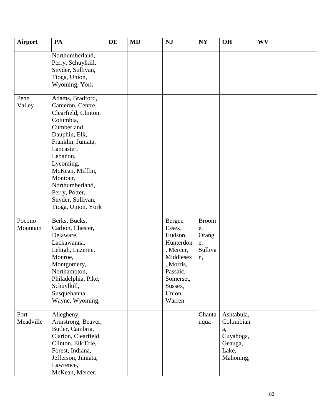| <b>Airport</b>     | PA                                                                                                                                                                                                                                                                                     | DE | <b>MD</b> | <b>NJ</b>                                                                                                                               | N <sub>Y</sub>                                     | <b>OH</b>                                                                   | <b>WV</b> |
|--------------------|----------------------------------------------------------------------------------------------------------------------------------------------------------------------------------------------------------------------------------------------------------------------------------------|----|-----------|-----------------------------------------------------------------------------------------------------------------------------------------|----------------------------------------------------|-----------------------------------------------------------------------------|-----------|
|                    | Northumberland,<br>Perry, Schuylkill,<br>Snyder, Sullivan,<br>Tioga, Union,<br>Wyoming, York                                                                                                                                                                                           |    |           |                                                                                                                                         |                                                    |                                                                             |           |
| Penn<br>Valley     | Adams, Bradford,<br>Cameron, Centre,<br>Clearfield, Clinton.<br>Columbia,<br>Cumberland,<br>Dauphin, Elk,<br>Franklin, Juniata,<br>Lancaster,<br>Lebanon,<br>Lycoming,<br>McKean, Mifflin,<br>Montour,<br>Northumberland,<br>Perry, Potter,<br>Snyder, Sullivan,<br>Tioga, Union, York |    |           |                                                                                                                                         |                                                    |                                                                             |           |
| Pocono<br>Mountain | Berks, Bucks,<br>Carbon, Chester,<br>Delaware,<br>Lackawanna,<br>Lehigh, Luzerne,<br>Monroe,<br>Montgomery,<br>Northampton,<br>Philadelphia, Pike,<br>Schuylkill,<br>Susquehanna,<br>Wayne, Wyoming,                                                                                   |    |           | Bergen<br>Essex,<br>Hudson,<br>Hunterdon<br>, Mercer,<br>Middlesex<br>, Morris,<br>Passaic,<br>Somerset,<br>Sussex,<br>Union,<br>Warren | <b>Broom</b><br>e,<br>Orang<br>e,<br>Sulliva<br>n, |                                                                             |           |
| Port<br>Meadville  | Allegheny,<br>Armstrong, Beaver,<br>Butler, Cambria,<br>Clarion, Clearfield,<br>Clinton, Elk Erie,<br>Forest, Indiana,<br>Jefferson, Juniata,<br>Lawrence,<br>McKean, Mercer,                                                                                                          |    |           |                                                                                                                                         | Chauta<br>uqua                                     | Ashtabula,<br>Columbian<br>a,<br>Cuyahoga,<br>Geauga,<br>Lake,<br>Mahoning, |           |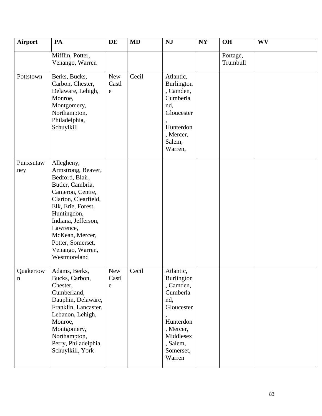| <b>Airport</b>   | PA                                                                                                                                                                                                                                                                       | DE                       | <b>MD</b> | NJ                                                                                                                                              | NY | <b>OH</b>            | <b>WV</b> |
|------------------|--------------------------------------------------------------------------------------------------------------------------------------------------------------------------------------------------------------------------------------------------------------------------|--------------------------|-----------|-------------------------------------------------------------------------------------------------------------------------------------------------|----|----------------------|-----------|
|                  | Mifflin, Potter,<br>Venango, Warren                                                                                                                                                                                                                                      |                          |           |                                                                                                                                                 |    | Portage,<br>Trumbull |           |
| Pottstown        | Berks, Bucks,<br>Carbon, Chester,<br>Delaware, Lehigh,<br>Monroe,<br>Montgomery,<br>Northampton,<br>Philadelphia,<br>Schuylkill                                                                                                                                          | New<br>Castl<br>e        | Cecil     | Atlantic,<br>Burlington<br>, Camden,<br>Cumberla<br>nd,<br>Gloucester<br>Hunterdon<br>, Mercer,<br>Salem,<br>Warren,                            |    |                      |           |
| Punxsutaw<br>ney | Allegheny,<br>Armstrong, Beaver,<br>Bedford, Blair,<br>Butler, Cambria,<br>Cameron, Centre,<br>Clarion, Clearfield,<br>Elk, Erie, Forest,<br>Huntingdon,<br>Indiana, Jefferson,<br>Lawrence,<br>McKean, Mercer,<br>Potter, Somerset,<br>Venango, Warren,<br>Westmoreland |                          |           |                                                                                                                                                 |    |                      |           |
| Quakertow<br>n   | Adams, Berks,<br>Bucks, Carbon,<br>Chester,<br>Cumberland,<br>Dauphin, Delaware,<br>Franklin, Lancaster,<br>Lebanon, Lehigh,<br>Monroe,<br>Montgomery,<br>Northampton,<br>Perry, Philadelphia,<br>Schuylkill, York                                                       | <b>New</b><br>Castl<br>e | Cecil     | Atlantic,<br>Burlington<br>, Camden,<br>Cumberla<br>nd,<br>Gloucester<br>Hunterdon<br>, Mercer,<br>Middlesex<br>, Salem,<br>Somerset,<br>Warren |    |                      |           |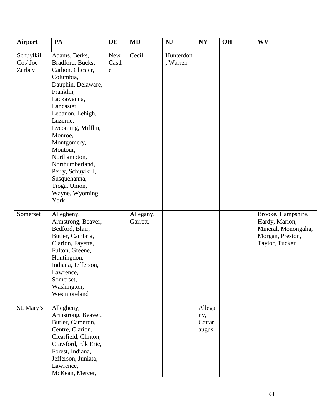| <b>Airport</b>                  | PA                                                                                                                                                                                                                                                                                                                                                  | DE                | <b>MD</b>             | <b>NJ</b>             | $\bold{NY}$                      | <b>OH</b> | WV                                                                                                 |
|---------------------------------|-----------------------------------------------------------------------------------------------------------------------------------------------------------------------------------------------------------------------------------------------------------------------------------------------------------------------------------------------------|-------------------|-----------------------|-----------------------|----------------------------------|-----------|----------------------------------------------------------------------------------------------------|
| Schuylkill<br>Co./Joe<br>Zerbey | Adams, Berks,<br>Bradford, Bucks,<br>Carbon, Chester,<br>Columbia,<br>Dauphin, Delaware,<br>Franklin,<br>Lackawanna,<br>Lancaster,<br>Lebanon, Lehigh,<br>Luzerne,<br>Lycoming, Mifflin,<br>Monroe,<br>Montgomery,<br>Montour,<br>Northampton,<br>Northumberland,<br>Perry, Schuylkill,<br>Susquehanna,<br>Tioga, Union,<br>Wayne, Wyoming,<br>York | New<br>Castl<br>e | Cecil                 | Hunterdon<br>, Warren |                                  |           |                                                                                                    |
| Somerset                        | Allegheny,<br>Armstrong, Beaver,<br>Bedford, Blair,<br>Butler, Cambria,<br>Clarion, Fayette,<br>Fulton, Greene,<br>Huntingdon,<br>Indiana, Jefferson,<br>Lawrence,<br>Somerset,<br>Washington,<br>Westmoreland                                                                                                                                      |                   | Allegany,<br>Garrett, |                       |                                  |           | Brooke, Hampshire,<br>Hardy, Marion,<br>Mineral, Monongalia,<br>Morgan, Preston,<br>Taylor, Tucker |
| St. Mary's                      | Allegheny,<br>Armstrong, Beaver,<br>Butler, Cameron,<br>Centre, Clarion,<br>Clearfield, Clinton,<br>Crawford, Elk Erie,<br>Forest, Indiana,<br>Jefferson, Juniata,<br>Lawrence,<br>McKean, Mercer,                                                                                                                                                  |                   |                       |                       | Allega<br>ny,<br>Cattar<br>augus |           |                                                                                                    |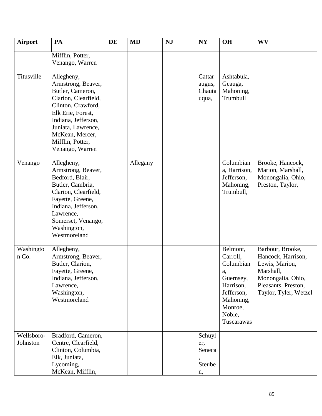| <b>Airport</b>         | PA                                                                                                                                                                                                                             | <b>DE</b> | <b>MD</b> | <b>NJ</b> | NY                                      | <b>OH</b>                                                                                                                       | <b>WV</b>                                                                                                                                  |
|------------------------|--------------------------------------------------------------------------------------------------------------------------------------------------------------------------------------------------------------------------------|-----------|-----------|-----------|-----------------------------------------|---------------------------------------------------------------------------------------------------------------------------------|--------------------------------------------------------------------------------------------------------------------------------------------|
|                        | Mifflin, Potter,<br>Venango, Warren                                                                                                                                                                                            |           |           |           |                                         |                                                                                                                                 |                                                                                                                                            |
| Titusville             | Allegheny,<br>Armstrong, Beaver,<br>Butler, Cameron,<br>Clarion, Clearfield,<br>Clinton, Crawford,<br>Elk Erie, Forest,<br>Indiana, Jefferson,<br>Juniata, Lawrence,<br>McKean, Mercer,<br>Mifflin, Potter,<br>Venango, Warren |           |           |           | Cattar<br>augus,<br>Chauta<br>uqua,     | Ashtabula,<br>Geauga,<br>Mahoning,<br>Trumbull                                                                                  |                                                                                                                                            |
| Venango                | Allegheny,<br>Armstrong, Beaver,<br>Bedford, Blair,<br>Butler, Cambria,<br>Clarion, Clearfield,<br>Fayette, Greene,<br>Indiana, Jefferson,<br>Lawrence,<br>Somerset, Venango,<br>Washington,<br>Westmoreland                   |           | Allegany  |           |                                         | Columbian<br>a, Harrison,<br>Jefferson,<br>Mahoning,<br>Trumbull,                                                               | Brooke, Hancock,<br>Marion, Marshall,<br>Monongalia, Ohio,<br>Preston, Taylor,                                                             |
| Washingto<br>n Co.     | Allegheny,<br>Armstrong, Beaver,<br>Butler, Clarion,<br>Fayette, Greene,<br>Indiana, Jefferson,<br>Lawrence,<br>Washington,<br>Westmoreland                                                                                    |           |           |           |                                         | Belmont,<br>Carroll,<br>Columbian<br>a,<br>Guernsey,<br>Harrison,<br>Jefferson,<br>Mahoning,<br>Monroe,<br>Noble,<br>Tuscarawas | Barbour, Brooke,<br>Hancock, Harrison,<br>Lewis, Marion,<br>Marshall.<br>Monongalia, Ohio,<br>Pleasants, Preston,<br>Taylor, Tyler, Wetzel |
| Wellsboro-<br>Johnston | Bradford, Cameron,<br>Centre, Clearfield,<br>Clinton, Columbia,<br>Elk, Juniata,<br>Lycoming,<br>McKean, Mifflin,                                                                                                              |           |           |           | Schuyl<br>er,<br>Seneca<br>Steube<br>n, |                                                                                                                                 |                                                                                                                                            |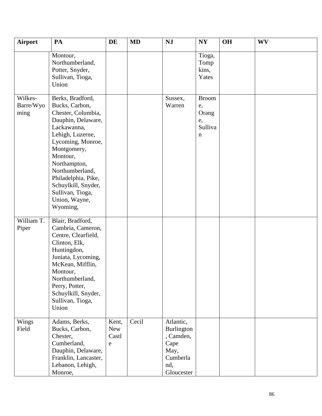| <b>Airport</b>               | PA                                                                                                                                                                                                                                                                                                  | DE                         | <b>MD</b> | <b>NJ</b>                                                                                    | <b>NY</b>                                         | <b>OH</b> | <b>WV</b> |
|------------------------------|-----------------------------------------------------------------------------------------------------------------------------------------------------------------------------------------------------------------------------------------------------------------------------------------------------|----------------------------|-----------|----------------------------------------------------------------------------------------------|---------------------------------------------------|-----------|-----------|
|                              | Montour,<br>Northumberland,<br>Potter, Snyder,<br>Sullivan, Tioga,<br>Union                                                                                                                                                                                                                         |                            |           |                                                                                              | Tioga,<br>Tomp<br>kins,<br>Yates                  |           |           |
| Wilkes-<br>Barre/Wyo<br>ming | Berks, Bradford,<br>Bucks, Carbon,<br>Chester, Columbia,<br>Dauphin, Delaware,<br>Lackawanna,<br>Lehigh, Luzerne,<br>Lycoming, Monroe,<br>Montgomery,<br>Montour,<br>Northampton,<br>Northumberland,<br>Philadelphia, Pike,<br>Schuylkill, Snyder,<br>Sullivan, Tioga,<br>Union, Wayne,<br>Wyoming, |                            |           | Sussex,<br>Warren                                                                            | <b>Broom</b><br>e,<br>Orang<br>e,<br>Sulliva<br>n |           |           |
| William T.<br>Piper          | Blair, Bradford,<br>Cambria, Cameron,<br>Centre, Clearfield,<br>Clinton, Elk,<br>Huntingdon,<br>Juniata, Lycoming,<br>McKean, Mifflin,<br>Montour,<br>Northumberland,<br>Perry, Potter,<br>Schuylkill, Snyder,<br>Sullivan, Tioga,<br>Union                                                         |                            |           |                                                                                              |                                                   |           |           |
| Wings<br>Field               | Adams, Berks,<br>Bucks, Carbon,<br>Chester,<br>Cumberland,<br>Dauphin, Delaware,<br>Franklin, Lancaster,<br>Lebanon, Lehigh,<br>Monroe,                                                                                                                                                             | Kent,<br>New<br>Castl<br>e | Cecil     | Atlantic,<br><b>Burlington</b><br>, Camden,<br>Cape<br>May,<br>Cumberla<br>nd,<br>Gloucester |                                                   |           |           |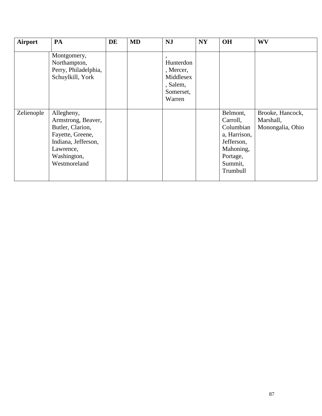| Airport    | PA                                                                                                                                          | DE | <b>MD</b> | <b>NJ</b>                                                              | <b>NY</b> | <b>OH</b>                                                                                                       | <b>WV</b>                                         |
|------------|---------------------------------------------------------------------------------------------------------------------------------------------|----|-----------|------------------------------------------------------------------------|-----------|-----------------------------------------------------------------------------------------------------------------|---------------------------------------------------|
|            | Montgomery,<br>Northampton,<br>Perry, Philadelphia,<br>Schuylkill, York                                                                     |    |           | Hunterdon<br>, Mercer,<br>Middlesex<br>, Salem,<br>Somerset,<br>Warren |           |                                                                                                                 |                                                   |
| Zelienople | Allegheny,<br>Armstrong, Beaver,<br>Butler, Clarion,<br>Fayette, Greene,<br>Indiana, Jefferson,<br>Lawrence,<br>Washington,<br>Westmoreland |    |           |                                                                        |           | Belmont,<br>Carroll,<br>Columbian<br>a, Harrison,<br>Jefferson,<br>Mahoning,<br>Portage,<br>Summit,<br>Trumbull | Brooke, Hancock,<br>Marshall,<br>Monongalia, Ohio |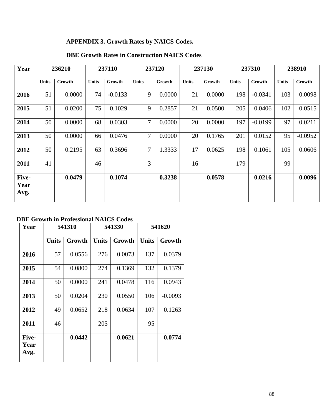## **APPENDIX 3. Growth Rates by NAICS Codes.**

## **DBE Growth Rates in Construction NAICS Codes**

| Year                  |              | 236210 |              | 237110    |                | 237120 |              | 237130 |              | 237310    |              | 238910    |
|-----------------------|--------------|--------|--------------|-----------|----------------|--------|--------------|--------|--------------|-----------|--------------|-----------|
|                       | <b>Units</b> | Growth | <b>Units</b> | Growth    | <b>Units</b>   | Growth | <b>Units</b> | Growth | <b>Units</b> | Growth    | <b>Units</b> | Growth    |
| 2016                  | 51           | 0.0000 | 74           | $-0.0133$ | 9              | 0.0000 | 21           | 0.0000 | 198          | $-0.0341$ | 103          | 0.0098    |
| 2015                  | 51           | 0.0200 | 75           | 0.1029    | 9              | 0.2857 | 21           | 0.0500 | 205          | 0.0406    | 102          | 0.0515    |
| 2014                  | 50           | 0.0000 | 68           | 0.0303    | $\overline{7}$ | 0.0000 | 20           | 0.0000 | 197          | $-0.0199$ | 97           | 0.0211    |
| 2013                  | 50           | 0.0000 | 66           | 0.0476    | $\overline{7}$ | 0.0000 | 20           | 0.1765 | 201          | 0.0152    | 95           | $-0.0952$ |
| 2012                  | 50           | 0.2195 | 63           | 0.3696    | $\overline{7}$ | 1.3333 | 17           | 0.0625 | 198          | 0.1061    | 105          | 0.0606    |
| 2011                  | 41           |        | 46           |           | $\overline{3}$ |        | 16           |        | 179          |           | 99           |           |
| Five-<br>Year<br>Avg. |              | 0.0479 |              | 0.1074    |                | 0.3238 |              | 0.0578 |              | 0.0216    |              | 0.0096    |

## **DBE Growth in Professional NAICS Codes**

| Year                  |              | 541310 |              | 541330 |              | 541620    |
|-----------------------|--------------|--------|--------------|--------|--------------|-----------|
|                       | <b>Units</b> | Growth | <b>Units</b> | Growth | <b>Units</b> | Growth    |
| 2016                  | 57           | 0.0556 | 276          | 0.0073 | 137          | 0.0379    |
| 2015                  | 54           | 0.0800 | 274          | 0.1369 | 132          | 0.1379    |
| 2014                  | 50           | 0.0000 | 241          | 0.0478 | 116          | 0.0943    |
| 2013                  | 50           | 0.0204 | 230          | 0.0550 | 106          | $-0.0093$ |
| 2012                  | 49           | 0.0652 | 218          | 0.0634 | 107          | 0.1263    |
| 2011                  | 46           |        | 205          |        | 95           |           |
| Five-<br>Year<br>Avg. |              | 0.0442 |              | 0.0621 |              | 0.0774    |